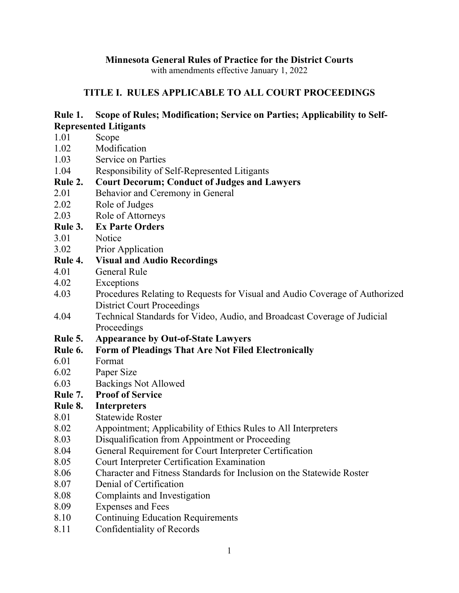# **Minnesota General Rules of Practice for the District Courts**

with amendments effective January 1, 2022

# **TITLE I. RULES APPLICABLE TO ALL COURT PROCEEDINGS**

# **Rule 1. Scope of Rules; Modification; Service on Parties; Applicability to Self-Represented Litigants**

- 1.01 Scope
- 1.02 Modification
- 1.03 Service on Parties
- 1.04 Responsibility of Self-Represented Litigants

# **Rule 2. Court Decorum; Conduct of Judges and Lawyers**

- 2.01 Behavior and Ceremony in General
- 2.02 Role of Judges
- 2.03 Role of Attorneys

# **Rule 3. Ex Parte Orders**

- 3.01 Notice
- 3.02 Prior Application

# **Rule 4. Visual and Audio Recordings**

- 4.01 General Rule
- 4.02 Exceptions
- 4.03 Procedures Relating to Requests for Visual and Audio Coverage of Authorized District Court Proceedings
- 4.04 Technical Standards for Video, Audio, and Broadcast Coverage of Judicial Proceedings

# **Rule 5. Appearance by Out-of-State Lawyers**

- **Rule 6. Form of Pleadings That Are Not Filed Electronically**
- 6.01 Format
- 6.02 Paper Size
- 6.03 Backings Not Allowed

# **Rule 7. Proof of Service**

# **Rule 8. Interpreters**

- 8.01 Statewide Roster
- 8.02 Appointment; Applicability of Ethics Rules to All Interpreters
- 8.03 Disqualification from Appointment or Proceeding
- 8.04 General Requirement for Court Interpreter Certification
- 8.05 Court Interpreter Certification Examination
- 8.06 Character and Fitness Standards for Inclusion on the Statewide Roster
- 8.07 Denial of Certification
- 8.08 Complaints and Investigation
- 8.09 Expenses and Fees
- 8.10 Continuing Education Requirements
- 8.11 Confidentiality of Records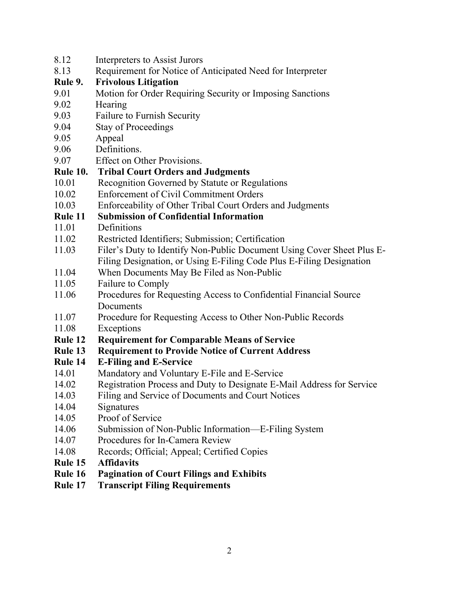- 8.12 Interpreters to Assist Jurors 8.13 Requirement for Notice of Anticipated Need for Interpreter **Rule 9. Frivolous Litigation**  9.01 Motion for Order Requiring Security or Imposing Sanctions 9.02 Hearing 9.03 Failure to Furnish Security 9.04 Stay of Proceedings 9.05 Appeal 9.06 Definitions. 9.07 Effect on Other Provisions. **Rule 10. Tribal Court Orders and Judgments**  10.01 Recognition Governed by Statute or Regulations 10.02 Enforcement of Civil Commitment Orders 10.03 Enforceability of Other Tribal Court Orders and Judgments **Rule 11 Submission of Confidential Information**  11.01 Definitions 11.02 Restricted Identifiers; Submission; Certification 11.03 Filer's Duty to Identify Non-Public Document Using Cover Sheet Plus E-Filing Designation, or Using E-Filing Code Plus E-Filing Designation 11.04 When Documents May Be Filed as Non-Public 11.05 Failure to Comply 11.06 Procedures for Requesting Access to Confidential Financial Source **Documents** 11.07 Procedure for Requesting Access to Other Non-Public Records 11.08 Exceptions **Rule 12 Requirement for Comparable Means of Service Rule 13 Requirement to Provide Notice of Current Address Rule 14 E-Filing and E-Service** 14.01 Mandatory and Voluntary E-File and E-Service 14.02 Registration Process and Duty to Designate E-Mail Address for Service 14.03 Filing and Service of Documents and Court Notices 14.04 Signatures 14.05 Proof of Service 14.06 Submission of Non-Public Information—E-Filing System 14.07 Procedures for In-Camera Review 14.08 Records; Official; Appeal; Certified Copies **Rule 15 Affidavits Rule 16 Pagination of Court Filings and Exhibits Rule 17 Transcript Filing Requirements**
	- 2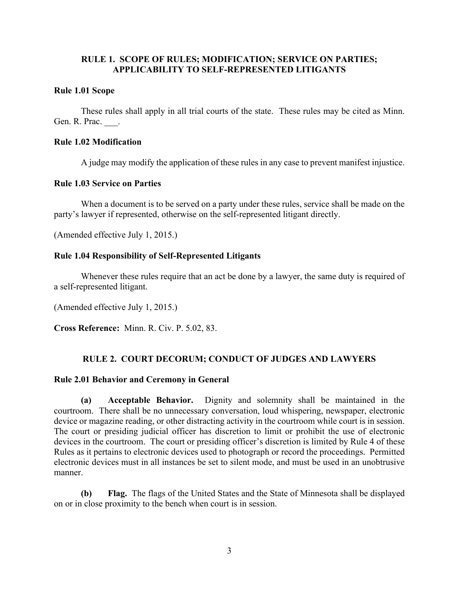## **RULE 1. SCOPE OF RULES; MODIFICATION; SERVICE ON PARTIES; APPLICABILITY TO SELF-REPRESENTED LITIGANTS**

## **Rule 1.01 Scope**

 These rules shall apply in all trial courts of the state. These rules may be cited as Minn. Gen. R. Prac. .

## **Rule 1.02 Modification**

A judge may modify the application of these rules in any case to prevent manifest injustice.

## **Rule 1.03 Service on Parties**

 When a document is to be served on a party under these rules, service shall be made on the party's lawyer if represented, otherwise on the self-represented litigant directly.

(Amended effective July 1, 2015.)

## **Rule 1.04 Responsibility of Self-Represented Litigants**

 Whenever these rules require that an act be done by a lawyer, the same duty is required of a self-represented litigant.

(Amended effective July 1, 2015.)

**Cross Reference:** Minn. R. Civ. P. 5.02, 83.

## **RULE 2. COURT DECORUM; CONDUCT OF JUDGES AND LAWYERS**

## **Rule 2.01 Behavior and Ceremony in General**

**(a) Acceptable Behavior.** Dignity and solemnity shall be maintained in the courtroom. There shall be no unnecessary conversation, loud whispering, newspaper, electronic device or magazine reading, or other distracting activity in the courtroom while court is in session. The court or presiding judicial officer has discretion to limit or prohibit the use of electronic devices in the courtroom. The court or presiding officer's discretion is limited by Rule 4 of these Rules as it pertains to electronic devices used to photograph or record the proceedings. Permitted electronic devices must in all instances be set to silent mode, and must be used in an unobtrusive manner.

**(b) Flag.** The flags of the United States and the State of Minnesota shall be displayed on or in close proximity to the bench when court is in session.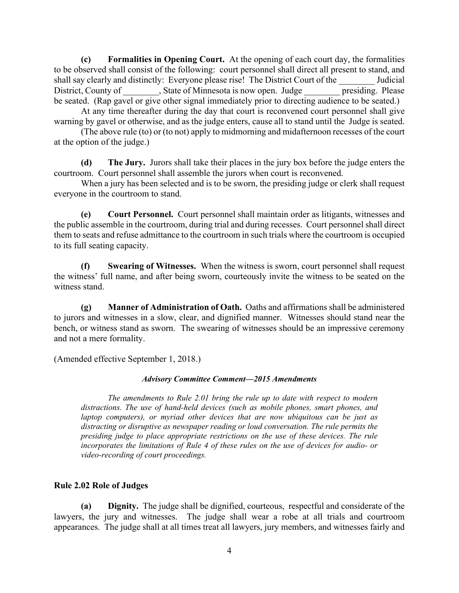**(c) Formalities in Opening Court.** At the opening of each court day, the formalities to be observed shall consist of the following: court personnel shall direct all present to stand, and shall say clearly and distinctly: Everyone please rise! The District Court of the Judicial District, County of The State of Minnesota is now open. Judge The Please be seated. (Rap gavel or give other signal immediately prior to directing audience to be seated.)

 At any time thereafter during the day that court is reconvened court personnel shall give warning by gavel or otherwise, and as the judge enters, cause all to stand until the Judge is seated.

 (The above rule (to) or (to not) apply to midmorning and midafternoon recesses of the court at the option of the judge.)

**(d) The Jury.** Jurors shall take their places in the jury box before the judge enters the courtroom. Court personnel shall assemble the jurors when court is reconvened.

When a jury has been selected and is to be sworn, the presiding judge or clerk shall request everyone in the courtroom to stand.

**(e) Court Personnel.** Court personnel shall maintain order as litigants, witnesses and the public assemble in the courtroom, during trial and during recesses. Court personnel shall direct them to seats and refuse admittance to the courtroom in such trials where the courtroom is occupied to its full seating capacity.

**(f) Swearing of Witnesses.** When the witness is sworn, court personnel shall request the witness' full name, and after being sworn, courteously invite the witness to be seated on the witness stand.

**(g) Manner of Administration of Oath.** Oaths and affirmations shall be administered to jurors and witnesses in a slow, clear, and dignified manner. Witnesses should stand near the bench, or witness stand as sworn. The swearing of witnesses should be an impressive ceremony and not a mere formality.

(Amended effective September 1, 2018.)

## *Advisory Committee Comment—2015 Amendments*

*The amendments to Rule 2.01 bring the rule up to date with respect to modern distractions. The use of hand-held devices (such as mobile phones, smart phones, and laptop computers), or myriad other devices that are now ubiquitous can be just as distracting or disruptive as newspaper reading or loud conversation. The rule permits the presiding judge to place appropriate restrictions on the use of these devices. The rule incorporates the limitations of Rule 4 of these rules on the use of devices for audio- or video-recording of court proceedings.*

## **Rule 2.02 Role of Judges**

 **(a) Dignity.** The judge shall be dignified, courteous, respectful and considerate of the lawyers, the jury and witnesses. The judge shall wear a robe at all trials and courtroom appearances. The judge shall at all times treat all lawyers, jury members, and witnesses fairly and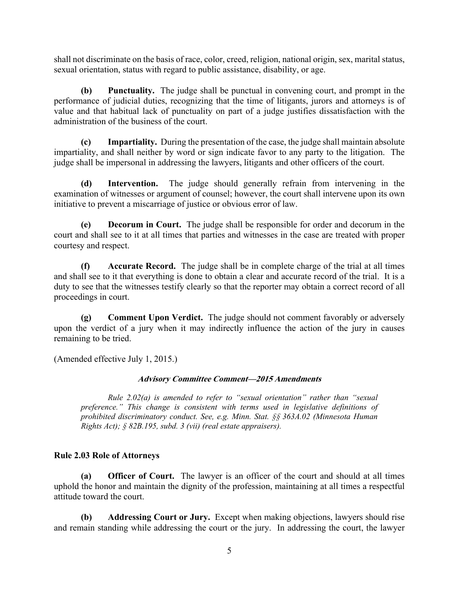shall not discriminate on the basis of race, color, creed, religion, national origin, sex, marital status, sexual orientation, status with regard to public assistance, disability, or age.

 **(b) Punctuality.** The judge shall be punctual in convening court, and prompt in the performance of judicial duties, recognizing that the time of litigants, jurors and attorneys is of value and that habitual lack of punctuality on part of a judge justifies dissatisfaction with the administration of the business of the court.

**(c) Impartiality.** During the presentation of the case, the judge shall maintain absolute impartiality, and shall neither by word or sign indicate favor to any party to the litigation. The judge shall be impersonal in addressing the lawyers, litigants and other officers of the court.

**(d) Intervention.** The judge should generally refrain from intervening in the examination of witnesses or argument of counsel; however, the court shall intervene upon its own initiative to prevent a miscarriage of justice or obvious error of law.

**(e) Decorum in Court.** The judge shall be responsible for order and decorum in the court and shall see to it at all times that parties and witnesses in the case are treated with proper courtesy and respect.

**(f) Accurate Record.** The judge shall be in complete charge of the trial at all times and shall see to it that everything is done to obtain a clear and accurate record of the trial. It is a duty to see that the witnesses testify clearly so that the reporter may obtain a correct record of all proceedings in court.

 **(g) Comment Upon Verdict.** The judge should not comment favorably or adversely upon the verdict of a jury when it may indirectly influence the action of the jury in causes remaining to be tried.

(Amended effective July 1, 2015.)

## **Advisory Committee Comment—2015 Amendments**

*Rule 2.02(a) is amended to refer to "sexual orientation" rather than "sexual preference." This change is consistent with terms used in legislative definitions of prohibited discriminatory conduct. See, e.g. Minn. Stat. §§ 363A.02 (Minnesota Human Rights Act); § 82B.195, subd. 3 (vii) (real estate appraisers).* 

## **Rule 2.03 Role of Attorneys**

**(a) Officer of Court.** The lawyer is an officer of the court and should at all times uphold the honor and maintain the dignity of the profession, maintaining at all times a respectful attitude toward the court.

**(b) Addressing Court or Jury.** Except when making objections, lawyers should rise and remain standing while addressing the court or the jury. In addressing the court, the lawyer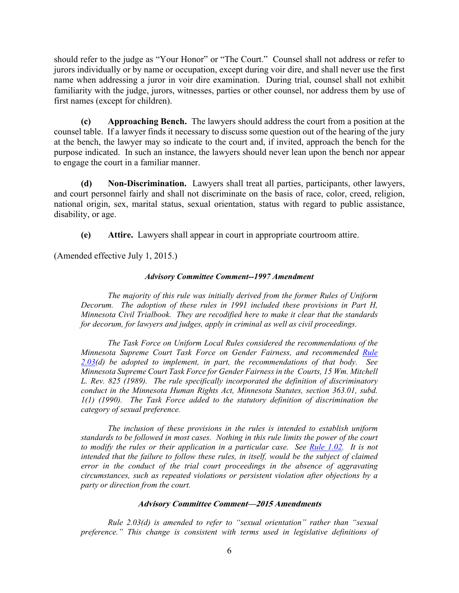should refer to the judge as "Your Honor" or "The Court." Counsel shall not address or refer to jurors individually or by name or occupation, except during voir dire, and shall never use the first name when addressing a juror in voir dire examination. During trial, counsel shall not exhibit familiarity with the judge, jurors, witnesses, parties or other counsel, nor address them by use of first names (except for children).

**(c) Approaching Bench.** The lawyers should address the court from a position at the counsel table. If a lawyer finds it necessary to discuss some question out of the hearing of the jury at the bench, the lawyer may so indicate to the court and, if invited, approach the bench for the purpose indicated. In such an instance, the lawyers should never lean upon the bench nor appear to engage the court in a familiar manner.

**(d) Non-Discrimination.** Lawyers shall treat all parties, participants, other lawyers, and court personnel fairly and shall not discriminate on the basis of race, color, creed, religion, national origin, sex, marital status, sexual orientation, status with regard to public assistance, disability, or age.

**(e) Attire.** Lawyers shall appear in court in appropriate courtroom attire.

(Amended effective July 1, 2015.)

### *Advisory Committee Comment--1997 Amendment*

*The majority of this rule was initially derived from the former Rules of Uniform Decorum. The adoption of these rules in 1991 included these provisions in Part H, Minnesota Civil Trialbook. They are recodified here to make it clear that the standards for decorum, for lawyers and judges, apply in criminal as well as civil proceedings.*

 *The Task Force on Uniform Local Rules considered the recommendations of the Minnesota Supreme Court Task Force on Gender Fairness, and recommended Rule 2.03(d) be adopted to implement, in part, the recommendations of that body. See Minnesota Supreme Court Task Force for Gender Fairness in the Courts, 15 Wm. Mitchell L. Rev. 825 (1989). The rule specifically incorporated the definition of discriminatory conduct in the Minnesota Human Rights Act, Minnesota Statutes, section 363.01, subd. 1(1) (1990). The Task Force added to the statutory definition of discrimination the category of sexual preference.*

 *The inclusion of these provisions in the rules is intended to establish uniform standards to be followed in most cases. Nothing in this rule limits the power of the court to modify the rules or their application in a particular case. See Rule 1.02. It is not intended that the failure to follow these rules, in itself, would be the subject of claimed error in the conduct of the trial court proceedings in the absence of aggravating circumstances, such as repeated violations or persistent violation after objections by a party or direction from the court.*

### **Advisory Committee Comment—2015 Amendments**

*Rule 2.03(d) is amended to refer to "sexual orientation" rather than "sexual preference." This change is consistent with terms used in legislative definitions of*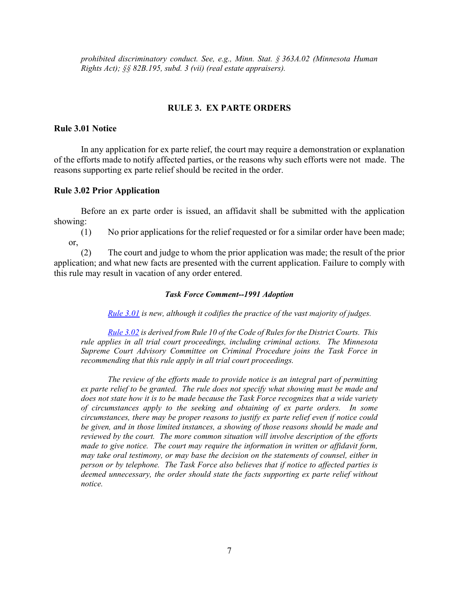*prohibited discriminatory conduct. See, e.g., Minn. Stat. § 363A.02 (Minnesota Human Rights Act); §§ 82B.195, subd. 3 (vii) (real estate appraisers).* 

## **RULE 3. EX PARTE ORDERS**

### **Rule 3.01 Notice**

 In any application for ex parte relief, the court may require a demonstration or explanation of the efforts made to notify affected parties, or the reasons why such efforts were not made. The reasons supporting ex parte relief should be recited in the order.

### **Rule 3.02 Prior Application**

 Before an ex parte order is issued, an affidavit shall be submitted with the application showing:

 (1) No prior applications for the relief requested or for a similar order have been made; or,

 (2) The court and judge to whom the prior application was made; the result of the prior application; and what new facts are presented with the current application. Failure to comply with this rule may result in vacation of any order entered.

### *Task Force Comment--1991 Adoption*

*Rule 3.01 is new, although it codifies the practice of the vast majority of judges.*

*Rule 3.02 is derived from Rule 10 of the Code of Rules for the District Courts. This rule applies in all trial court proceedings, including criminal actions. The Minnesota Supreme Court Advisory Committee on Criminal Procedure joins the Task Force in recommending that this rule apply in all trial court proceedings.*

 *The review of the efforts made to provide notice is an integral part of permitting ex parte relief to be granted. The rule does not specify what showing must be made and does not state how it is to be made because the Task Force recognizes that a wide variety of circumstances apply to the seeking and obtaining of ex parte orders. In some circumstances, there may be proper reasons to justify ex parte relief even if notice could be given, and in those limited instances, a showing of those reasons should be made and reviewed by the court. The more common situation will involve description of the efforts made to give notice. The court may require the information in written or affidavit form, may take oral testimony, or may base the decision on the statements of counsel, either in person or by telephone. The Task Force also believes that if notice to affected parties is deemed unnecessary, the order should state the facts supporting ex parte relief without notice.*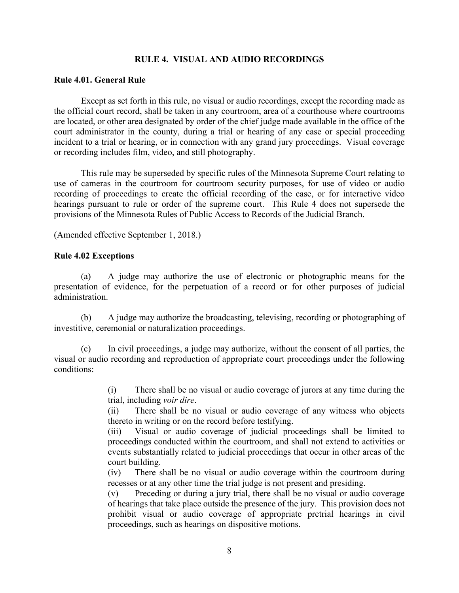## **RULE 4. VISUAL AND AUDIO RECORDINGS**

## **Rule 4.01. General Rule**

 Except as set forth in this rule, no visual or audio recordings, except the recording made as the official court record, shall be taken in any courtroom, area of a courthouse where courtrooms are located, or other area designated by order of the chief judge made available in the office of the court administrator in the county, during a trial or hearing of any case or special proceeding incident to a trial or hearing, or in connection with any grand jury proceedings. Visual coverage or recording includes film, video, and still photography.

 This rule may be superseded by specific rules of the Minnesota Supreme Court relating to use of cameras in the courtroom for courtroom security purposes, for use of video or audio recording of proceedings to create the official recording of the case, or for interactive video hearings pursuant to rule or order of the supreme court. This Rule 4 does not supersede the provisions of the Minnesota Rules of Public Access to Records of the Judicial Branch.

(Amended effective September 1, 2018.)

## **Rule 4.02 Exceptions**

(a) A judge may authorize the use of electronic or photographic means for the presentation of evidence, for the perpetuation of a record or for other purposes of judicial administration.

(b) A judge may authorize the broadcasting, televising, recording or photographing of investitive, ceremonial or naturalization proceedings.

(c) In civil proceedings, a judge may authorize, without the consent of all parties, the visual or audio recording and reproduction of appropriate court proceedings under the following conditions:

> (i) There shall be no visual or audio coverage of jurors at any time during the trial, including *voir dire*.

> (ii) There shall be no visual or audio coverage of any witness who objects thereto in writing or on the record before testifying.

> (iii) Visual or audio coverage of judicial proceedings shall be limited to proceedings conducted within the courtroom, and shall not extend to activities or events substantially related to judicial proceedings that occur in other areas of the court building.

> (iv) There shall be no visual or audio coverage within the courtroom during recesses or at any other time the trial judge is not present and presiding.

> (v) Preceding or during a jury trial, there shall be no visual or audio coverage of hearings that take place outside the presence of the jury. This provision does not prohibit visual or audio coverage of appropriate pretrial hearings in civil proceedings, such as hearings on dispositive motions.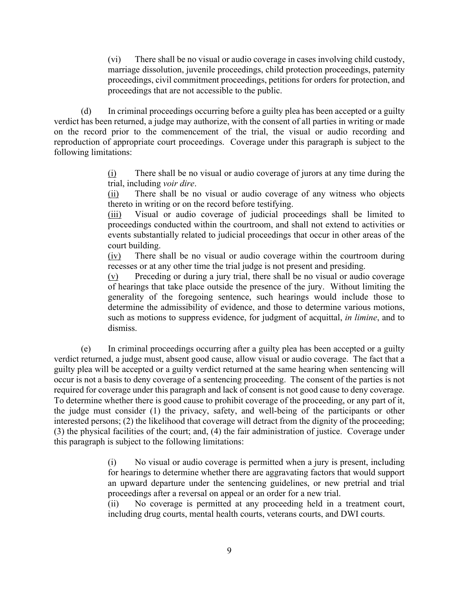(vi) There shall be no visual or audio coverage in cases involving child custody, marriage dissolution, juvenile proceedings, child protection proceedings, paternity proceedings, civil commitment proceedings, petitions for orders for protection, and proceedings that are not accessible to the public.

(d) In criminal proceedings occurring before a guilty plea has been accepted or a guilty verdict has been returned, a judge may authorize, with the consent of all parties in writing or made on the record prior to the commencement of the trial, the visual or audio recording and reproduction of appropriate court proceedings. Coverage under this paragraph is subject to the following limitations:

> (i) There shall be no visual or audio coverage of jurors at any time during the trial, including *voir dire*.

> (ii) There shall be no visual or audio coverage of any witness who objects thereto in writing or on the record before testifying.

> (iii) Visual or audio coverage of judicial proceedings shall be limited to proceedings conducted within the courtroom, and shall not extend to activities or events substantially related to judicial proceedings that occur in other areas of the court building.

> (iv) There shall be no visual or audio coverage within the courtroom during recesses or at any other time the trial judge is not present and presiding.

> (v) Preceding or during a jury trial, there shall be no visual or audio coverage of hearings that take place outside the presence of the jury. Without limiting the generality of the foregoing sentence, such hearings would include those to determine the admissibility of evidence, and those to determine various motions, such as motions to suppress evidence, for judgment of acquittal, *in limine*, and to dismiss.

(e) In criminal proceedings occurring after a guilty plea has been accepted or a guilty verdict returned, a judge must, absent good cause, allow visual or audio coverage. The fact that a guilty plea will be accepted or a guilty verdict returned at the same hearing when sentencing will occur is not a basis to deny coverage of a sentencing proceeding. The consent of the parties is not required for coverage under this paragraph and lack of consent is not good cause to deny coverage. To determine whether there is good cause to prohibit coverage of the proceeding, or any part of it, the judge must consider (1) the privacy, safety, and well-being of the participants or other interested persons; (2) the likelihood that coverage will detract from the dignity of the proceeding; (3) the physical facilities of the court; and, (4) the fair administration of justice. Coverage under this paragraph is subject to the following limitations:

> (i) No visual or audio coverage is permitted when a jury is present, including for hearings to determine whether there are aggravating factors that would support an upward departure under the sentencing guidelines, or new pretrial and trial proceedings after a reversal on appeal or an order for a new trial.

> (ii) No coverage is permitted at any proceeding held in a treatment court, including drug courts, mental health courts, veterans courts, and DWI courts.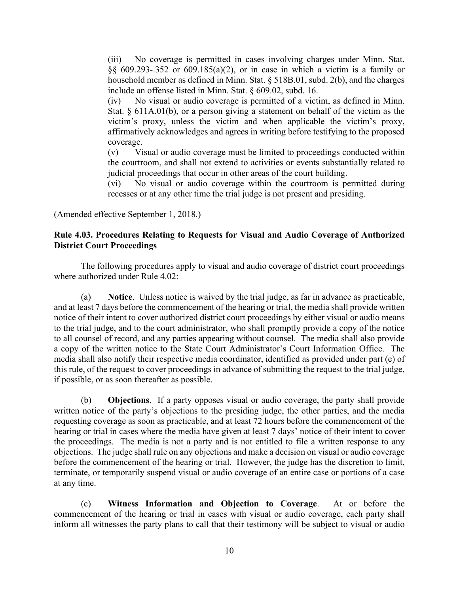(iii) No coverage is permitted in cases involving charges under Minn. Stat. §§ 609.293-.352 or 609.185(a)(2), or in case in which a victim is a family or household member as defined in Minn. Stat. § 518B.01, subd. 2(b), and the charges include an offense listed in Minn. Stat. § 609.02, subd. 16.

(iv) No visual or audio coverage is permitted of a victim, as defined in Minn. Stat. § 611A.01(b), or a person giving a statement on behalf of the victim as the victim's proxy, unless the victim and when applicable the victim's proxy, affirmatively acknowledges and agrees in writing before testifying to the proposed coverage.

(v) Visual or audio coverage must be limited to proceedings conducted within the courtroom, and shall not extend to activities or events substantially related to judicial proceedings that occur in other areas of the court building.

(vi) No visual or audio coverage within the courtroom is permitted during recesses or at any other time the trial judge is not present and presiding.

(Amended effective September 1, 2018.)

## **Rule 4.03. Procedures Relating to Requests for Visual and Audio Coverage of Authorized District Court Proceedings**

The following procedures apply to visual and audio coverage of district court proceedings where authorized under Rule 4.02:

(a) **Notice**. Unless notice is waived by the trial judge, as far in advance as practicable, and at least 7 days before the commencement of the hearing or trial, the media shall provide written notice of their intent to cover authorized district court proceedings by either visual or audio means to the trial judge, and to the court administrator, who shall promptly provide a copy of the notice to all counsel of record, and any parties appearing without counsel. The media shall also provide a copy of the written notice to the State Court Administrator's Court Information Office. The media shall also notify their respective media coordinator, identified as provided under part (e) of this rule, of the request to cover proceedings in advance of submitting the request to the trial judge, if possible, or as soon thereafter as possible.

(b) **Objections**. If a party opposes visual or audio coverage, the party shall provide written notice of the party's objections to the presiding judge, the other parties, and the media requesting coverage as soon as practicable, and at least 72 hours before the commencement of the hearing or trial in cases where the media have given at least 7 days' notice of their intent to cover the proceedings. The media is not a party and is not entitled to file a written response to any objections. The judge shall rule on any objections and make a decision on visual or audio coverage before the commencement of the hearing or trial. However, the judge has the discretion to limit, terminate, or temporarily suspend visual or audio coverage of an entire case or portions of a case at any time.

(c) **Witness Information and Objection to Coverage**. At or before the commencement of the hearing or trial in cases with visual or audio coverage, each party shall inform all witnesses the party plans to call that their testimony will be subject to visual or audio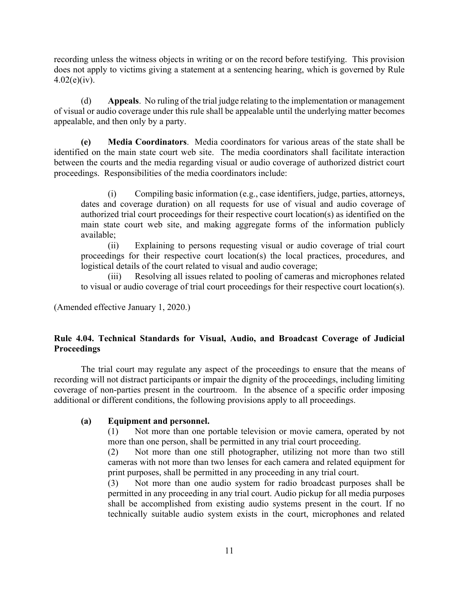recording unless the witness objects in writing or on the record before testifying. This provision does not apply to victims giving a statement at a sentencing hearing, which is governed by Rule  $4.02(e)(iv)$ .

(d) **Appeals**. No ruling of the trial judge relating to the implementation or management of visual or audio coverage under this rule shall be appealable until the underlying matter becomes appealable, and then only by a party.

**(e) Media Coordinators**. Media coordinators for various areas of the state shall be identified on the main state court web site. The media coordinators shall facilitate interaction between the courts and the media regarding visual or audio coverage of authorized district court proceedings. Responsibilities of the media coordinators include:

 (i) Compiling basic information (e.g., case identifiers, judge, parties, attorneys, dates and coverage duration) on all requests for use of visual and audio coverage of authorized trial court proceedings for their respective court location(s) as identified on the main state court web site, and making aggregate forms of the information publicly available;

 (ii) Explaining to persons requesting visual or audio coverage of trial court proceedings for their respective court location(s) the local practices, procedures, and logistical details of the court related to visual and audio coverage;

 (iii) Resolving all issues related to pooling of cameras and microphones related to visual or audio coverage of trial court proceedings for their respective court location(s).

(Amended effective January 1, 2020.)

## **Rule 4.04. Technical Standards for Visual, Audio, and Broadcast Coverage of Judicial Proceedings**

The trial court may regulate any aspect of the proceedings to ensure that the means of recording will not distract participants or impair the dignity of the proceedings, including limiting coverage of non-parties present in the courtroom. In the absence of a specific order imposing additional or different conditions, the following provisions apply to all proceedings.

## **(a) Equipment and personnel.**

(1) Not more than one portable television or movie camera, operated by not more than one person, shall be permitted in any trial court proceeding.

(2) Not more than one still photographer, utilizing not more than two still cameras with not more than two lenses for each camera and related equipment for print purposes, shall be permitted in any proceeding in any trial court.

(3) Not more than one audio system for radio broadcast purposes shall be permitted in any proceeding in any trial court. Audio pickup for all media purposes shall be accomplished from existing audio systems present in the court. If no technically suitable audio system exists in the court, microphones and related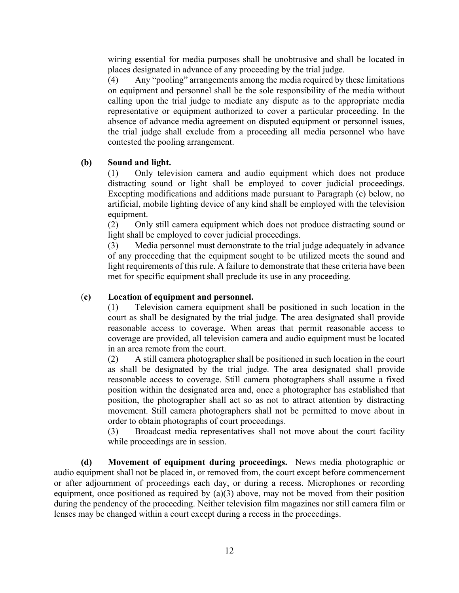wiring essential for media purposes shall be unobtrusive and shall be located in places designated in advance of any proceeding by the trial judge.

(4) Any "pooling" arrangements among the media required by these limitations on equipment and personnel shall be the sole responsibility of the media without calling upon the trial judge to mediate any dispute as to the appropriate media representative or equipment authorized to cover a particular proceeding. In the absence of advance media agreement on disputed equipment or personnel issues, the trial judge shall exclude from a proceeding all media personnel who have contested the pooling arrangement.

## **(b) Sound and light.**

(1) Only television camera and audio equipment which does not produce distracting sound or light shall be employed to cover judicial proceedings. Excepting modifications and additions made pursuant to Paragraph (e) below, no artificial, mobile lighting device of any kind shall be employed with the television equipment.

(2) Only still camera equipment which does not produce distracting sound or light shall be employed to cover judicial proceedings.

(3) Media personnel must demonstrate to the trial judge adequately in advance of any proceeding that the equipment sought to be utilized meets the sound and light requirements of this rule. A failure to demonstrate that these criteria have been met for specific equipment shall preclude its use in any proceeding.

## (**c) Location of equipment and personnel.**

(1) Television camera equipment shall be positioned in such location in the court as shall be designated by the trial judge. The area designated shall provide reasonable access to coverage. When areas that permit reasonable access to coverage are provided, all television camera and audio equipment must be located in an area remote from the court.

(2) A still camera photographer shall be positioned in such location in the court as shall be designated by the trial judge. The area designated shall provide reasonable access to coverage. Still camera photographers shall assume a fixed position within the designated area and, once a photographer has established that position, the photographer shall act so as not to attract attention by distracting movement. Still camera photographers shall not be permitted to move about in order to obtain photographs of court proceedings.

(3) Broadcast media representatives shall not move about the court facility while proceedings are in session.

**(d) Movement of equipment during proceedings.** News media photographic or audio equipment shall not be placed in, or removed from, the court except before commencement or after adjournment of proceedings each day, or during a recess. Microphones or recording equipment, once positioned as required by (a)(3) above, may not be moved from their position during the pendency of the proceeding. Neither television film magazines nor still camera film or lenses may be changed within a court except during a recess in the proceedings.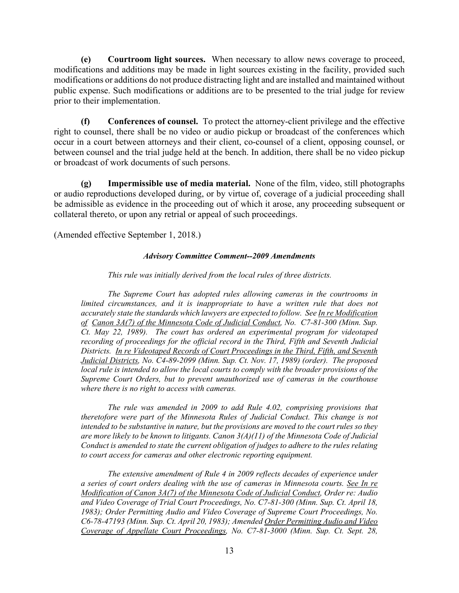**(e) Courtroom light sources.** When necessary to allow news coverage to proceed, modifications and additions may be made in light sources existing in the facility, provided such modifications or additions do not produce distracting light and are installed and maintained without public expense. Such modifications or additions are to be presented to the trial judge for review prior to their implementation.

**(f) Conferences of counsel.** To protect the attorney-client privilege and the effective right to counsel, there shall be no video or audio pickup or broadcast of the conferences which occur in a court between attorneys and their client, co-counsel of a client, opposing counsel, or between counsel and the trial judge held at the bench. In addition, there shall be no video pickup or broadcast of work documents of such persons.

**(g) Impermissible use of media material.** None of the film, video, still photographs or audio reproductions developed during, or by virtue of, coverage of a judicial proceeding shall be admissible as evidence in the proceeding out of which it arose, any proceeding subsequent or collateral thereto, or upon any retrial or appeal of such proceedings.

(Amended effective September 1, 2018.)

## *Advisory Committee Comment--2009 Amendments*

## *This rule was initially derived from the local rules of three districts.*

*The Supreme Court has adopted rules allowing cameras in the courtrooms in limited circumstances, and it is inappropriate to have a written rule that does not accurately state the standards which lawyers are expected to follow. See In re Modification of Canon 3A(7) of the Minnesota Code of Judicial Conduct, No. C7-81-300 (Minn. Sup. Ct. May 22, 1989). The court has ordered an experimental program for videotaped recording of proceedings for the official record in the Third, Fifth and Seventh Judicial Districts. In re Videotaped Records of Court Proceedings in the Third, Fifth, and Seventh Judicial Districts, No. C4-89-2099 (Minn. Sup. Ct. Nov. 17, 1989) (order). The proposed local rule is intended to allow the local courts to comply with the broader provisions of the Supreme Court Orders, but to prevent unauthorized use of cameras in the courthouse where there is no right to access with cameras.*

 *The rule was amended in 2009 to add Rule 4.02, comprising provisions that theretofore were part of the Minnesota Rules of Judicial Conduct. This change is not intended to be substantive in nature, but the provisions are moved to the court rules so they are more likely to be known to litigants. Canon 3(A)(11) of the Minnesota Code of Judicial Conduct is amended to state the current obligation of judges to adhere to the rules relating to court access for cameras and other electronic reporting equipment.* 

*The extensive amendment of Rule 4 in 2009 reflects decades of experience under a series of court orders dealing with the use of cameras in Minnesota courts. See In re Modification of Canon 3A(7) of the Minnesota Code of Judicial Conduct, Order re: Audio and Video Coverage of Trial Court Proceedings, No. C7-81-300 (Minn. Sup. Ct. April 18, 1983); Order Permitting Audio and Video Coverage of Supreme Court Proceedings, No. C6-78-47193 (Minn. Sup. Ct. April 20, 1983); Amended Order Permitting Audio and Video Coverage of Appellate Court Proceedings, No. C7-81-3000 (Minn. Sup. Ct. Sept. 28,*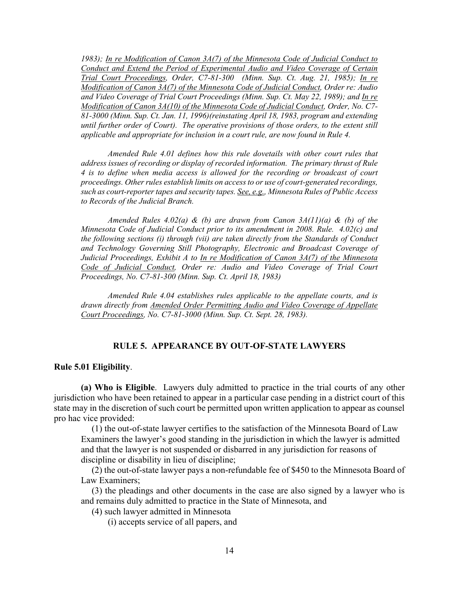*1983); In re Modification of Canon 3A(7) of the Minnesota Code of Judicial Conduct to Conduct and Extend the Period of Experimental Audio and Video Coverage of Certain Trial Court Proceedings, Order, C7-81-300 (Minn. Sup. Ct. Aug. 21, 1985); In re Modification of Canon 3A(7) of the Minnesota Code of Judicial Conduct, Order re: Audio and Video Coverage of Trial Court Proceedings (Minn. Sup. Ct. May 22, 1989); and In re Modification of Canon 3A(10) of the Minnesota Code of Judicial Conduct, Order, No. C7- 81-3000 (Minn. Sup. Ct. Jan. 11, 1996)(reinstating April 18, 1983, program and extending until further order of Court). The operative provisions of those orders, to the extent still applicable and appropriate for inclusion in a court rule, are now found in Rule 4.* 

 *Amended Rule 4.01 defines how this rule dovetails with other court rules that address issues of recording or display of recorded information. The primary thrust of Rule 4 is to define when media access is allowed for the recording or broadcast of court proceedings. Other rules establish limits on access to or use of court-generated recordings, such as court-reporter tapes and security tapes. See, e.g., Minnesota Rules of Public Access to Records of the Judicial Branch.* 

 *Amended Rules 4.02(a) & (b) are drawn from Canon 3A(11)(a) & (b) of the Minnesota Code of Judicial Conduct prior to its amendment in 2008. Rule. 4.02(c) and the following sections (i) through (vii) are taken directly from the Standards of Conduct and Technology Governing Still Photography, Electronic and Broadcast Coverage of Judicial Proceedings, Exhibit A to In re Modification of Canon 3A(7) of the Minnesota Code of Judicial Conduct, Order re: Audio and Video Coverage of Trial Court Proceedings, No. C7-81-300 (Minn. Sup. Ct. April 18, 1983)* 

 *Amended Rule 4.04 establishes rules applicable to the appellate courts, and is drawn directly from Amended Order Permitting Audio and Video Coverage of Appellate Court Proceedings, No. C7-81-3000 (Minn. Sup. Ct. Sept. 28, 1983).* 

## **RULE 5. APPEARANCE BY OUT-OF-STATE LAWYERS**

### **Rule 5.01 Eligibility**.

**(a) Who is Eligible**. Lawyers duly admitted to practice in the trial courts of any other jurisdiction who have been retained to appear in a particular case pending in a district court of this state may in the discretion of such court be permitted upon written application to appear as counsel pro hac vice provided:

(1) the out-of-state lawyer certifies to the satisfaction of the Minnesota Board of Law Examiners the lawyer's good standing in the jurisdiction in which the lawyer is admitted and that the lawyer is not suspended or disbarred in any jurisdiction for reasons of discipline or disability in lieu of discipline;

(2) the out-of-state lawyer pays a non-refundable fee of \$450 to the Minnesota Board of Law Examiners;

(3) the pleadings and other documents in the case are also signed by a lawyer who is and remains duly admitted to practice in the State of Minnesota, and

(4) such lawyer admitted in Minnesota

(i) accepts service of all papers, and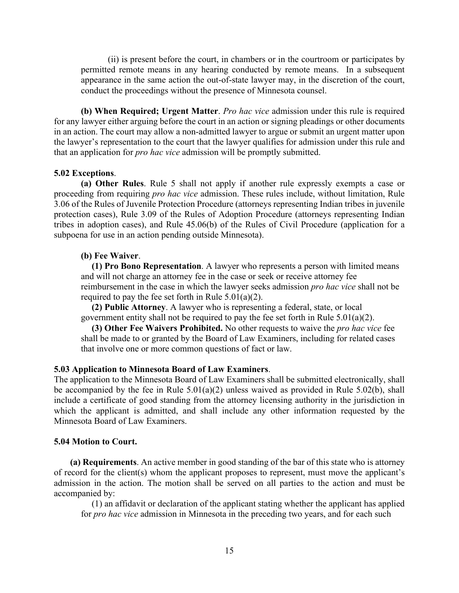(ii) is present before the court, in chambers or in the courtroom or participates by permitted remote means in any hearing conducted by remote means. In a subsequent appearance in the same action the out-of-state lawyer may, in the discretion of the court, conduct the proceedings without the presence of Minnesota counsel.

**(b) When Required; Urgent Matter**. *Pro hac vice* admission under this rule is required for any lawyer either arguing before the court in an action or signing pleadings or other documents in an action. The court may allow a non-admitted lawyer to argue or submit an urgent matter upon the lawyer's representation to the court that the lawyer qualifies for admission under this rule and that an application for *pro hac vice* admission will be promptly submitted.

## **5.02 Exceptions**.

**(a) Other Rules**. Rule 5 shall not apply if another rule expressly exempts a case or proceeding from requiring *pro hac vice* admission. These rules include, without limitation, Rule 3.06 of the Rules of Juvenile Protection Procedure (attorneys representing Indian tribes in juvenile protection cases), Rule 3.09 of the Rules of Adoption Procedure (attorneys representing Indian tribes in adoption cases), and Rule 45.06(b) of the Rules of Civil Procedure (application for a subpoena for use in an action pending outside Minnesota).

## **(b) Fee Waiver**.

**(1) Pro Bono Representation**. A lawyer who represents a person with limited means and will not charge an attorney fee in the case or seek or receive attorney fee reimbursement in the case in which the lawyer seeks admission *pro hac vice* shall not be required to pay the fee set forth in Rule  $5.01(a)(2)$ .

**(2) Public Attorney**. A lawyer who is representing a federal, state, or local government entity shall not be required to pay the fee set forth in Rule 5.01(a)(2).

**(3) Other Fee Waivers Prohibited.** No other requests to waive the *pro hac vice* fee shall be made to or granted by the Board of Law Examiners, including for related cases that involve one or more common questions of fact or law.

#### **5.03 Application to Minnesota Board of Law Examiners**.

The application to the Minnesota Board of Law Examiners shall be submitted electronically, shall be accompanied by the fee in Rule 5.01(a)(2) unless waived as provided in Rule 5.02(b), shall include a certificate of good standing from the attorney licensing authority in the jurisdiction in which the applicant is admitted, and shall include any other information requested by the Minnesota Board of Law Examiners.

### **5.04 Motion to Court.**

**(a) Requirements**. An active member in good standing of the bar of this state who is attorney of record for the client(s) whom the applicant proposes to represent, must move the applicant's admission in the action. The motion shall be served on all parties to the action and must be accompanied by:

(1) an affidavit or declaration of the applicant stating whether the applicant has applied for *pro hac vice* admission in Minnesota in the preceding two years, and for each such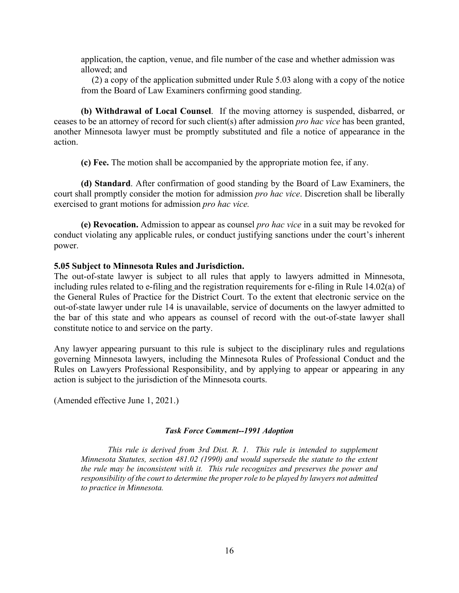application, the caption, venue, and file number of the case and whether admission was allowed; and

(2) a copy of the application submitted under Rule 5.03 along with a copy of the notice from the Board of Law Examiners confirming good standing.

**(b) Withdrawal of Local Counsel**. If the moving attorney is suspended, disbarred, or ceases to be an attorney of record for such client(s) after admission *pro hac vice* has been granted, another Minnesota lawyer must be promptly substituted and file a notice of appearance in the action.

**(c) Fee.** The motion shall be accompanied by the appropriate motion fee, if any.

**(d) Standard**. After confirmation of good standing by the Board of Law Examiners, the court shall promptly consider the motion for admission *pro hac vice*. Discretion shall be liberally exercised to grant motions for admission *pro hac vice.*

**(e) Revocation.** Admission to appear as counsel *pro hac vice* in a suit may be revoked for conduct violating any applicable rules, or conduct justifying sanctions under the court's inherent power.

## **5.05 Subject to Minnesota Rules and Jurisdiction.**

The out-of-state lawyer is subject to all rules that apply to lawyers admitted in Minnesota, including rules related to e-filing and the registration requirements for e-filing in Rule 14.02(a) of the General Rules of Practice for the District Court. To the extent that electronic service on the out-of-state lawyer under rule 14 is unavailable, service of documents on the lawyer admitted to the bar of this state and who appears as counsel of record with the out-of-state lawyer shall constitute notice to and service on the party.

Any lawyer appearing pursuant to this rule is subject to the disciplinary rules and regulations governing Minnesota lawyers, including the Minnesota Rules of Professional Conduct and the Rules on Lawyers Professional Responsibility, and by applying to appear or appearing in any action is subject to the jurisdiction of the Minnesota courts.

(Amended effective June 1, 2021.)

### *Task Force Comment--1991 Adoption*

*This rule is derived from 3rd Dist. R. 1. This rule is intended to supplement Minnesota Statutes, section 481.02 (1990) and would supersede the statute to the extent the rule may be inconsistent with it. This rule recognizes and preserves the power and responsibility of the court to determine the proper role to be played by lawyers not admitted to practice in Minnesota.*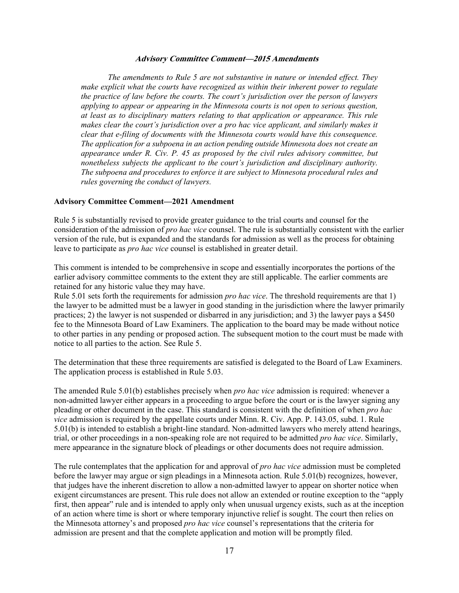#### **Advisory Committee Comment—2015 Amendments**

*The amendments to Rule 5 are not substantive in nature or intended effect. They make explicit what the courts have recognized as within their inherent power to regulate the practice of law before the courts. The court's jurisdiction over the person of lawyers applying to appear or appearing in the Minnesota courts is not open to serious question, at least as to disciplinary matters relating to that application or appearance. This rule makes clear the court's jurisdiction over a pro hac vice applicant, and similarly makes it clear that e-filing of documents with the Minnesota courts would have this consequence. The application for a subpoena in an action pending outside Minnesota does not create an appearance under R. Civ. P. 45 as proposed by the civil rules advisory committee, but nonetheless subjects the applicant to the court's jurisdiction and disciplinary authority. The subpoena and procedures to enforce it are subject to Minnesota procedural rules and rules governing the conduct of lawyers.* 

#### **Advisory Committee Comment—2021 Amendment**

Rule 5 is substantially revised to provide greater guidance to the trial courts and counsel for the consideration of the admission of *pro hac vice* counsel. The rule is substantially consistent with the earlier version of the rule, but is expanded and the standards for admission as well as the process for obtaining leave to participate as *pro hac vice* counsel is established in greater detail.

This comment is intended to be comprehensive in scope and essentially incorporates the portions of the earlier advisory committee comments to the extent they are still applicable. The earlier comments are retained for any historic value they may have.

Rule 5.01 sets forth the requirements for admission *pro hac vice*. The threshold requirements are that 1) the lawyer to be admitted must be a lawyer in good standing in the jurisdiction where the lawyer primarily practices; 2) the lawyer is not suspended or disbarred in any jurisdiction; and 3) the lawyer pays a \$450 fee to the Minnesota Board of Law Examiners. The application to the board may be made without notice to other parties in any pending or proposed action. The subsequent motion to the court must be made with notice to all parties to the action. See Rule 5.

The determination that these three requirements are satisfied is delegated to the Board of Law Examiners. The application process is established in Rule 5.03.

The amended Rule 5.01(b) establishes precisely when *pro hac vice* admission is required: whenever a non-admitted lawyer either appears in a proceeding to argue before the court or is the lawyer signing any pleading or other document in the case. This standard is consistent with the definition of when *pro hac vice* admission is required by the appellate courts under Minn. R. Civ. App. P. 143.05, subd. 1. Rule 5.01(b) is intended to establish a bright-line standard. Non-admitted lawyers who merely attend hearings, trial, or other proceedings in a non-speaking role are not required to be admitted *pro hac vice*. Similarly, mere appearance in the signature block of pleadings or other documents does not require admission.

The rule contemplates that the application for and approval of *pro hac vice* admission must be completed before the lawyer may argue or sign pleadings in a Minnesota action. Rule 5.01(b) recognizes, however, that judges have the inherent discretion to allow a non-admitted lawyer to appear on shorter notice when exigent circumstances are present. This rule does not allow an extended or routine exception to the "apply first, then appear" rule and is intended to apply only when unusual urgency exists, such as at the inception of an action where time is short or where temporary injunctive relief is sought. The court then relies on the Minnesota attorney's and proposed *pro hac vice* counsel's representations that the criteria for admission are present and that the complete application and motion will be promptly filed.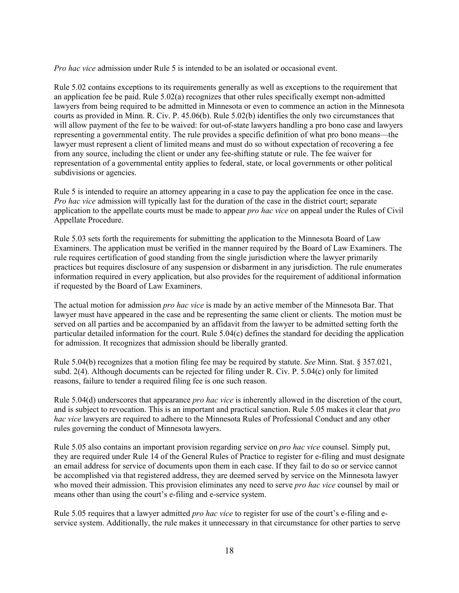*Pro hac vice* admission under Rule 5 is intended to be an isolated or occasional event.

Rule 5.02 contains exceptions to its requirements generally as well as exceptions to the requirement that an application fee be paid. Rule 5.02(a) recognizes that other rules specifically exempt non-admitted lawyers from being required to be admitted in Minnesota or even to commence an action in the Minnesota courts as provided in Minn. R. Civ. P. 45.06(b). Rule 5.02(b) identifies the only two circumstances that will allow payment of the fee to be waived: for out-of-state lawyers handling a pro bono case and lawyers representing a governmental entity. The rule provides a specific definition of what pro bono means—the lawyer must represent a client of limited means and must do so without expectation of recovering a fee from any source, including the client or under any fee-shifting statute or rule. The fee waiver for representation of a governmental entity applies to federal, state, or local governments or other political subdivisions or agencies.

Rule 5 is intended to require an attorney appearing in a case to pay the application fee once in the case. *Pro hac vice* admission will typically last for the duration of the case in the district court; separate application to the appellate courts must be made to appear *pro hac vice* on appeal under the Rules of Civil Appellate Procedure.

Rule 5.03 sets forth the requirements for submitting the application to the Minnesota Board of Law Examiners. The application must be verified in the manner required by the Board of Law Examiners. The rule requires certification of good standing from the single jurisdiction where the lawyer primarily practices but requires disclosure of any suspension or disbarment in any jurisdiction. The rule enumerates information required in every application, but also provides for the requirement of additional information if requested by the Board of Law Examiners.

The actual motion for admission *pro hac vice* is made by an active member of the Minnesota Bar. That lawyer must have appeared in the case and be representing the same client or clients. The motion must be served on all parties and be accompanied by an affidavit from the lawyer to be admitted setting forth the particular detailed information for the court. Rule 5.04(c) defines the standard for deciding the application for admission. It recognizes that admission should be liberally granted.

Rule 5.04(b) recognizes that a motion filing fee may be required by statute. *See* Minn. Stat. § 357.021, subd. 2(4). Although documents can be rejected for filing under R. Civ. P. 5.04(c) only for limited reasons, failure to tender a required filing fee is one such reason.

Rule 5.04(d) underscores that appearance *pro hac vice* is inherently allowed in the discretion of the court, and is subject to revocation. This is an important and practical sanction. Rule 5.05 makes it clear that *pro hac vice* lawyers are required to adhere to the Minnesota Rules of Professional Conduct and any other rules governing the conduct of Minnesota lawyers.

Rule 5.05 also contains an important provision regarding service on *pro hac vice* counsel. Simply put, they are required under Rule 14 of the General Rules of Practice to register for e-filing and must designate an email address for service of documents upon them in each case. If they fail to do so or service cannot be accomplished via that registered address, they are deemed served by service on the Minnesota lawyer who moved their admission. This provision eliminates any need to serve *pro hac vice* counsel by mail or means other than using the court's e-filing and e-service system.

Rule 5.05 requires that a lawyer admitted *pro hac vice* to register for use of the court's e-filing and eservice system. Additionally, the rule makes it unnecessary in that circumstance for other parties to serve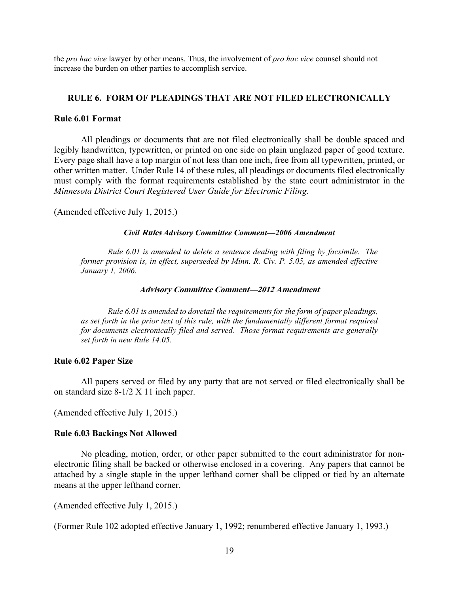the *pro hac vice* lawyer by other means. Thus, the involvement of *pro hac vice* counsel should not increase the burden on other parties to accomplish service.

### **RULE 6. FORM OF PLEADINGS THAT ARE NOT FILED ELECTRONICALLY**

### **Rule 6.01 Format**

 All pleadings or documents that are not filed electronically shall be double spaced and legibly handwritten, typewritten, or printed on one side on plain unglazed paper of good texture. Every page shall have a top margin of not less than one inch, free from all typewritten, printed, or other written matter. Under Rule 14 of these rules, all pleadings or documents filed electronically must comply with the format requirements established by the state court administrator in the *Minnesota District Court Registered User Guide for Electronic Filing.*

(Amended effective July 1, 2015.)

#### *Civil* **Rules** *Advisory Committee Comment—2006 Amendment*

 *Rule 6.01 is amended to delete a sentence dealing with filing by facsimile. The former provision is, in effect, superseded by Minn. R. Civ. P. 5.05, as amended effective January 1, 2006.* 

#### **Advisory Committee Comment—2012 Amendment**

*Rule 6.01 is amended to dovetail the requirements for the form of paper pleadings, as set forth in the prior text of this rule, with the fundamentally different format required for documents electronically filed and served. Those format requirements are generally set forth in new Rule 14.05.* 

#### **Rule 6.02 Paper Size**

 All papers served or filed by any party that are not served or filed electronically shall be on standard size 8-1/2 X 11 inch paper.

(Amended effective July 1, 2015.)

## **Rule 6.03 Backings Not Allowed**

 No pleading, motion, order, or other paper submitted to the court administrator for nonelectronic filing shall be backed or otherwise enclosed in a covering. Any papers that cannot be attached by a single staple in the upper lefthand corner shall be clipped or tied by an alternate means at the upper lefthand corner.

(Amended effective July 1, 2015.)

(Former Rule 102 adopted effective January 1, 1992; renumbered effective January 1, 1993.)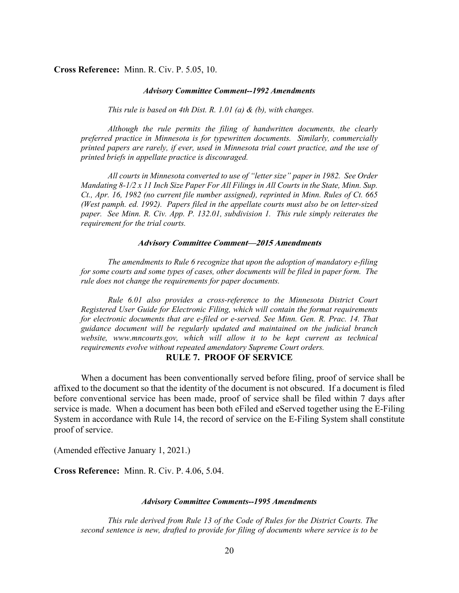### **Cross Reference:** Minn. R. Civ. P. 5.05, 10.

#### *Advisory Committee Comment--1992 Amendments*

*This rule is based on 4th Dist. R. 1.01 (a) & (b), with changes.* 

 *Although the rule permits the filing of handwritten documents, the clearly preferred practice in Minnesota is for typewritten documents. Similarly, commercially printed papers are rarely, if ever, used in Minnesota trial court practice, and the use of printed briefs in appellate practice is discouraged.* 

 *All courts in Minnesota converted to use of "letter size" paper in 1982. See Order Mandating 8-1/2 x 11 Inch Size Paper For All Filings in All Courts in the State, Minn. Sup. Ct., Apr. 16, 1982 (no current file number assigned), reprinted in Minn. Rules of Ct. 665 (West pamph. ed. 1992). Papers filed in the appellate courts must also be on letter-sized paper. See Minn. R. Civ. App. P. 132.01, subdivision 1. This rule simply reiterates the requirement for the trial courts.*

#### **Advisory Committee Comment—2015 Amendments**

*The amendments to Rule 6 recognize that upon the adoption of mandatory e-filing for some courts and some types of cases, other documents will be filed in paper form. The rule does not change the requirements for paper documents.* 

*Rule 6.01 also provides a cross-reference to the Minnesota District Court Registered User Guide for Electronic Filing, which will contain the format requirements for electronic documents that are e-filed or e-served. See Minn. Gen. R. Prac. 14. That guidance document will be regularly updated and maintained on the judicial branch website, www.mncourts.gov, which will allow it to be kept current as technical requirements evolve without repeated amendatory Supreme Court orders.* 

### **RULE 7. PROOF OF SERVICE**

When a document has been conventionally served before filing, proof of service shall be affixed to the document so that the identity of the document is not obscured. If a document is filed before conventional service has been made, proof of service shall be filed within 7 days after service is made. When a document has been both eFiled and eServed together using the E-Filing System in accordance with Rule 14, the record of service on the E-Filing System shall constitute proof of service.

(Amended effective January 1, 2021.)

**Cross Reference:** Minn. R. Civ. P. 4.06, 5.04.

#### *Advisory Committee Comments--1995 Amendments*

 *This rule derived from Rule 13 of the Code of Rules for the District Courts. The second sentence is new, drafted to provide for filing of documents where service is to be*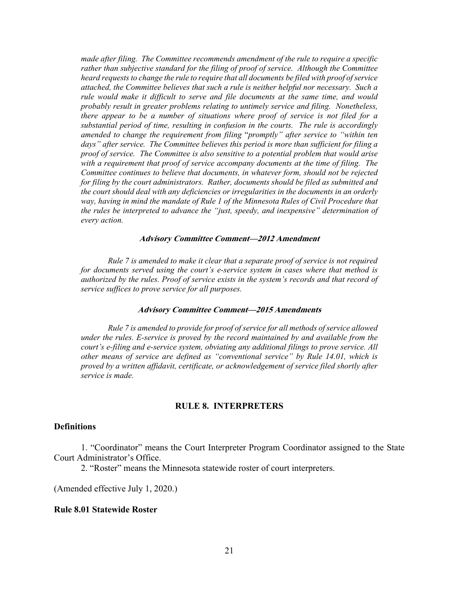*made after filing. The Committee recommends amendment of the rule to require a specific rather than subjective standard for the filing of proof of service. Although the Committee heard requests to change the rule to require that all documents be filed with proof ofservice attached, the Committee believes that such a rule is neither helpful nor necessary. Such a rule would make it difficult to serve and file documents at the same time, and would probably result in greater problems relating to untimely service and filing. Nonetheless, there appear to be a number of situations where proof of service is not filed for a substantial period of time, resulting in confusion in the courts. The rule is accordingly amended to change the requirement from filing* "*promptly" after service to "within ten days" after service. The Committee believes this period is more than sufficient for filing a proof of service. The Committee is also sensitive to a potential problem that would arise with a requirement that proof of service accompany documents at the time of filing. The Committee continues to believe that documents, in whatever form, should not be rejected for filing by the court administrators. Rather, documents should be filed as submitted and the court should deal with any deficiencies or irregularities in the documents in an orderly way, having in mind the mandate of Rule 1 of the Minnesota Rules of Civil Procedure that the rules be interpreted to advance the "just, speedy, and inexpensive" determination of every action.* 

#### **Advisory Committee Comment—2012 Amendment**

*Rule 7 is amended to make it clear that a separate proof of service is not required for documents served using the court's e-service system in cases where that method is authorized by the rules. Proof of service exists in the system's records and that record of service suffices to prove service for all purposes.*

### **Advisory Committee Comment—2015 Amendments**

*Rule 7 is amended to provide for proof of service for all methods of service allowed under the rules. E-service is proved by the record maintained by and available from the court's e-filing and e-service system, obviating any additional filings to prove service. All other means of service are defined as "conventional service" by Rule 14.01, which is proved by a written affidavit, certificate, or acknowledgement of service filed shortly after service is made.* 

## **RULE 8. INTERPRETERS**

## **Definitions**

 1. "Coordinator" means the Court Interpreter Program Coordinator assigned to the State Court Administrator's Office.

2. "Roster" means the Minnesota statewide roster of court interpreters.

(Amended effective July 1, 2020.)

### **Rule 8.01 Statewide Roster**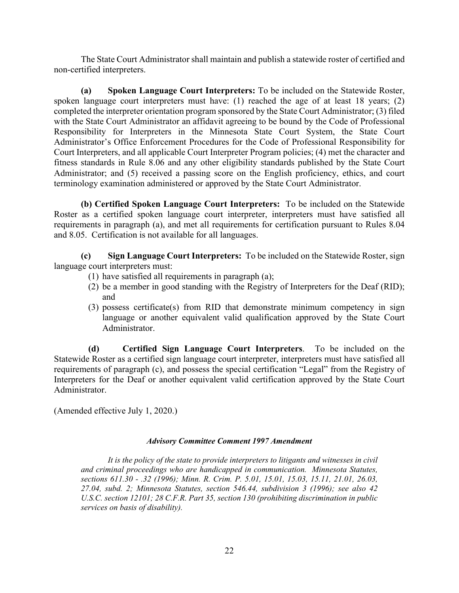The State Court Administrator shall maintain and publish a statewide roster of certified and non-certified interpreters.

**(a) Spoken Language Court Interpreters:** To be included on the Statewide Roster, spoken language court interpreters must have: (1) reached the age of at least 18 years; (2) completed the interpreter orientation program sponsored by the State Court Administrator; (3) filed with the State Court Administrator an affidavit agreeing to be bound by the Code of Professional Responsibility for Interpreters in the Minnesota State Court System, the State Court Administrator's Office Enforcement Procedures for the Code of Professional Responsibility for Court Interpreters, and all applicable Court Interpreter Program policies; (4) met the character and fitness standards in Rule 8.06 and any other eligibility standards published by the State Court Administrator; and (5) received a passing score on the English proficiency, ethics, and court terminology examination administered or approved by the State Court Administrator.

**(b) Certified Spoken Language Court Interpreters:** To be included on the Statewide Roster as a certified spoken language court interpreter, interpreters must have satisfied all requirements in paragraph (a), and met all requirements for certification pursuant to Rules 8.04 and 8.05. Certification is not available for all languages.

**(c) Sign Language Court Interpreters:** To be included on the Statewide Roster, sign language court interpreters must:

- (1) have satisfied all requirements in paragraph (a);
- (2) be a member in good standing with the Registry of Interpreters for the Deaf (RID); and
- (3) possess certificate(s) from RID that demonstrate minimum competency in sign language or another equivalent valid qualification approved by the State Court Administrator.

**(d) Certified Sign Language Court Interpreters**. To be included on the Statewide Roster as a certified sign language court interpreter, interpreters must have satisfied all requirements of paragraph (c), and possess the special certification "Legal" from the Registry of Interpreters for the Deaf or another equivalent valid certification approved by the State Court Administrator.

(Amended effective July 1, 2020.)

## *Advisory Committee Comment 1997 Amendment*

 *It is the policy of the state to provide interpreters to litigants and witnesses in civil and criminal proceedings who are handicapped in communication. Minnesota Statutes, sections 611.30 - .32 (1996); Minn. R. Crim. P. 5.01, 15.01, 15.03, 15.11, 21.01, 26.03, 27.04, subd. 2; Minnesota Statutes, section 546.44, subdivision 3 (1996); see also 42 U.S.C. section 12101; 28 C.F.R. Part 35, section 130 (prohibiting discrimination in public services on basis of disability).*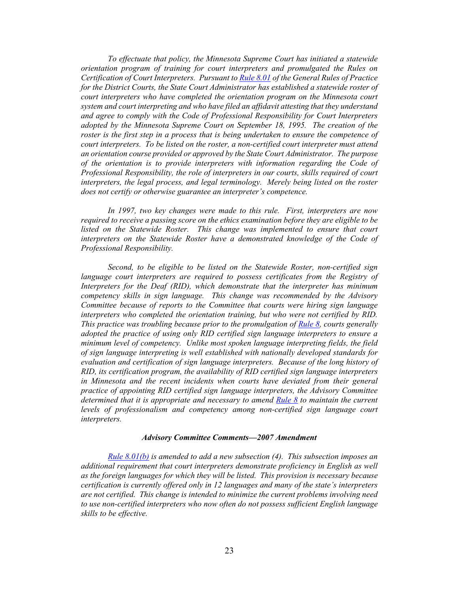*To effectuate that policy, the Minnesota Supreme Court has initiated a statewide orientation program of training for court interpreters and promulgated the Rules on Certification of Court Interpreters. Pursuant to Rule 8.01 of the General Rules of Practice for the District Courts, the State Court Administrator has established a statewide roster of court interpreters who have completed the orientation program on the Minnesota court system and court interpreting and who have filed an affidavit attesting that they understand and agree to comply with the Code of Professional Responsibility for Court Interpreters adopted by the Minnesota Supreme Court on September 18, 1995. The creation of the roster is the first step in a process that is being undertaken to ensure the competence of court interpreters. To be listed on the roster, a non-certified court interpreter must attend an orientation course provided or approved by the State Court Administrator. The purpose of the orientation is to provide interpreters with information regarding the Code of Professional Responsibility, the role of interpreters in our courts, skills required of court interpreters, the legal process, and legal terminology. Merely being listed on the roster does not certify or otherwise guarantee an interpreter's competence.*

 *In 1997, two key changes were made to this rule. First, interpreters are now required to receive a passing score on the ethics examination before they are eligible to be listed on the Statewide Roster. This change was implemented to ensure that court interpreters on the Statewide Roster have a demonstrated knowledge of the Code of Professional Responsibility.*

 *Second, to be eligible to be listed on the Statewide Roster, non-certified sign language court interpreters are required to possess certificates from the Registry of Interpreters for the Deaf (RID), which demonstrate that the interpreter has minimum competency skills in sign language. This change was recommended by the Advisory Committee because of reports to the Committee that courts were hiring sign language interpreters who completed the orientation training, but who were not certified by RID. This practice was troubling because prior to the promulgation of Rule 8, courts generally adopted the practice of using only RID certified sign language interpreters to ensure a minimum level of competency. Unlike most spoken language interpreting fields, the field of sign language interpreting is well established with nationally developed standards for evaluation and certification of sign language interpreters. Because of the long history of RID, its certification program, the availability of RID certified sign language interpreters in Minnesota and the recent incidents when courts have deviated from their general practice of appointing RID certified sign language interpreters, the Advisory Committee determined that it is appropriate and necessary to amend Rule 8 to maintain the current levels of professionalism and competency among non-certified sign language court interpreters.*

#### *Advisory Committee Comments—2007 Amendment*

*Rule 8.01(b) is amended to add a new subsection (4). This subsection imposes an additional requirement that court interpreters demonstrate proficiency in English as well as the foreign languages for which they will be listed. This provision is necessary because certification is currently offered only in 12 languages and many of the state's interpreters are not certified. This change is intended to minimize the current problems involving need to use non-certified interpreters who now often do not possess sufficient English language skills to be effective.*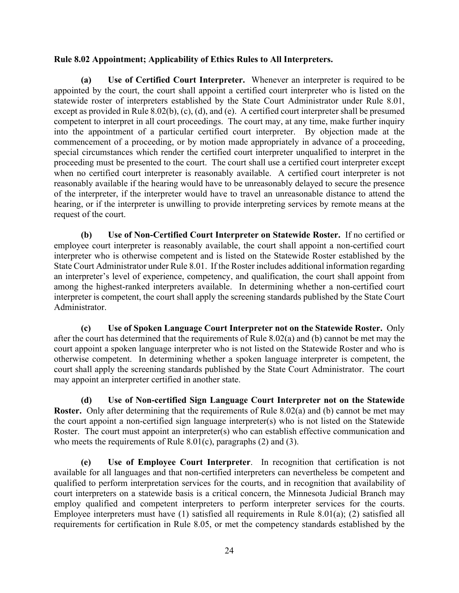## **Rule 8.02 Appointment; Applicability of Ethics Rules to All Interpreters.**

**(a) Use of Certified Court Interpreter.** Whenever an interpreter is required to be appointed by the court, the court shall appoint a certified court interpreter who is listed on the statewide roster of interpreters established by the State Court Administrator under Rule 8.01, except as provided in Rule 8.02(b), (c), (d), and (e). A certified court interpreter shall be presumed competent to interpret in all court proceedings. The court may, at any time, make further inquiry into the appointment of a particular certified court interpreter. By objection made at the commencement of a proceeding, or by motion made appropriately in advance of a proceeding, special circumstances which render the certified court interpreter unqualified to interpret in the proceeding must be presented to the court. The court shall use a certified court interpreter except when no certified court interpreter is reasonably available. A certified court interpreter is not reasonably available if the hearing would have to be unreasonably delayed to secure the presence of the interpreter, if the interpreter would have to travel an unreasonable distance to attend the hearing, or if the interpreter is unwilling to provide interpreting services by remote means at the request of the court.

 **(b) Use of Non-Certified Court Interpreter on Statewide Roster.** If no certified or employee court interpreter is reasonably available, the court shall appoint a non-certified court interpreter who is otherwise competent and is listed on the Statewide Roster established by the State Court Administrator under Rule 8.01. If the Roster includes additional information regarding an interpreter's level of experience, competency, and qualification, the court shall appoint from among the highest-ranked interpreters available. In determining whether a non-certified court interpreter is competent, the court shall apply the screening standards published by the State Court Administrator.

**(c) Use of Spoken Language Court Interpreter not on the Statewide Roster.** Only after the court has determined that the requirements of Rule 8.02(a) and (b) cannot be met may the court appoint a spoken language interpreter who is not listed on the Statewide Roster and who is otherwise competent. In determining whether a spoken language interpreter is competent, the court shall apply the screening standards published by the State Court Administrator. The court may appoint an interpreter certified in another state.

**(d) Use of Non-certified Sign Language Court Interpreter not on the Statewide Roster.** Only after determining that the requirements of Rule 8.02(a) and (b) cannot be met may the court appoint a non-certified sign language interpreter(s) who is not listed on the Statewide Roster. The court must appoint an interpreter(s) who can establish effective communication and who meets the requirements of Rule  $8.01(c)$ , paragraphs  $(2)$  and  $(3)$ .

**(e) Use of Employee Court Interpreter**. In recognition that certification is not available for all languages and that non-certified interpreters can nevertheless be competent and qualified to perform interpretation services for the courts, and in recognition that availability of court interpreters on a statewide basis is a critical concern, the Minnesota Judicial Branch may employ qualified and competent interpreters to perform interpreter services for the courts. Employee interpreters must have (1) satisfied all requirements in Rule 8.01(a); (2) satisfied all requirements for certification in Rule 8.05, or met the competency standards established by the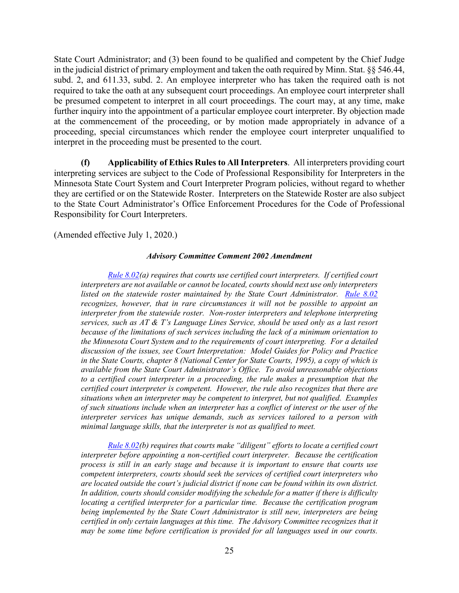State Court Administrator; and (3) been found to be qualified and competent by the Chief Judge in the judicial district of primary employment and taken the oath required by Minn. Stat. §§ 546.44, subd. 2, and 611.33, subd. 2. An employee interpreter who has taken the required oath is not required to take the oath at any subsequent court proceedings. An employee court interpreter shall be presumed competent to interpret in all court proceedings. The court may, at any time, make further inquiry into the appointment of a particular employee court interpreter. By objection made at the commencement of the proceeding, or by motion made appropriately in advance of a proceeding, special circumstances which render the employee court interpreter unqualified to interpret in the proceeding must be presented to the court.

**(f) Applicability of Ethics Rules to All Interpreters**. All interpreters providing court interpreting services are subject to the Code of Professional Responsibility for Interpreters in the Minnesota State Court System and Court Interpreter Program policies, without regard to whether they are certified or on the Statewide Roster. Interpreters on the Statewide Roster are also subject to the State Court Administrator's Office Enforcement Procedures for the Code of Professional Responsibility for Court Interpreters.

(Amended effective July 1, 2020.)

### *Advisory Committee Comment 2002 Amendment*

*Rule 8.02(a) requires that courts use certified court interpreters. If certified court interpreters are not available or cannot be located, courts should next use only interpreters listed on the statewide roster maintained by the State Court Administrator. Rule 8.02 recognizes, however, that in rare circumstances it will not be possible to appoint an interpreter from the statewide roster. Non-roster interpreters and telephone interpreting services, such as AT & T's Language Lines Service, should be used only as a last resort because of the limitations of such services including the lack of a minimum orientation to the Minnesota Court System and to the requirements of court interpreting. For a detailed discussion of the issues, see Court Interpretation: Model Guides for Policy and Practice in the State Courts, chapter 8 (National Center for State Courts, 1995), a copy of which is available from the State Court Administrator's Office. To avoid unreasonable objections to a certified court interpreter in a proceeding, the rule makes a presumption that the certified court interpreter is competent. However, the rule also recognizes that there are situations when an interpreter may be competent to interpret, but not qualified. Examples of such situations include when an interpreter has a conflict of interest or the user of the interpreter services has unique demands, such as services tailored to a person with minimal language skills, that the interpreter is not as qualified to meet.*

*Rule 8.02(b) requires that courts make "diligent" efforts to locate a certified court interpreter before appointing a non-certified court interpreter. Because the certification process is still in an early stage and because it is important to ensure that courts use competent interpreters, courts should seek the services of certified court interpreters who are located outside the court's judicial district if none can be found within its own district. In addition, courts should consider modifying the schedule for a matter if there is difficulty locating a certified interpreter for a particular time. Because the certification program being implemented by the State Court Administrator is still new, interpreters are being certified in only certain languages at this time. The Advisory Committee recognizes that it may be some time before certification is provided for all languages used in our courts.*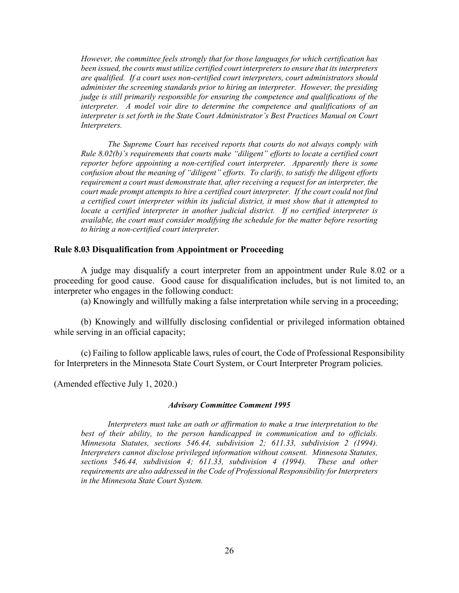*However, the committee feels strongly that for those languages for which certification has been issued, the courts must utilize certified court interpreters to ensure that its interpreters are qualified. If a court uses non-certified court interpreters, court administrators should administer the screening standards prior to hiring an interpreter. However, the presiding judge is still primarily responsible for ensuring the competence and qualifications of the interpreter. A model voir dire to determine the competence and qualifications of an interpreter is set forth in the State Court Administrator's Best Practices Manual on Court Interpreters.* 

*The Supreme Court has received reports that courts do not always comply with Rule 8.02(b)'s requirements that courts make "diligent" efforts to locate a certified court reporter before appointing a non-certified court interpreter. Apparently there is some confusion about the meaning of "diligent" efforts. To clarify, to satisfy the diligent efforts requirement a court must demonstrate that, after receiving a request for an interpreter, the court made prompt attempts to hire a certified court interpreter. If the court could not find a certified court interpreter within its judicial district, it must show that it attempted to locate a certified interpreter in another judicial district. If no certified interpreter is available, the court must consider modifying the schedule for the matter before resorting to hiring a non-certified court interpreter.* 

### **Rule 8.03 Disqualification from Appointment or Proceeding**

 A judge may disqualify a court interpreter from an appointment under Rule 8.02 or a proceeding for good cause. Good cause for disqualification includes, but is not limited to, an interpreter who engages in the following conduct:

(a) Knowingly and willfully making a false interpretation while serving in a proceeding;

 (b) Knowingly and willfully disclosing confidential or privileged information obtained while serving in an official capacity;

 (c) Failing to follow applicable laws, rules of court, the Code of Professional Responsibility for Interpreters in the Minnesota State Court System, or Court Interpreter Program policies.

(Amended effective July 1, 2020.)

#### *Advisory Committee Comment 1995*

 *Interpreters must take an oath or affirmation to make a true interpretation to the best of their ability, to the person handicapped in communication and to officials. Minnesota Statutes, sections 546.44, subdivision 2; 611.33, subdivision 2 (1994). Interpreters cannot disclose privileged information without consent. Minnesota Statutes, sections 546.44, subdivision 4; 611.33, subdivision 4 (1994). These and other requirements are also addressed in the Code of Professional Responsibility for Interpreters in the Minnesota State Court System.*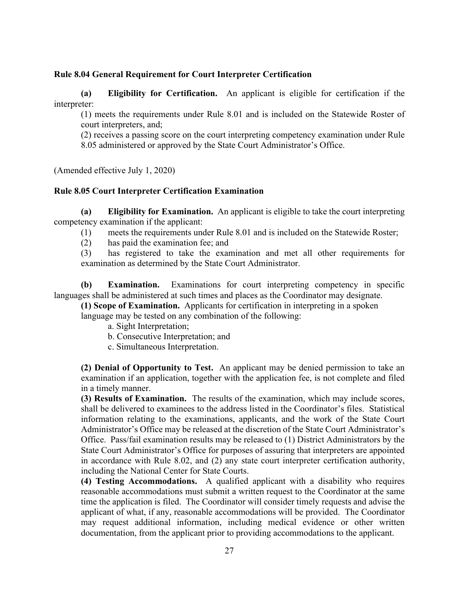## **Rule 8.04 General Requirement for Court Interpreter Certification**

 **(a) Eligibility for Certification.** An applicant is eligible for certification if the interpreter:

(1) meets the requirements under Rule 8.01 and is included on the Statewide Roster of court interpreters, and;

(2) receives a passing score on the court interpreting competency examination under Rule 8.05 administered or approved by the State Court Administrator's Office.

(Amended effective July 1, 2020)

## **Rule 8.05 Court Interpreter Certification Examination**

 **(a) Eligibility for Examination.** An applicant is eligible to take the court interpreting competency examination if the applicant:

(1) meets the requirements under Rule 8.01 and is included on the Statewide Roster;

(2) has paid the examination fee; and

 (3) has registered to take the examination and met all other requirements for examination as determined by the State Court Administrator.

**(b) Examination.** Examinations for court interpreting competency in specific languages shall be administered at such times and places as the Coordinator may designate.

**(1) Scope of Examination.** Applicants for certification in interpreting in a spoken

language may be tested on any combination of the following:

- a. Sight Interpretation;
- b. Consecutive Interpretation; and
- c. Simultaneous Interpretation.

**(2) Denial of Opportunity to Test.** An applicant may be denied permission to take an examination if an application, together with the application fee, is not complete and filed in a timely manner.

**(3) Results of Examination.** The results of the examination, which may include scores, shall be delivered to examinees to the address listed in the Coordinator's files. Statistical information relating to the examinations, applicants, and the work of the State Court Administrator's Office may be released at the discretion of the State Court Administrator's Office. Pass/fail examination results may be released to (1) District Administrators by the State Court Administrator's Office for purposes of assuring that interpreters are appointed in accordance with Rule 8.02, and (2) any state court interpreter certification authority, including the National Center for State Courts.

**(4) Testing Accommodations.** A qualified applicant with a disability who requires reasonable accommodations must submit a written request to the Coordinator at the same time the application is filed. The Coordinator will consider timely requests and advise the applicant of what, if any, reasonable accommodations will be provided. The Coordinator may request additional information, including medical evidence or other written documentation, from the applicant prior to providing accommodations to the applicant.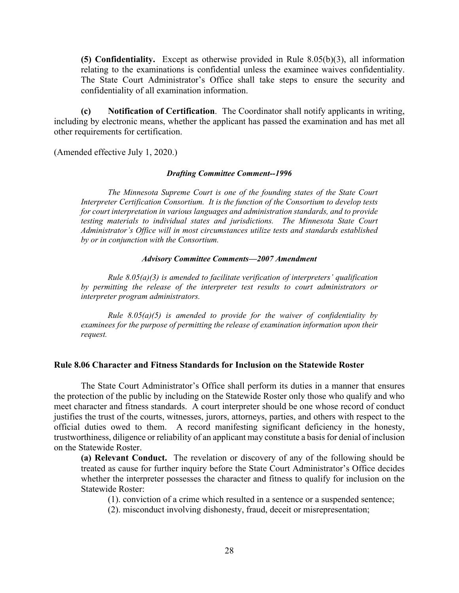**(5) Confidentiality.** Except as otherwise provided in Rule 8.05(b)(3), all information relating to the examinations is confidential unless the examinee waives confidentiality. The State Court Administrator's Office shall take steps to ensure the security and confidentiality of all examination information.

 **(c) Notification of Certification**. The Coordinator shall notify applicants in writing, including by electronic means, whether the applicant has passed the examination and has met all other requirements for certification.

(Amended effective July 1, 2020.)

### *Drafting Committee Comment--1996*

 *The Minnesota Supreme Court is one of the founding states of the State Court Interpreter Certification Consortium. It is the function of the Consortium to develop tests for court interpretation in various languages and administration standards, and to provide testing materials to individual states and jurisdictions. The Minnesota State Court Administrator's Office will in most circumstances utilize tests and standards established by or in conjunction with the Consortium.* 

### *Advisory Committee Comments—2007 Amendment*

 *Rule 8.05(a)(3) is amended to facilitate verification of interpreters' qualification by permitting the release of the interpreter test results to court administrators or interpreter program administrators.* 

 *Rule 8.05(a)(5) is amended to provide for the waiver of confidentiality by examinees for the purpose of permitting the release of examination information upon their request.* 

### **Rule 8.06 Character and Fitness Standards for Inclusion on the Statewide Roster**

The State Court Administrator's Office shall perform its duties in a manner that ensures the protection of the public by including on the Statewide Roster only those who qualify and who meet character and fitness standards. A court interpreter should be one whose record of conduct justifies the trust of the courts, witnesses, jurors, attorneys, parties, and others with respect to the official duties owed to them. A record manifesting significant deficiency in the honesty, trustworthiness, diligence or reliability of an applicant may constitute a basis for denial of inclusion on the Statewide Roster.

**(a) Relevant Conduct.** The revelation or discovery of any of the following should be treated as cause for further inquiry before the State Court Administrator's Office decides whether the interpreter possesses the character and fitness to qualify for inclusion on the Statewide Roster:

 $(1)$ . conviction of a crime which resulted in a sentence or a suspended sentence;

(2). misconduct involving dishonesty, fraud, deceit or misrepresentation;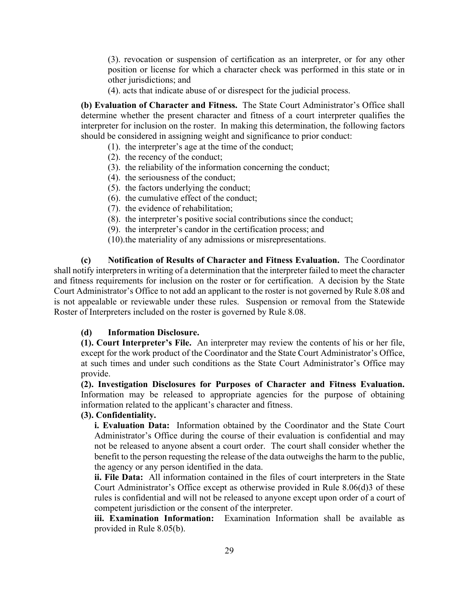(3). revocation or suspension of certification as an interpreter, or for any other position or license for which a character check was performed in this state or in other jurisdictions; and

(4). acts that indicate abuse of or disrespect for the judicial process.

**(b) Evaluation of Character and Fitness.** The State Court Administrator's Office shall determine whether the present character and fitness of a court interpreter qualifies the interpreter for inclusion on the roster. In making this determination, the following factors should be considered in assigning weight and significance to prior conduct:

- (1). the interpreter's age at the time of the conduct;
- (2). the recency of the conduct;
- (3). the reliability of the information concerning the conduct;
- (4). the seriousness of the conduct;
- (5). the factors underlying the conduct;
- (6). the cumulative effect of the conduct;
- (7). the evidence of rehabilitation;
- (8). the interpreter's positive social contributions since the conduct;
- (9). the interpreter's candor in the certification process; and
- (10).the materiality of any admissions or misrepresentations.

 **(c) Notification of Results of Character and Fitness Evaluation.** The Coordinator shall notify interpreters in writing of a determination that the interpreter failed to meet the character and fitness requirements for inclusion on the roster or for certification. A decision by the State Court Administrator's Office to not add an applicant to the roster is not governed by Rule 8.08 and is not appealable or reviewable under these rules. Suspension or removal from the Statewide Roster of Interpreters included on the roster is governed by Rule 8.08.

## **(d) Information Disclosure.**

**(1). Court Interpreter's File.** An interpreter may review the contents of his or her file, except for the work product of the Coordinator and the State Court Administrator's Office, at such times and under such conditions as the State Court Administrator's Office may provide.

**(2). Investigation Disclosures for Purposes of Character and Fitness Evaluation.** Information may be released to appropriate agencies for the purpose of obtaining information related to the applicant's character and fitness.

## **(3). Confidentiality.**

**i. Evaluation Data:** Information obtained by the Coordinator and the State Court Administrator's Office during the course of their evaluation is confidential and may not be released to anyone absent a court order. The court shall consider whether the benefit to the person requesting the release of the data outweighs the harm to the public, the agency or any person identified in the data.

**ii. File Data:** All information contained in the files of court interpreters in the State Court Administrator's Office except as otherwise provided in Rule 8.06(d)3 of these rules is confidential and will not be released to anyone except upon order of a court of competent jurisdiction or the consent of the interpreter.

**iii. Examination Information:** Examination Information shall be available as provided in Rule 8.05(b).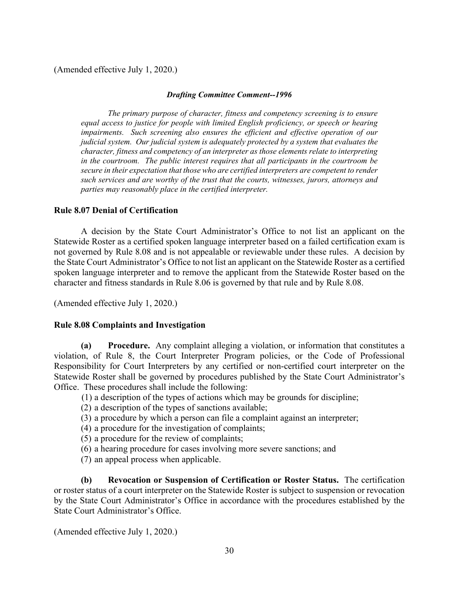## (Amended effective July 1, 2020.)

### *Drafting Committee Comment--1996*

 *The primary purpose of character, fitness and competency screening is to ensure equal access to justice for people with limited English proficiency, or speech or hearing impairments. Such screening also ensures the efficient and effective operation of our judicial system. Our judicial system is adequately protected by a system that evaluates the character, fitness and competency of an interpreter as those elements relate to interpreting in the courtroom. The public interest requires that all participants in the courtroom be secure in their expectation that those who are certified interpreters are competent to render such services and are worthy of the trust that the courts, witnesses, jurors, attorneys and parties may reasonably place in the certified interpreter.* 

## **Rule 8.07 Denial of Certification**

A decision by the State Court Administrator's Office to not list an applicant on the Statewide Roster as a certified spoken language interpreter based on a failed certification exam is not governed by Rule 8.08 and is not appealable or reviewable under these rules. A decision by the State Court Administrator's Office to not list an applicant on the Statewide Roster as a certified spoken language interpreter and to remove the applicant from the Statewide Roster based on the character and fitness standards in Rule 8.06 is governed by that rule and by Rule 8.08.

(Amended effective July 1, 2020.)

## **Rule 8.08 Complaints and Investigation**

**(a) Procedure.** Any complaint alleging a violation, or information that constitutes a violation, of Rule 8, the Court Interpreter Program policies, or the Code of Professional Responsibility for Court Interpreters by any certified or non-certified court interpreter on the Statewide Roster shall be governed by procedures published by the State Court Administrator's Office. These procedures shall include the following:

(1) a description of the types of actions which may be grounds for discipline;

- (2) a description of the types of sanctions available;
- (3) a procedure by which a person can file a complaint against an interpreter;
- (4) a procedure for the investigation of complaints;
- (5) a procedure for the review of complaints;
- (6) a hearing procedure for cases involving more severe sanctions; and
- (7) an appeal process when applicable.

**(b) Revocation or Suspension of Certification or Roster Status.** The certification or roster status of a court interpreter on the Statewide Roster is subject to suspension or revocation by the State Court Administrator's Office in accordance with the procedures established by the State Court Administrator's Office.

(Amended effective July 1, 2020.)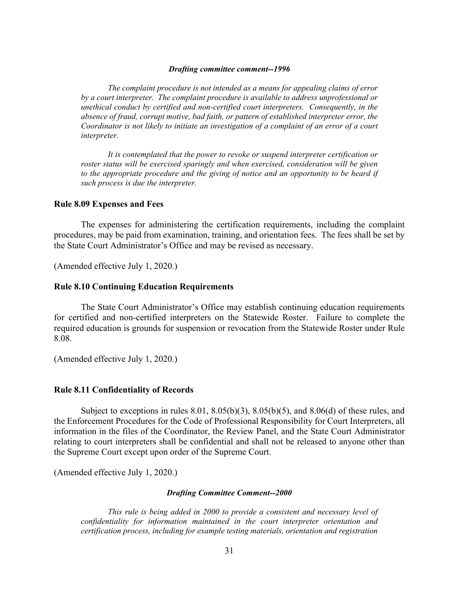#### *Drafting committee comment--1996*

 *The complaint procedure is not intended as a means for appealing claims of error by a court interpreter. The complaint procedure is available to address unprofessional or unethical conduct by certified and non-certified court interpreters. Consequently, in the absence of fraud, corrupt motive, bad faith, or pattern of established interpreter error, the Coordinator is not likely to initiate an investigation of a complaint of an error of a court interpreter.* 

*It is contemplated that the power to revoke or suspend interpreter certification or roster status will be exercised sparingly and when exercised, consideration will be given to the appropriate procedure and the giving of notice and an opportunity to be heard if such process is due the interpreter.* 

#### **Rule 8.09 Expenses and Fees**

The expenses for administering the certification requirements, including the complaint procedures, may be paid from examination, training, and orientation fees. The fees shall be set by the State Court Administrator's Office and may be revised as necessary.

(Amended effective July 1, 2020.)

### **Rule 8.10 Continuing Education Requirements**

The State Court Administrator's Office may establish continuing education requirements for certified and non-certified interpreters on the Statewide Roster. Failure to complete the required education is grounds for suspension or revocation from the Statewide Roster under Rule 8.08.

(Amended effective July 1, 2020.)

#### **Rule 8.11 Confidentiality of Records**

Subject to exceptions in rules  $8.01$ ,  $8.05(b)(3)$ ,  $8.05(b)(5)$ , and  $8.06(d)$  of these rules, and the Enforcement Procedures for the Code of Professional Responsibility for Court Interpreters, all information in the files of the Coordinator, the Review Panel, and the State Court Administrator relating to court interpreters shall be confidential and shall not be released to anyone other than the Supreme Court except upon order of the Supreme Court.

(Amended effective July 1, 2020.)

#### *Drafting Committee Comment--2000*

 *This rule is being added in 2000 to provide a consistent and necessary level of confidentiality for information maintained in the court interpreter orientation and certification process, including for example testing materials, orientation and registration*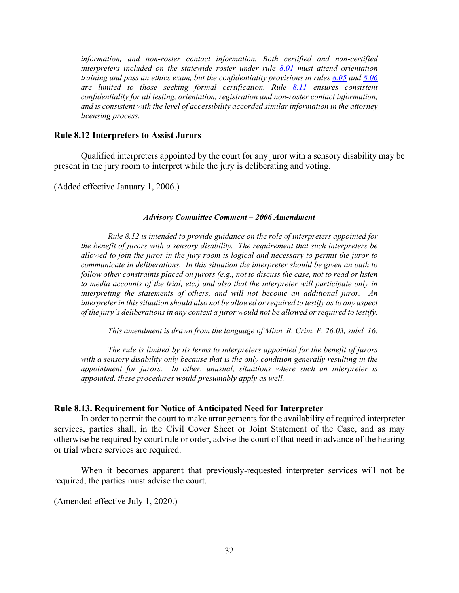*information, and non-roster contact information. Both certified and non-certified interpreters included on the statewide roster under rule 8.01 must attend orientation training and pass an ethics exam, but the confidentiality provisions in rules 8.05 and 8.06 are limited to those seeking formal certification. Rule 8.11 ensures consistent confidentiality for all testing, orientation, registration and non-roster contact information, and is consistent with the level of accessibility accorded similar information in the attorney licensing process.* 

## **Rule 8.12 Interpreters to Assist Jurors**

Qualified interpreters appointed by the court for any juror with a sensory disability may be present in the jury room to interpret while the jury is deliberating and voting.

(Added effective January 1, 2006.)

#### *Advisory Committee Comment – 2006 Amendment*

*Rule 8.12 is intended to provide guidance on the role of interpreters appointed for the benefit of jurors with a sensory disability. The requirement that such interpreters be allowed to join the juror in the jury room is logical and necessary to permit the juror to communicate in deliberations. In this situation the interpreter should be given an oath to follow other constraints placed on jurors (e.g., not to discuss the case, not to read or listen to media accounts of the trial, etc.) and also that the interpreter will participate only in interpreting the statements of others, and will not become an additional juror. An interpreter in this situation should also not be allowed or required to testify as to any aspect of the jury's deliberations in any context a juror would not be allowed or required to testify.* 

*This amendment is drawn from the language of Minn. R. Crim. P. 26.03, subd. 16.* 

*The rule is limited by its terms to interpreters appointed for the benefit of jurors with a sensory disability only because that is the only condition generally resulting in the appointment for jurors. In other, unusual, situations where such an interpreter is appointed, these procedures would presumably apply as well.*

## **Rule 8.13. Requirement for Notice of Anticipated Need for Interpreter**

In order to permit the court to make arrangements for the availability of required interpreter services, parties shall, in the Civil Cover Sheet or Joint Statement of the Case, and as may otherwise be required by court rule or order, advise the court of that need in advance of the hearing or trial where services are required.

When it becomes apparent that previously-requested interpreter services will not be required, the parties must advise the court.

(Amended effective July 1, 2020.)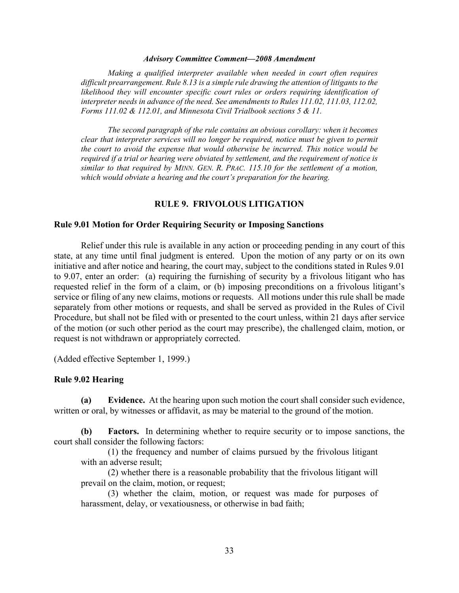#### *Advisory Committee Comment—2008 Amendment*

*Making a qualified interpreter available when needed in court often requires difficult prearrangement. Rule 8.13 is a simple rule drawing the attention of litigants to the*  likelihood they will encounter specific court rules or orders requiring identification of *interpreter needs in advance of the need. See amendments to Rules 111.02, 111.03, 112.02, Forms 111.02 & 112.01, and Minnesota Civil Trialbook sections 5 & 11.* 

*The second paragraph of the rule contains an obvious corollary: when it becomes clear that interpreter services will no longer be required, notice must be given to permit the court to avoid the expense that would otherwise be incurred. This notice would be required if a trial or hearing were obviated by settlement, and the requirement of notice is similar to that required by MINN. GEN. R. PRAC. 115.10 for the settlement of a motion, which would obviate a hearing and the court's preparation for the hearing.* 

### **RULE 9. FRIVOLOUS LITIGATION**

### **Rule 9.01 Motion for Order Requiring Security or Imposing Sanctions**

 Relief under this rule is available in any action or proceeding pending in any court of this state, at any time until final judgment is entered. Upon the motion of any party or on its own initiative and after notice and hearing, the court may, subject to the conditions stated in Rules 9.01 to 9.07, enter an order: (a) requiring the furnishing of security by a frivolous litigant who has requested relief in the form of a claim, or (b) imposing preconditions on a frivolous litigant's service or filing of any new claims, motions or requests. All motions under this rule shall be made separately from other motions or requests, and shall be served as provided in the Rules of Civil Procedure, but shall not be filed with or presented to the court unless, within 21 days after service of the motion (or such other period as the court may prescribe), the challenged claim, motion, or request is not withdrawn or appropriately corrected.

(Added effective September 1, 1999.)

### **Rule 9.02 Hearing**

**(a) Evidence.** At the hearing upon such motion the court shall consider such evidence, written or oral, by witnesses or affidavit, as may be material to the ground of the motion.

 **(b) Factors.** In determining whether to require security or to impose sanctions, the court shall consider the following factors:

(1) the frequency and number of claims pursued by the frivolous litigant with an adverse result;

 (2) whether there is a reasonable probability that the frivolous litigant will prevail on the claim, motion, or request;

 (3) whether the claim, motion, or request was made for purposes of harassment, delay, or vexatiousness, or otherwise in bad faith;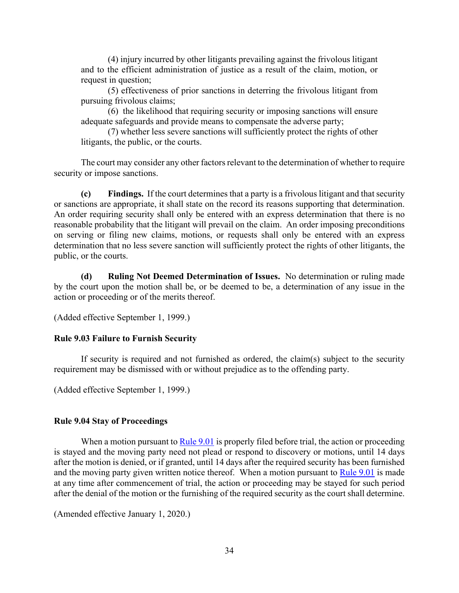(4) injury incurred by other litigants prevailing against the frivolous litigant and to the efficient administration of justice as a result of the claim, motion, or request in question;

 (5) effectiveness of prior sanctions in deterring the frivolous litigant from pursuing frivolous claims;

 (6) the likelihood that requiring security or imposing sanctions will ensure adequate safeguards and provide means to compensate the adverse party;

 (7) whether less severe sanctions will sufficiently protect the rights of other litigants, the public, or the courts.

 The court may consider any other factors relevant to the determination of whether to require security or impose sanctions.

 **(c) Findings.** If the court determines that a party is a frivolous litigant and that security or sanctions are appropriate, it shall state on the record its reasons supporting that determination. An order requiring security shall only be entered with an express determination that there is no reasonable probability that the litigant will prevail on the claim. An order imposing preconditions on serving or filing new claims, motions, or requests shall only be entered with an express determination that no less severe sanction will sufficiently protect the rights of other litigants, the public, or the courts.

**(d) Ruling Not Deemed Determination of Issues.** No determination or ruling made by the court upon the motion shall be, or be deemed to be, a determination of any issue in the action or proceeding or of the merits thereof.

(Added effective September 1, 1999.)

## **Rule 9.03 Failure to Furnish Security**

 If security is required and not furnished as ordered, the claim(s) subject to the security requirement may be dismissed with or without prejudice as to the offending party.

(Added effective September 1, 1999.)

## **Rule 9.04 Stay of Proceedings**

When a motion pursuant to Rule 9.01 is properly filed before trial, the action or proceeding is stayed and the moving party need not plead or respond to discovery or motions, until 14 days after the motion is denied, or if granted, until 14 days after the required security has been furnished and the moving party given written notice thereof. When a motion pursuant to  $Rule 9.01$  is made at any time after commencement of trial, the action or proceeding may be stayed for such period after the denial of the motion or the furnishing of the required security as the court shall determine.

(Amended effective January 1, 2020.)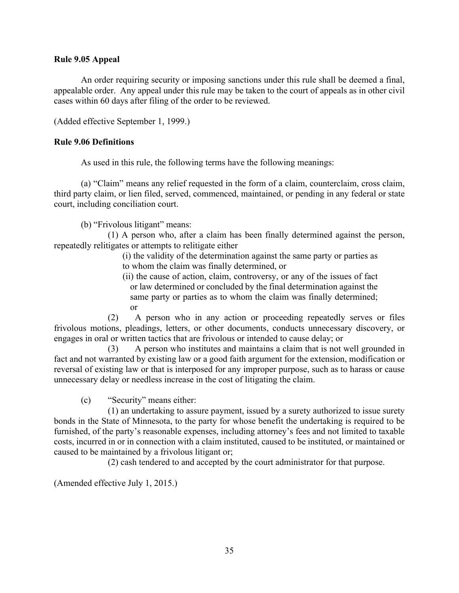## **Rule 9.05 Appeal**

 An order requiring security or imposing sanctions under this rule shall be deemed a final, appealable order. Any appeal under this rule may be taken to the court of appeals as in other civil cases within 60 days after filing of the order to be reviewed.

(Added effective September 1, 1999.)

## **Rule 9.06 Definitions**

As used in this rule, the following terms have the following meanings:

 (a) "Claim" means any relief requested in the form of a claim, counterclaim, cross claim, third party claim, or lien filed, served, commenced, maintained, or pending in any federal or state court, including conciliation court.

(b) "Frivolous litigant" means:

 (1) A person who, after a claim has been finally determined against the person, repeatedly relitigates or attempts to relitigate either

> (i) the validity of the determination against the same party or parties as to whom the claim was finally determined, or

> (ii) the cause of action, claim, controversy, or any of the issues of fact or law determined or concluded by the final determination against the same party or parties as to whom the claim was finally determined; or

 (2) A person who in any action or proceeding repeatedly serves or files frivolous motions, pleadings, letters, or other documents, conducts unnecessary discovery, or engages in oral or written tactics that are frivolous or intended to cause delay; or

 (3) A person who institutes and maintains a claim that is not well grounded in fact and not warranted by existing law or a good faith argument for the extension, modification or reversal of existing law or that is interposed for any improper purpose, such as to harass or cause unnecessary delay or needless increase in the cost of litigating the claim.

(c) "Security" means either:

 (1) an undertaking to assure payment, issued by a surety authorized to issue surety bonds in the State of Minnesota, to the party for whose benefit the undertaking is required to be furnished, of the party's reasonable expenses, including attorney's fees and not limited to taxable costs, incurred in or in connection with a claim instituted, caused to be instituted, or maintained or caused to be maintained by a frivolous litigant or;

(2) cash tendered to and accepted by the court administrator for that purpose.

(Amended effective July 1, 2015.)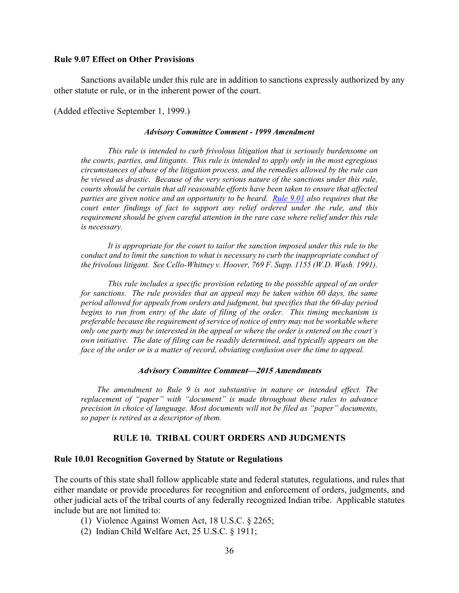### **Rule 9.07 Effect on Other Provisions**

 Sanctions available under this rule are in addition to sanctions expressly authorized by any other statute or rule, or in the inherent power of the court.

(Added effective September 1, 1999.)

#### *Advisory Committee Comment - 1999 Amendment*

 *This rule is intended to curb frivolous litigation that is seriously burdensome on the courts, parties, and litigants. This rule is intended to apply only in the most egregious circumstances of abuse of the litigation process, and the remedies allowed by the rule can be viewed as drastic. Because of the very serious nature of the sanctions under this rule, courts should be certain that all reasonable efforts have been taken to ensure that affected parties are given notice and an opportunity to be heard. Rule 9.01 also requires that the court enter findings of fact to support any relief ordered under the rule, and this requirement should be given careful attention in the rare case where relief under this rule is necessary.*

 *It is appropriate for the court to tailor the sanction imposed under this rule to the conduct and to limit the sanction to what is necessary to curb the inappropriate conduct of the frivolous litigant. See Cello-Whitney v. Hoover, 769 F. Supp. 1155 (W.D. Wash. 1991).*

 *This rule includes a specific provision relating to the possible appeal of an order for sanctions. The rule provides that an appeal may be taken within 60 days, the same period allowed for appeals from orders and judgment, but specifies that the 60-day period begins to run from entry of the date of filing of the order. This timing mechanism is preferable because the requirement of service of notice of entry may not be workable where only one party may be interested in the appeal or where the order is entered on the court's own initiative. The date of filing can be readily determined, and typically appears on the face of the order or is a matter of record, obviating confusion over the time to appeal.*

#### **Advisory Committee Comment—2015 Amendments**

*The amendment to Rule 9 is not substantive in nature or intended effect. The replacement of "paper" with "document" is made throughout these rules to advance precision in choice of language. Most documents will not be filed as "paper" documents, so paper is retired as a descriptor of them.* 

## **RULE 10. TRIBAL COURT ORDERS AND JUDGMENTS**

### **Rule 10.01 Recognition Governed by Statute or Regulations**

The courts of this state shall follow applicable state and federal statutes, regulations, and rules that either mandate or provide procedures for recognition and enforcement of orders, judgments, and other judicial acts of the tribal courts of any federally recognized Indian tribe. Applicable statutes include but are not limited to:

- (1) Violence Against Women Act, 18 U.S.C. § 2265;
- (2) Indian Child Welfare Act, 25 U.S.C. § 1911;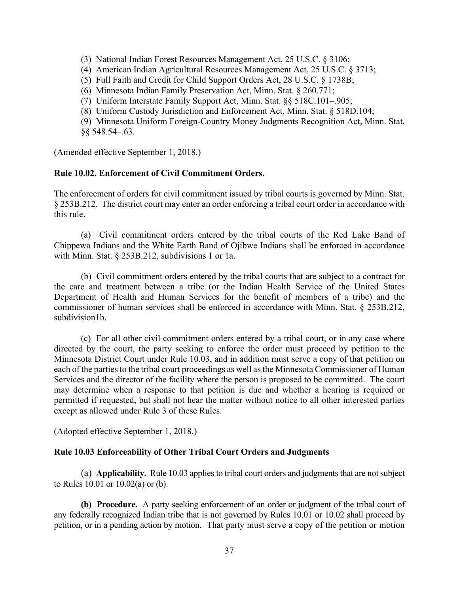- (3) National Indian Forest Resources Management Act, 25 U.S.C. § 3106;
- (4) American Indian Agricultural Resources Management Act, 25 U.S.C. § 3713;
- (5) Full Faith and Credit for Child Support Orders Act, 28 U.S.C. § 1738B;
- (6) Minnesota Indian Family Preservation Act, Minn. Stat. § 260.771;
- (7) Uniform Interstate Family Support Act, Minn. Stat. §§ 518C.101–.905;
- (8) Uniform Custody Jurisdiction and Enforcement Act, Minn. Stat. § 518D.104;
- (9) Minnesota Uniform Foreign-Country Money Judgments Recognition Act, Minn. Stat. §§ 548.54–.63.

(Amended effective September 1, 2018.)

## **Rule 10.02. Enforcement of Civil Commitment Orders.**

The enforcement of orders for civil commitment issued by tribal courts is governed by Minn. Stat. § 253B.212. The district court may enter an order enforcing a tribal court order in accordance with this rule.

(a) Civil commitment orders entered by the tribal courts of the Red Lake Band of Chippewa Indians and the White Earth Band of Ojibwe Indians shall be enforced in accordance with Minn. Stat. § 253B.212, subdivisions 1 or 1a.

(b) Civil commitment orders entered by the tribal courts that are subject to a contract for the care and treatment between a tribe (or the Indian Health Service of the United States Department of Health and Human Services for the benefit of members of a tribe) and the commissioner of human services shall be enforced in accordance with Minn. Stat. § 253B.212, subdivision1b.

(c) For all other civil commitment orders entered by a tribal court, or in any case where directed by the court, the party seeking to enforce the order must proceed by petition to the Minnesota District Court under Rule 10.03, and in addition must serve a copy of that petition on each of the parties to the tribal court proceedings as well as the Minnesota Commissioner of Human Services and the director of the facility where the person is proposed to be committed. The court may determine when a response to that petition is due and whether a hearing is required or permitted if requested, but shall not hear the matter without notice to all other interested parties except as allowed under Rule 3 of these Rules.

(Adopted effective September 1, 2018.)

## **Rule 10.03 Enforceability of Other Tribal Court Orders and Judgments**

(a) **Applicability.** Rule 10.03 applies to tribal court orders and judgments that are not subject to Rules 10.01 or 10.02(a) or (b).

**(b) Procedure.** A party seeking enforcement of an order or judgment of the tribal court of any federally recognized Indian tribe that is not governed by Rules 10.01 or 10.02 shall proceed by petition, or in a pending action by motion. That party must serve a copy of the petition or motion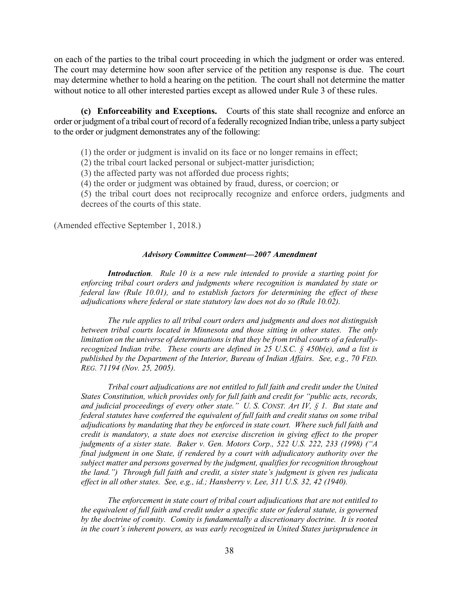on each of the parties to the tribal court proceeding in which the judgment or order was entered. The court may determine how soon after service of the petition any response is due. The court may determine whether to hold a hearing on the petition. The court shall not determine the matter without notice to all other interested parties except as allowed under Rule 3 of these rules.

**(c) Enforceability and Exceptions.** Courts of this state shall recognize and enforce an order or judgment of a tribal court of record of a federally recognized Indian tribe, unless a party subject to the order or judgment demonstrates any of the following:

(1) the order or judgment is invalid on its face or no longer remains in effect;

(2) the tribal court lacked personal or subject-matter jurisdiction;

(3) the affected party was not afforded due process rights;

(4) the order or judgment was obtained by fraud, duress, or coercion; or

(5) the tribal court does not reciprocally recognize and enforce orders, judgments and decrees of the courts of this state.

(Amended effective September 1, 2018.)

#### *Advisory Committee Comment—2007* **Amendment**

*Introduction. Rule 10 is a new rule intended to provide a starting point for enforcing tribal court orders and judgments where recognition is mandated by state or federal law (Rule 10.01), and to establish factors for determining the effect of these adjudications where federal or state statutory law does not do so (Rule 10.02).* 

*The rule applies to all tribal court orders and judgments and does not distinguish between tribal courts located in Minnesota and those sitting in other states. The only limitation on the universe of determinations is that they be from tribal courts of a federallyrecognized Indian tribe. These courts are defined in 25 U.S.C. § 450b(e), and a list is published by the Department of the Interior, Bureau of Indian Affairs. See, e.g., 70 FED. REG. 71194 (Nov. 25, 2005).* 

*Tribal court adjudications are not entitled to full faith and credit under the United States Constitution, which provides only for full faith and credit for "public acts, records, and judicial proceedings of every other state." U. S. CONST. Art IV, § 1. But state and federal statutes have conferred the equivalent of full faith and credit status on some tribal adjudications by mandating that they be enforced in state court. Where such full faith and credit is mandatory, a state does not exercise discretion in giving effect to the proper judgments of a sister state. Baker v. Gen. Motors Corp., 522 U.S. 222, 233 (1998) ("A final judgment in one State, if rendered by a court with adjudicatory authority over the subject matter and persons governed by the judgment, qualifies for recognition throughout the land.") Through full faith and credit, a sister state's judgment is given res judicata effect in all other states. See, e.g., id.; Hansberry v. Lee, 311 U.S. 32, 42 (1940).* 

*The enforcement in state court of tribal court adjudications that are not entitled to the equivalent of full faith and credit under a specific state or federal statute, is governed by the doctrine of comity. Comity is fundamentally a discretionary doctrine. It is rooted in the court's inherent powers, as was early recognized in United States jurisprudence in*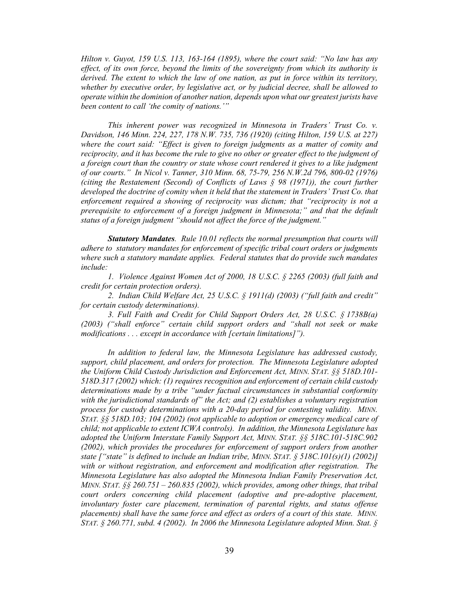*Hilton v. Guyot, 159 U.S. 113, 163-164 (1895), where the court said: "No law has any effect, of its own force, beyond the limits of the sovereignty from which its authority is derived. The extent to which the law of one nation, as put in force within its territory, whether by executive order, by legislative act, or by judicial decree, shall be allowed to operate within the dominion of another nation, depends upon what our greatest jurists have been content to call 'the comity of nations.'"* 

*This inherent power was recognized in Minnesota in Traders' Trust Co. v. Davidson, 146 Minn. 224, 227, 178 N.W. 735, 736 (1920) (citing Hilton, 159 U.S. at 227) where the court said: "Effect is given to foreign judgments as a matter of comity and reciprocity, and it has become the rule to give no other or greater effect to the judgment of a foreign court than the country or state whose court rendered it gives to a like judgment of our courts." In Nicol v. Tanner, 310 Minn. 68, 75-79, 256 N.W.2d 796, 800-02 (1976) (citing the Restatement (Second) of Conflicts of Laws § 98 (1971)), the court further*  developed the doctrine of comity when it held that the statement in Traders' Trust Co. that *enforcement required a showing of reciprocity was dictum; that "reciprocity is not a prerequisite to enforcement of a foreign judgment in Minnesota;" and that the default status of a foreign judgment "should not affect the force of the judgment."* 

*Statutory Mandates. Rule 10.01 reflects the normal presumption that courts will adhere to statutory mandates for enforcement of specific tribal court orders or judgments where such a statutory mandate applies. Federal statutes that do provide such mandates include:* 

*1. Violence Against Women Act of 2000, 18 U.S.C. § 2265 (2003) (full faith and credit for certain protection orders).* 

*2. Indian Child Welfare Act, 25 U.S.C. § 1911(d) (2003) ("full faith and credit" for certain custody determinations).* 

*3. Full Faith and Credit for Child Support Orders Act, 28 U.S.C. § 1738B(a) (2003) ("shall enforce" certain child support orders and "shall not seek or make modifications . . . except in accordance with [certain limitations]").* 

*In addition to federal law, the Minnesota Legislature has addressed custody, support, child placement, and orders for protection. The Minnesota Legislature adopted the Uniform Child Custody Jurisdiction and Enforcement Act, MINN. STAT. §§ 518D.101- 518D.317 (2002) which: (1) requires recognition and enforcement of certain child custody determinations made by a tribe "under factual circumstances in substantial conformity with the jurisdictional standards of" the Act; and (2) establishes a voluntary registration process for custody determinations with a 20-day period for contesting validity. MINN. STAT. §§ 518D.103; 104 (2002) (not applicable to adoption or emergency medical care of child; not applicable to extent ICWA controls). In addition, the Minnesota Legislature has adopted the Uniform Interstate Family Support Act, MINN. STAT. §§ 518C.101-518C.902 (2002), which provides the procedures for enforcement of support orders from another state ["state" is defined to include an Indian tribe, MINN. STAT. § 518C.101(s)(1) (2002)] with or without registration, and enforcement and modification after registration. The Minnesota Legislature has also adopted the Minnesota Indian Family Preservation Act, MINN. STAT. §§ 260.751 – 260.835 (2002), which provides, among other things, that tribal court orders concerning child placement (adoptive and pre-adoptive placement, involuntary foster care placement, termination of parental rights, and status offense placements) shall have the same force and effect as orders of a court of this state. MINN. STAT. § 260.771, subd. 4 (2002). In 2006 the Minnesota Legislature adopted Minn. Stat. §*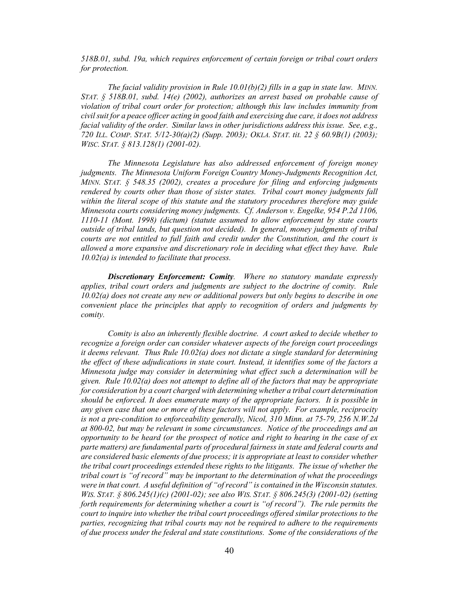*518B.01, subd. 19a, which requires enforcement of certain foreign or tribal court orders for protection.* 

*The facial validity provision in Rule 10.01(b)(2) fills in a gap in state law. MINN. STAT. § 518B.01, subd. 14(e) (2002), authorizes an arrest based on probable cause of violation of tribal court order for protection; although this law includes immunity from civil suit for a peace officer acting in good faith and exercising due care, it does not address facial validity of the order. Similar laws in other jurisdictions address this issue. See, e.g., 720 ILL. COMP. STAT. 5/12-30(a)(2) (Supp. 2003); OKLA. STAT. tit. 22 § 60.9B(1) (2003); WISC. STAT. § 813.128(1) (2001-02).* 

*The Minnesota Legislature has also addressed enforcement of foreign money judgments. The Minnesota Uniform Foreign Country Money-Judgments Recognition Act, MINN. STAT. § 548.35 (2002), creates a procedure for filing and enforcing judgments rendered by courts other than those of sister states. Tribal court money judgments fall within the literal scope of this statute and the statutory procedures therefore may guide Minnesota courts considering money judgments. Cf. Anderson v. Engelke, 954 P.2d 1106, 1110-11 (Mont. 1998) (dictum) (statute assumed to allow enforcement by state courts outside of tribal lands, but question not decided). In general, money judgments of tribal courts are not entitled to full faith and credit under the Constitution, and the court is allowed a more expansive and discretionary role in deciding what effect they have. Rule 10.02(a) is intended to facilitate that process.* 

*Discretionary Enforcement: Comity. Where no statutory mandate expressly applies, tribal court orders and judgments are subject to the doctrine of comity. Rule 10.02(a) does not create any new or additional powers but only begins to describe in one convenient place the principles that apply to recognition of orders and judgments by comity.* 

*Comity is also an inherently flexible doctrine. A court asked to decide whether to recognize a foreign order can consider whatever aspects of the foreign court proceedings it deems relevant. Thus Rule 10.02(a) does not dictate a single standard for determining the effect of these adjudications in state court. Instead, it identifies some of the factors a Minnesota judge may consider in determining what effect such a determination will be given. Rule 10.02(a) does not attempt to define all of the factors that may be appropriate for consideration by a court charged with determining whether a tribal court determination should be enforced. It does enumerate many of the appropriate factors. It is possible in any given case that one or more of these factors will not apply. For example, reciprocity is not a pre-condition to enforceability generally, Nicol, 310 Minn. at 75-79, 256 N.W.2d at 800-02, but may be relevant in some circumstances. Notice of the proceedings and an opportunity to be heard (or the prospect of notice and right to hearing in the case of ex parte matters) are fundamental parts of procedural fairness in state and federal courts and are considered basic elements of due process; it is appropriate at least to consider whether the tribal court proceedings extended these rights to the litigants. The issue of whether the tribal court is "of record" may be important to the determination of what the proceedings were in that court. A useful definition of "of record" is contained in the Wisconsin statutes. WIS. STAT. § 806.245(1)(c) (2001-02); see also WIS. STAT. § 806.245(3) (2001-02) (setting forth requirements for determining whether a court is "of record"). The rule permits the court to inquire into whether the tribal court proceedings offered similar protections to the parties, recognizing that tribal courts may not be required to adhere to the requirements of due process under the federal and state constitutions. Some of the considerations of the*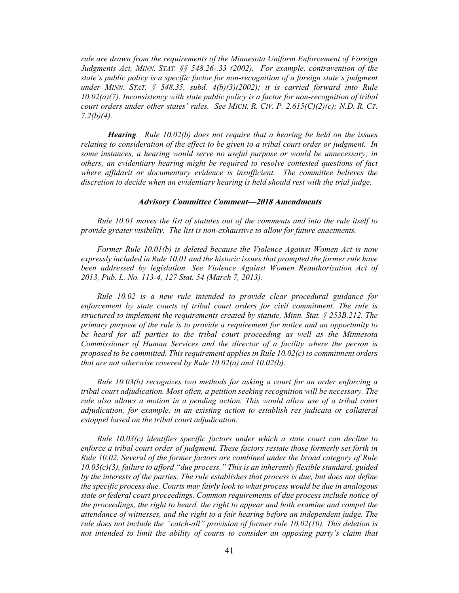*rule are drawn from the requirements of the Minnesota Uniform Enforcement of Foreign Judgments Act, MINN. STAT. §§ 548.26-.33 (2002). For example, contravention of the state's public policy is a specific factor for non-recognition of a foreign state's judgment under MINN. STAT. § 548.35, subd. 4(b)(3)(2002); it is carried forward into Rule 10.02(a)(7). Inconsistency with state public policy is a factor for non-recognition of tribal court orders under other states' rules. See MICH. R. CIV. P. 2.615(C)(2)(c); N.D. R. CT. 7.2(b)(4).* 

*Hearing. Rule 10.02(b) does not require that a hearing be held on the issues relating to consideration of the effect to be given to a tribal court order or judgment. In some instances, a hearing would serve no useful purpose or would be unnecessary; in others, an evidentiary hearing might be required to resolve contested questions of fact where affidavit or documentary evidence is insufficient. The committee believes the discretion to decide when an evidentiary hearing is held should rest with the trial judge.* 

#### **Advisory Committee Comment—2018 Amendments**

*Rule 10.01 moves the list of statutes out of the comments and into the rule itself to provide greater visibility. The list is non-exhaustive to allow for future enactments.* 

*Former Rule 10.01(b) is deleted because the Violence Against Women Act is now expressly included in Rule 10.01 and the historic issues that prompted the former rule have*  been addressed by legislation. See Violence Against Women Reauthorization Act of *2013, Pub. L. No. 113-4, 127 Stat. 54 (March 7, 2013).* 

*Rule 10.02 is a new rule intended to provide clear procedural guidance for enforcement by state courts of tribal court orders for civil commitment. The rule is structured to implement the requirements created by statute, Minn. Stat. § 253B.212. The primary purpose of the rule is to provide a requirement for notice and an opportunity to be heard for all parties to the tribal court proceeding as well as the Minnesota Commissioner of Human Services and the director of a facility where the person is proposed to be committed. This requirement applies in Rule 10.02(c) to commitment orders that are not otherwise covered by Rule 10.02(a) and 10.02(b).* 

*Rule 10.03(b) recognizes two methods for asking a court for an order enforcing a tribal court adjudication. Most often, a petition seeking recognition will be necessary. The rule also allows a motion in a pending action. This would allow use of a tribal court adjudication, for example, in an existing action to establish res judicata or collateral estoppel based on the tribal court adjudication.* 

*Rule 10.03(c) identifies specific factors under which a state court can decline to enforce a tribal court order of judgment. These factors restate those formerly set forth in Rule 10.02. Several of the former factors are combined under the broad category of Rule 10.03(c)(3), failure to afford "due process." This is an inherently flexible standard, guided by the interests of the parties. The rule establishes that process is due, but does not define the specific process due. Courts may fairly look to what process would be due in analogous state or federal court proceedings. Common requirements of due process include notice of the proceedings, the right to heard, the right to appear and both examine and compel the attendance of witnesses, and the right to a fair hearing before an independent judge. The rule does not include the "catch-all" provision of former rule 10.02(10). This deletion is not intended to limit the ability of courts to consider an opposing party's claim that*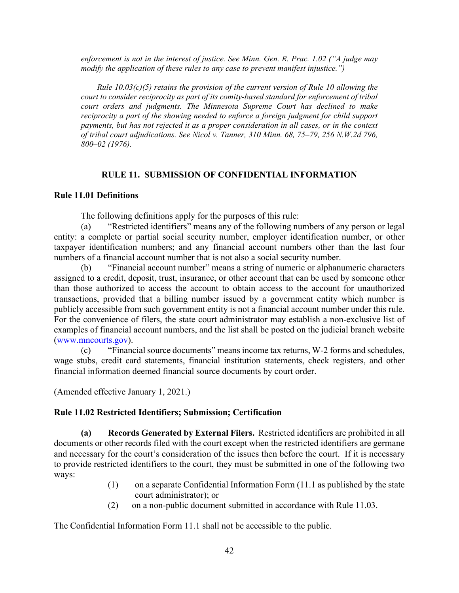*enforcement is not in the interest of justice. See Minn. Gen. R. Prac. 1.02 ("A judge may modify the application of these rules to any case to prevent manifest injustice.")* 

*Rule 10.03(c)(5) retains the provision of the current version of Rule 10 allowing the court to consider reciprocity as part of its comity-based standard for enforcement of tribal court orders and judgments. The Minnesota Supreme Court has declined to make reciprocity a part of the showing needed to enforce a foreign judgment for child support payments, but has not rejected it as a proper consideration in all cases, or in the context of tribal court adjudications. See Nicol v. Tanner, 310 Minn. 68, 75–79, 256 N.W.2d 796, 800–02 (1976).* 

## **RULE 11. SUBMISSION OF CONFIDENTIAL INFORMATION**

## **Rule 11.01 Definitions**

The following definitions apply for the purposes of this rule:

(a) "Restricted identifiers" means any of the following numbers of any person or legal entity: a complete or partial social security number, employer identification number, or other taxpayer identification numbers; and any financial account numbers other than the last four numbers of a financial account number that is not also a social security number.

(b) "Financial account number" means a string of numeric or alphanumeric characters assigned to a credit, deposit, trust, insurance, or other account that can be used by someone other than those authorized to access the account to obtain access to the account for unauthorized transactions, provided that a billing number issued by a government entity which number is publicly accessible from such government entity is not a financial account number under this rule. For the convenience of filers, the state court administrator may establish a non-exclusive list of examples of financial account numbers, and the list shall be posted on the judicial branch website (www.mncourts.gov).

(c) "Financial source documents" means income tax returns, W-2 forms and schedules, wage stubs, credit card statements, financial institution statements, check registers, and other financial information deemed financial source documents by court order.

(Amended effective January 1, 2021.)

## **Rule 11.02 Restricted Identifiers; Submission; Certification**

**(a) Records Generated by External Filers.** Restricted identifiers are prohibited in all documents or other records filed with the court except when the restricted identifiers are germane and necessary for the court's consideration of the issues then before the court. If it is necessary to provide restricted identifiers to the court, they must be submitted in one of the following two ways:

- (1) on a separate Confidential Information Form (11.1 as published by the state court administrator); or
- (2) on a non-public document submitted in accordance with Rule 11.03.

The Confidential Information Form 11.1 shall not be accessible to the public.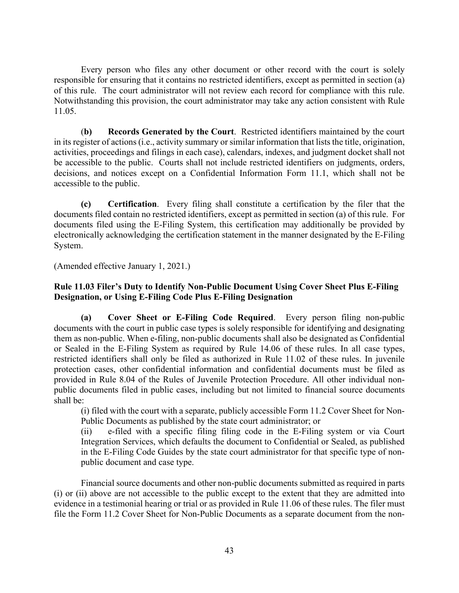Every person who files any other document or other record with the court is solely responsible for ensuring that it contains no restricted identifiers, except as permitted in section (a) of this rule. The court administrator will not review each record for compliance with this rule. Notwithstanding this provision, the court administrator may take any action consistent with Rule 11.05.

 (**b) Records Generated by the Court**. Restricted identifiers maintained by the court in its register of actions (i.e., activity summary or similar information that lists the title, origination, activities, proceedings and filings in each case), calendars, indexes, and judgment docket shall not be accessible to the public. Courts shall not include restricted identifiers on judgments, orders, decisions, and notices except on a Confidential Information Form 11.1, which shall not be accessible to the public.

 **(c) Certification**. Every filing shall constitute a certification by the filer that the documents filed contain no restricted identifiers, except as permitted in section (a) of this rule. For documents filed using the E-Filing System, this certification may additionally be provided by electronically acknowledging the certification statement in the manner designated by the E-Filing System.

(Amended effective January 1, 2021.)

## **Rule 11.03 Filer's Duty to Identify Non-Public Document Using Cover Sheet Plus E-Filing Designation, or Using E-Filing Code Plus E-Filing Designation**

**(a) Cover Sheet or E-Filing Code Required**. Every person filing non-public documents with the court in public case types is solely responsible for identifying and designating them as non-public. When e-filing, non-public documents shall also be designated as Confidential or Sealed in the E-Filing System as required by Rule 14.06 of these rules. In all case types, restricted identifiers shall only be filed as authorized in Rule 11.02 of these rules. In juvenile protection cases, other confidential information and confidential documents must be filed as provided in Rule 8.04 of the Rules of Juvenile Protection Procedure. All other individual nonpublic documents filed in public cases, including but not limited to financial source documents shall be:

(i) filed with the court with a separate, publicly accessible Form 11.2 Cover Sheet for Non-Public Documents as published by the state court administrator; or

(ii) e-filed with a specific filing filing code in the E-Filing system or via Court Integration Services, which defaults the document to Confidential or Sealed, as published in the E-Filing Code Guides by the state court administrator for that specific type of nonpublic document and case type.

Financial source documents and other non-public documents submitted as required in parts (i) or (ii) above are not accessible to the public except to the extent that they are admitted into evidence in a testimonial hearing or trial or as provided in Rule 11.06 of these rules. The filer must file the Form 11.2 Cover Sheet for Non-Public Documents as a separate document from the non-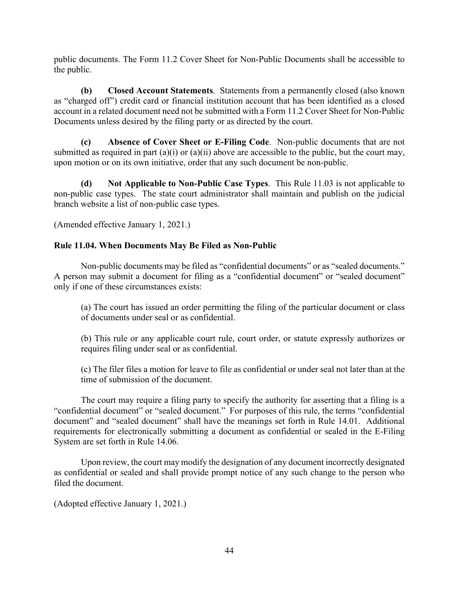public documents. The Form 11.2 Cover Sheet for Non-Public Documents shall be accessible to the public.

 **(b) Closed Account Statements**. Statements from a permanently closed (also known as "charged off") credit card or financial institution account that has been identified as a closed account in a related document need not be submitted with a Form 11.2 Cover Sheet for Non-Public Documents unless desired by the filing party or as directed by the court.

**(c) Absence of Cover Sheet or E-Filing Code**. Non-public documents that are not submitted as required in part  $(a)(i)$  or  $(a)(ii)$  above are accessible to the public, but the court may, upon motion or on its own initiative, order that any such document be non-public.

**(d) Not Applicable to Non-Public Case Types**. This Rule 11.03 is not applicable to non-public case types. The state court administrator shall maintain and publish on the judicial branch website a list of non-public case types.

(Amended effective January 1, 2021.)

## **Rule 11.04. When Documents May Be Filed as Non-Public**

 Non-public documents may be filed as "confidential documents" or as "sealed documents." A person may submit a document for filing as a "confidential document" or "sealed document" only if one of these circumstances exists:

 (a) The court has issued an order permitting the filing of the particular document or class of documents under seal or as confidential.

 (b) This rule or any applicable court rule, court order, or statute expressly authorizes or requires filing under seal or as confidential.

 (c) The filer files a motion for leave to file as confidential or under seal not later than at the time of submission of the document.

 The court may require a filing party to specify the authority for asserting that a filing is a "confidential document" or "sealed document." For purposes of this rule, the terms "confidential document" and "sealed document" shall have the meanings set forth in Rule 14.01. Additional requirements for electronically submitting a document as confidential or sealed in the E-Filing System are set forth in Rule 14.06.

 Upon review, the court may modify the designation of any document incorrectly designated as confidential or sealed and shall provide prompt notice of any such change to the person who filed the document.

(Adopted effective January 1, 2021.)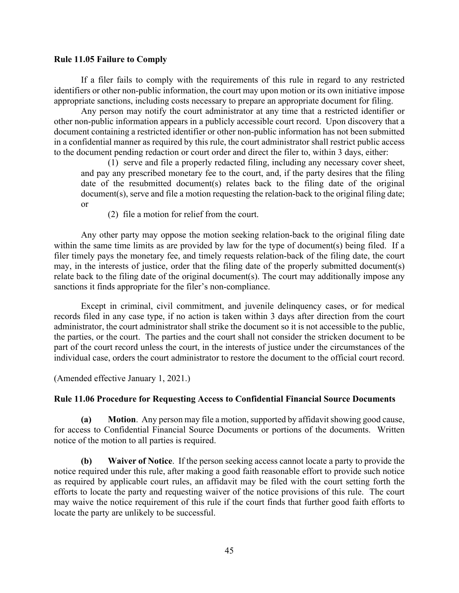## **Rule 11.05 Failure to Comply**

 If a filer fails to comply with the requirements of this rule in regard to any restricted identifiers or other non-public information, the court may upon motion or its own initiative impose appropriate sanctions, including costs necessary to prepare an appropriate document for filing.

Any person may notify the court administrator at any time that a restricted identifier or other non-public information appears in a publicly accessible court record. Upon discovery that a document containing a restricted identifier or other non-public information has not been submitted in a confidential manner as required by this rule, the court administrator shall restrict public access to the document pending redaction or court order and direct the filer to, within 3 days, either:

(1) serve and file a properly redacted filing, including any necessary cover sheet, and pay any prescribed monetary fee to the court, and, if the party desires that the filing date of the resubmitted document(s) relates back to the filing date of the original document(s), serve and file a motion requesting the relation-back to the original filing date; or

(2) file a motion for relief from the court.

Any other party may oppose the motion seeking relation-back to the original filing date within the same time limits as are provided by law for the type of document(s) being filed. If a filer timely pays the monetary fee, and timely requests relation-back of the filing date, the court may, in the interests of justice, order that the filing date of the properly submitted document(s) relate back to the filing date of the original document(s). The court may additionally impose any sanctions it finds appropriate for the filer's non-compliance.

Except in criminal, civil commitment, and juvenile delinquency cases, or for medical records filed in any case type, if no action is taken within 3 days after direction from the court administrator, the court administrator shall strike the document so it is not accessible to the public, the parties, or the court. The parties and the court shall not consider the stricken document to be part of the court record unless the court, in the interests of justice under the circumstances of the individual case, orders the court administrator to restore the document to the official court record.

(Amended effective January 1, 2021.)

## **Rule 11.06 Procedure for Requesting Access to Confidential Financial Source Documents**

**(a) Motion**. Any person may file a motion, supported by affidavit showing good cause, for access to Confidential Financial Source Documents or portions of the documents. Written notice of the motion to all parties is required.

**(b) Waiver of Notice**. If the person seeking access cannot locate a party to provide the notice required under this rule, after making a good faith reasonable effort to provide such notice as required by applicable court rules, an affidavit may be filed with the court setting forth the efforts to locate the party and requesting waiver of the notice provisions of this rule. The court may waive the notice requirement of this rule if the court finds that further good faith efforts to locate the party are unlikely to be successful.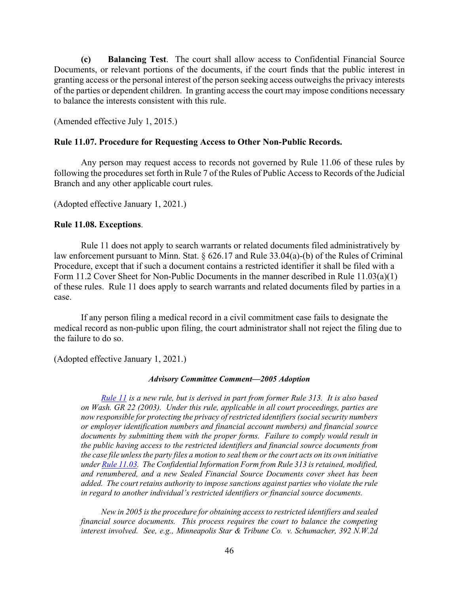**(c) Balancing Test**. The court shall allow access to Confidential Financial Source Documents, or relevant portions of the documents, if the court finds that the public interest in granting access or the personal interest of the person seeking access outweighs the privacy interests of the parties or dependent children. In granting access the court may impose conditions necessary to balance the interests consistent with this rule.

(Amended effective July 1, 2015.)

## **Rule 11.07. Procedure for Requesting Access to Other Non-Public Records.**

 Any person may request access to records not governed by Rule 11.06 of these rules by following the procedures set forth in Rule 7 of the Rules of Public Access to Records of the Judicial Branch and any other applicable court rules.

(Adopted effective January 1, 2021.)

## **Rule 11.08. Exceptions**.

 Rule 11 does not apply to search warrants or related documents filed administratively by law enforcement pursuant to Minn. Stat. § 626.17 and Rule 33.04(a)-(b) of the Rules of Criminal Procedure, except that if such a document contains a restricted identifier it shall be filed with a Form 11.2 Cover Sheet for Non-Public Documents in the manner described in Rule 11.03(a)(1) of these rules. Rule 11 does apply to search warrants and related documents filed by parties in a case.

 If any person filing a medical record in a civil commitment case fails to designate the medical record as non-public upon filing, the court administrator shall not reject the filing due to the failure to do so.

(Adopted effective January 1, 2021.)

## *Advisory Committee Comment—2005 Adoption*

*Rule 11 is a new rule, but is derived in part from former Rule 313. It is also based on Wash. GR 22 (2003). Under this rule, applicable in all court proceedings, parties are now responsible for protecting the privacy of restricted identifiers (social security numbers or employer identification numbers and financial account numbers) and financial source documents by submitting them with the proper forms. Failure to comply would result in the public having access to the restricted identifiers and financial source documents from the case file unless the party files a motion to seal them or the court acts on its own initiative under Rule 11.03. The Confidential Information Form from Rule 313 is retained, modified, and renumbered, and a new Sealed Financial Source Documents cover sheet has been added. The court retains authority to impose sanctions against parties who violate the rule in regard to another individual's restricted identifiers or financial source documents.* 

*New in 2005 is the procedure for obtaining access to restricted identifiers and sealed financial source documents. This process requires the court to balance the competing interest involved. See, e.g., Minneapolis Star & Tribune Co. v. Schumacher, 392 N.W.2d*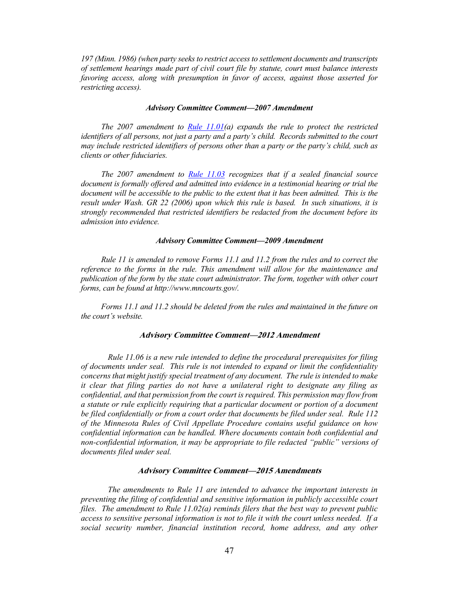*197 (Minn. 1986) (when party seeks to restrict access to settlement documents and transcripts of settlement hearings made part of civil court file by statute, court must balance interests favoring access, along with presumption in favor of access, against those asserted for restricting access).*

#### *Advisory Committee Comment—2007 Amendment*

*The 2007 amendment to Rule 11.01(a) expands the rule to protect the restricted identifiers of all persons, not just a party and a party's child. Records submitted to the court may include restricted identifiers of persons other than a party or the party's child, such as clients or other fiduciaries.* 

*The 2007 amendment to Rule 11.03 recognizes that if a sealed financial source document is formally offered and admitted into evidence in a testimonial hearing or trial the document will be accessible to the public to the extent that it has been admitted. This is the result under Wash. GR 22 (2006) upon which this rule is based. In such situations, it is strongly recommended that restricted identifiers be redacted from the document before its admission into evidence.* 

#### *Advisory Committee Comment—2009 Amendment*

*Rule 11 is amended to remove Forms 11.1 and 11.2 from the rules and to correct the reference to the forms in the rule. This amendment will allow for the maintenance and publication of the form by the state court administrator. The form, together with other court forms, can be found at http://www.mncourts.gov/.* 

*Forms 11.1 and 11.2 should be deleted from the rules and maintained in the future on the court's website.*

#### **Advisory Committee Comment—2012 Amendment**

*Rule 11.06 is a new rule intended to define the procedural prerequisites for filing of documents under seal. This rule is not intended to expand or limit the confidentiality concerns that might justify special treatment of any document. The rule is intended to make it clear that filing parties do not have a unilateral right to designate any filing as confidential, and that permission from the court is required. This permission may flow from a statute or rule explicitly requiring that a particular document or portion of a document be filed confidentially or from a court order that documents be filed under seal. Rule 112 of the Minnesota Rules of Civil Appellate Procedure contains useful guidance on how confidential information can be handled. Where documents contain both confidential and non-confidential information, it may be appropriate to file redacted "public" versions of documents filed under seal.* 

#### **Advisory Committee Comment—2015 Amendments**

*The amendments to Rule 11 are intended to advance the important interests in preventing the filing of confidential and sensitive information in publicly accessible court files. The amendment to Rule 11.02(a) reminds filers that the best way to prevent public access to sensitive personal information is not to file it with the court unless needed. If a social security number, financial institution record, home address, and any other*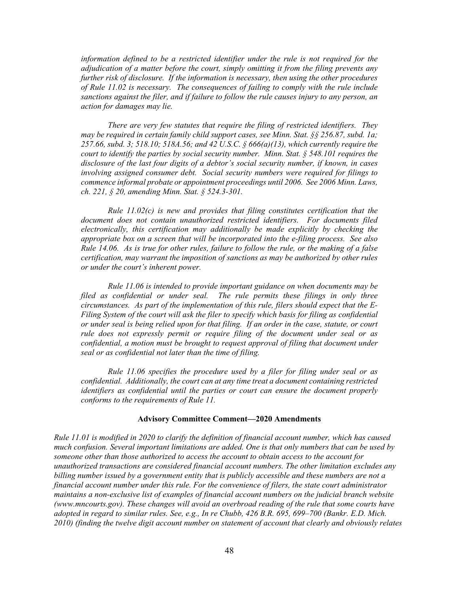*information defined to be a restricted identifier under the rule is not required for the adjudication of a matter before the court, simply omitting it from the filing prevents any further risk of disclosure. If the information is necessary, then using the other procedures of Rule 11.02 is necessary. The consequences of failing to comply with the rule include sanctions against the filer, and if failure to follow the rule causes injury to any person, an action for damages may lie.* 

*There are very few statutes that require the filing of restricted identifiers. They may be required in certain family child support cases, see Minn. Stat. §§ 256.87, subd. 1a; 257.66, subd. 3; 518.10; 518A.56; and 42 U.S.C. § 666(a)(13), which currently require the court to identify the parties by social security number. Minn. Stat. § 548.101 requires the disclosure of the last four digits of a debtor's social security number, if known, in cases involving assigned consumer debt. Social security numbers were required for filings to commence informal probate or appointment proceedings until 2006. See 2006 Minn. Laws, ch. 221, § 20, amending Minn. Stat. § 524.3-301.* 

*Rule 11.02(c) is new and provides that filing constitutes certification that the document does not contain unauthorized restricted identifiers. For documents filed electronically, this certification may additionally be made explicitly by checking the appropriate box on a screen that will be incorporated into the e-filing process. See also Rule 14.06. As is true for other rules, failure to follow the rule, or the making of a false certification, may warrant the imposition of sanctions as may be authorized by other rules or under the court's inherent power.* 

*Rule 11.06 is intended to provide important guidance on when documents may be filed as confidential or under seal. The rule permits these filings in only three circumstances. As part of the implementation of this rule, filers should expect that the E-Filing System of the court will ask the filer to specify which basis for filing as confidential or under seal is being relied upon for that filing. If an order in the case, statute, or court rule does not expressly permit or require filing of the document under seal or as confidential, a motion must be brought to request approval of filing that document under seal or as confidential not later than the time of filing.* 

*Rule 11.06 specifies the procedure used by a filer for filing under seal or as confidential. Additionally, the court can at any time treat a document containing restricted identifiers as confidential until the parties or court can ensure the document properly conforms to the requirements of Rule 11.* 

#### **Advisory Committee Comment—2020 Amendments**

*Rule 11.01 is modified in 2020 to clarify the definition of financial account number, which has caused much confusion. Several important limitations are added. One is that only numbers that can be used by someone other than those authorized to access the account to obtain access to the account for unauthorized transactions are considered financial account numbers. The other limitation excludes any billing number issued by a government entity that is publicly accessible and these numbers are not a financial account number under this rule. For the convenience of filers, the state court administrator maintains a non-exclusive list of examples of financial account numbers on the judicial branch website (www.mncourts.gov). These changes will avoid an overbroad reading of the rule that some courts have adopted in regard to similar rules. See, e.g., In re Chubb, 426 B.R. 695, 699–700 (Bankr. E.D. Mich. 2010) (finding the twelve digit account number on statement of account that clearly and obviously relates*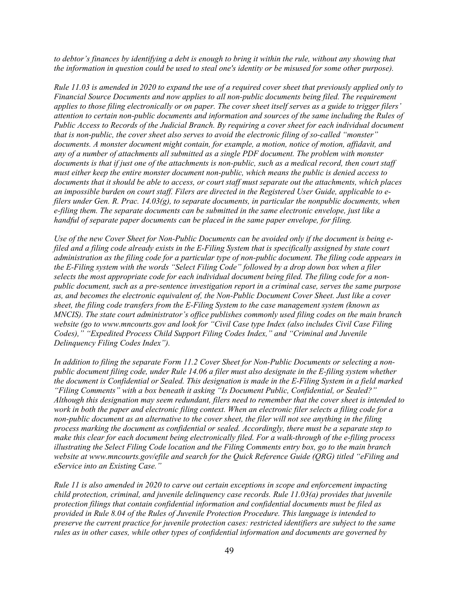*to debtor's finances by identifying a debt is enough to bring it within the rule, without any showing that the information in question could be used to steal one's identity or be misused for some other purpose).* 

*Rule 11.03 is amended in 2020 to expand the use of a required cover sheet that previously applied only to Financial Source Documents and now applies to all non-public documents being filed. The requirement applies to those filing electronically or on paper. The cover sheet itself serves as a guide to trigger filers' attention to certain non-public documents and information and sources of the same including the Rules of Public Access to Records of the Judicial Branch. By requiring a cover sheet for each individual document that is non-public, the cover sheet also serves to avoid the electronic filing of so-called "monster" documents. A monster document might contain, for example, a motion, notice of motion, affidavit, and any of a number of attachments all submitted as a single PDF document. The problem with monster documents is that if just one of the attachments is non-public, such as a medical record, then court staff must either keep the entire monster document non-public, which means the public is denied access to documents that it should be able to access, or court staff must separate out the attachments, which places an impossible burden on court staff. Filers are directed in the Registered User Guide, applicable to efilers under Gen. R. Prac. 14.03(g), to separate documents, in particular the nonpublic documents, when e-filing them. The separate documents can be submitted in the same electronic envelope, just like a handful of separate paper documents can be placed in the same paper envelope, for filing.* 

*Use of the new Cover Sheet for Non-Public Documents can be avoided only if the document is being efiled and a filing code already exists in the E-Filing System that is specifically assigned by state court administration as the filing code for a particular type of non-public document. The filing code appears in the E-Filing system with the words "Select Filing Code" followed by a drop down box when a filer selects the most appropriate code for each individual document being filed. The filing code for a nonpublic document, such as a pre-sentence investigation report in a criminal case, serves the same purpose as, and becomes the electronic equivalent of, the Non-Public Document Cover Sheet. Just like a cover sheet, the filing code transfers from the E-Filing System to the case management system (known as MNCIS). The state court administrator's office publishes commonly used filing codes on the main branch website (go to www.mncourts.gov and look for "Civil Case type Index (also includes Civil Case Filing Codes)," "Expedited Process Child Support Filing Codes Index," and "Criminal and Juvenile Delinquency Filing Codes Index").* 

*In addition to filing the separate Form 11.2 Cover Sheet for Non-Public Documents or selecting a nonpublic document filing code, under Rule 14.06 a filer must also designate in the E-filing system whether the document is Confidential or Sealed. This designation is made in the E-Filing System in a field marked "Filing Comments" with a box beneath it asking "Is Document Public, Confidential, or Sealed?" Although this designation may seem redundant, filers need to remember that the cover sheet is intended to work in both the paper and electronic filing context. When an electronic filer selects a filing code for a non-public document as an alternative to the cover sheet, the filer will not see anything in the filing process marking the document as confidential or sealed. Accordingly, there must be a separate step to make this clear for each document being electronically filed. For a walk-through of the e-filing process illustrating the Select Filing Code location and the Filing Comments entry box, go to the main branch website at www.mncourts.gov/efile and search for the Quick Reference Guide (QRG) titled "eFiling and eService into an Existing Case."* 

*Rule 11 is also amended in 2020 to carve out certain exceptions in scope and enforcement impacting child protection, criminal, and juvenile delinquency case records. Rule 11.03(a) provides that juvenile protection filings that contain confidential information and confidential documents must be filed as provided in Rule 8.04 of the Rules of Juvenile Protection Procedure. This language is intended to preserve the current practice for juvenile protection cases: restricted identifiers are subject to the same rules as in other cases, while other types of confidential information and documents are governed by*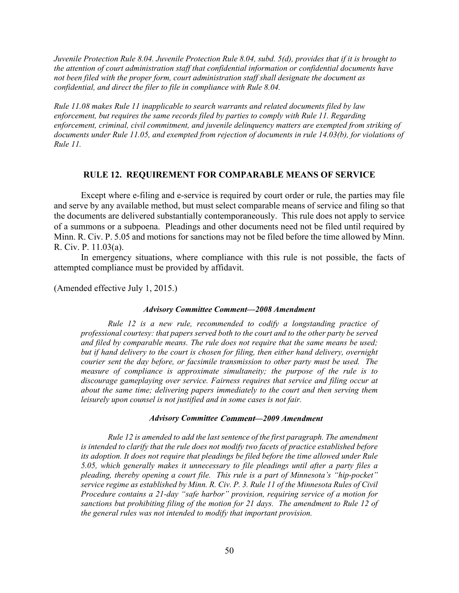*Juvenile Protection Rule 8.04. Juvenile Protection Rule 8.04, subd. 5(d), provides that if it is brought to the attention of court administration staff that confidential information or confidential documents have not been filed with the proper form, court administration staff shall designate the document as confidential, and direct the filer to file in compliance with Rule 8.04.* 

*Rule 11.08 makes Rule 11 inapplicable to search warrants and related documents filed by law enforcement, but requires the same records filed by parties to comply with Rule 11. Regarding enforcement, criminal, civil commitment, and juvenile delinquency matters are exempted from striking of documents under Rule 11.05, and exempted from rejection of documents in rule 14.03(b), for violations of Rule 11.*

## **RULE 12. REQUIREMENT FOR COMPARABLE MEANS OF SERVICE**

Except where e-filing and e-service is required by court order or rule, the parties may file and serve by any available method, but must select comparable means of service and filing so that the documents are delivered substantially contemporaneously. This rule does not apply to service of a summons or a subpoena. Pleadings and other documents need not be filed until required by Minn. R. Civ. P. 5.05 and motions for sanctions may not be filed before the time allowed by Minn. R. Civ. P. 11.03(a).

In emergency situations, where compliance with this rule is not possible, the facts of attempted compliance must be provided by affidavit.

(Amended effective July 1, 2015.)

#### *Advisory Committee Comment—2008 Amendment*

*Rule 12 is a new rule, recommended to codify a longstanding practice of professional courtesy: that papers served both to the court and to the other party be served and filed by comparable means. The rule does not require that the same means be used; but if hand delivery to the court is chosen for filing, then either hand delivery, overnight courier sent the day before, or facsimile transmission to other party must be used. The measure of compliance is approximate simultaneity; the purpose of the rule is to discourage gameplaying over service. Fairness requires that service and filing occur at about the same time; delivering papers immediately to the court and then serving them leisurely upon counsel is not justified and in some cases is not fair.* 

#### *Advisory Committee* **Comment***—2009 Amendment*

*Rule 12 is amended to add the last sentence of the first paragraph. The amendment is intended to clarify that the rule does not modify two facets of practice established before*  its adoption. It does not require that pleadings be filed before the time allowed under Rule *5.05, which generally makes it unnecessary to file pleadings until after a party files a pleading, thereby opening a court file. This rule is a part of Minnesota's "hip-pocket" service regime as established by Minn. R. Civ. P. 3. Rule 11 of the Minnesota Rules of Civil Procedure contains a 21-day "safe harbor" provision, requiring service of a motion for sanctions but prohibiting filing of the motion for 21 days. The amendment to Rule 12 of the general rules was not intended to modify that important provision.*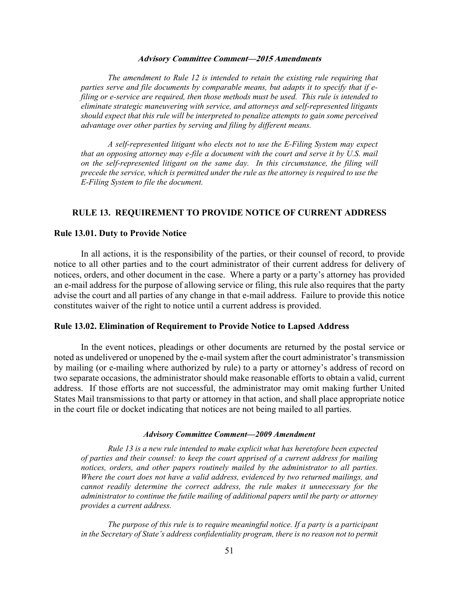#### **Advisory Committee Comment—2015 Amendments**

*The amendment to Rule 12 is intended to retain the existing rule requiring that parties serve and file documents by comparable means, but adapts it to specify that if efiling or e-service are required, then those methods must be used. This rule is intended to eliminate strategic maneuvering with service, and attorneys and self-represented litigants should expect that this rule will be interpreted to penalize attempts to gain some perceived advantage over other parties by serving and filing by different means.* 

*A self-represented litigant who elects not to use the E-Filing System may expect that an opposing attorney may e-file a document with the court and serve it by U.S. mail on the self-represented litigant on the same day. In this circumstance, the filing will precede the service, which is permitted under the rule as the attorney is required to use the E-Filing System to file the document.*

#### **RULE 13. REQUIREMENT TO PROVIDE NOTICE OF CURRENT ADDRESS**

#### **Rule 13.01. Duty to Provide Notice**

In all actions, it is the responsibility of the parties, or their counsel of record, to provide notice to all other parties and to the court administrator of their current address for delivery of notices, orders, and other document in the case. Where a party or a party's attorney has provided an e-mail address for the purpose of allowing service or filing, this rule also requires that the party advise the court and all parties of any change in that e-mail address. Failure to provide this notice constitutes waiver of the right to notice until a current address is provided.

### **Rule 13.02. Elimination of Requirement to Provide Notice to Lapsed Address**

In the event notices, pleadings or other documents are returned by the postal service or noted as undelivered or unopened by the e-mail system after the court administrator's transmission by mailing (or e-mailing where authorized by rule) to a party or attorney's address of record on two separate occasions, the administrator should make reasonable efforts to obtain a valid, current address. If those efforts are not successful, the administrator may omit making further United States Mail transmissions to that party or attorney in that action, and shall place appropriate notice in the court file or docket indicating that notices are not being mailed to all parties.

#### *Advisory Committee Comment—2009 Amendment*

*Rule 13 is a new rule intended to make explicit what has heretofore been expected of parties and their counsel: to keep the court apprised of a current address for mailing notices, orders, and other papers routinely mailed by the administrator to all parties. Where the court does not have a valid address, evidenced by two returned mailings, and cannot readily determine the correct address, the rule makes it unnecessary for the administrator to continue the futile mailing of additional papers until the party or attorney provides a current address.* 

*The purpose of this rule is to require meaningful notice. If a party is a participant in the Secretary of State's address confidentiality program, there is no reason not to permit*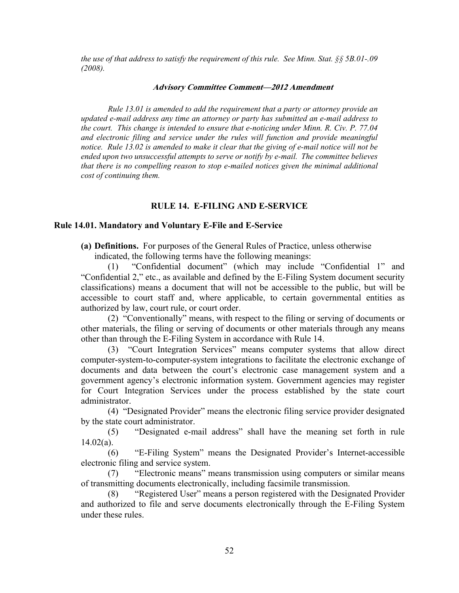*the use of that address to satisfy the requirement of this rule. See Minn. Stat. §§ 5B.01-.09 (2008).* 

#### **Advisory Committee Comment—2012 Amendment**

*Rule 13.01 is amended to add the requirement that a party or attorney provide an updated e-mail address any time an attorney or party has submitted an e-mail address to the court. This change is intended to ensure that e-noticing under Minn. R. Civ. P. 77.04 and electronic filing and service under the rules will function and provide meaningful notice. Rule 13.02 is amended to make it clear that the giving of e-mail notice will not be ended upon two unsuccessful attempts to serve or notify by e-mail. The committee believes that there is no compelling reason to stop e-mailed notices given the minimal additional cost of continuing them.* 

## **RULE 14. E-FILING AND E-SERVICE**

#### **Rule 14.01. Mandatory and Voluntary E-File and E-Service**

**(a) Definitions.** For purposes of the General Rules of Practice, unless otherwise

indicated, the following terms have the following meanings:

"Confidential document" (which may include "Confidential 1" and "Confidential 2," etc., as available and defined by the E-Filing System document security classifications) means a document that will not be accessible to the public, but will be accessible to court staff and, where applicable, to certain governmental entities as authorized by law, court rule, or court order.

(2) "Conventionally" means, with respect to the filing or serving of documents or other materials, the filing or serving of documents or other materials through any means other than through the E-Filing System in accordance with Rule 14.

(3) "Court Integration Services" means computer systems that allow direct computer-system-to-computer-system integrations to facilitate the electronic exchange of documents and data between the court's electronic case management system and a government agency's electronic information system. Government agencies may register for Court Integration Services under the process established by the state court administrator.

(4) "Designated Provider" means the electronic filing service provider designated by the state court administrator.

(5) "Designated e-mail address" shall have the meaning set forth in rule  $14.02(a)$ .

(6) "E-Filing System" means the Designated Provider's Internet-accessible electronic filing and service system.

(7) "Electronic means" means transmission using computers or similar means of transmitting documents electronically, including facsimile transmission.

"Registered User" means a person registered with the Designated Provider and authorized to file and serve documents electronically through the E-Filing System under these rules.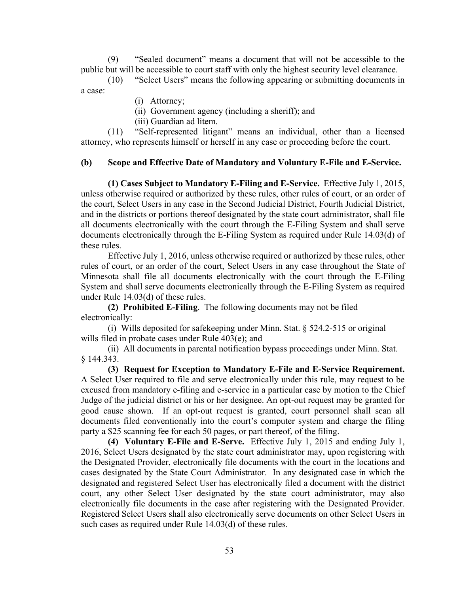(9) "Sealed document" means a document that will not be accessible to the public but will be accessible to court staff with only the highest security level clearance.

 (10) "Select Users" means the following appearing or submitting documents in a case:

(i) Attorney;

(ii) Government agency (including a sheriff); and

(iii) Guardian ad litem.

 (11) "Self-represented litigant" means an individual, other than a licensed attorney, who represents himself or herself in any case or proceeding before the court.

## **(b) Scope and Effective Date of Mandatory and Voluntary E-File and E-Service.**

**(1) Cases Subject to Mandatory E-Filing and E-Service.** Effective July 1, 2015, unless otherwise required or authorized by these rules, other rules of court, or an order of the court, Select Users in any case in the Second Judicial District, Fourth Judicial District, and in the districts or portions thereof designated by the state court administrator, shall file all documents electronically with the court through the E-Filing System and shall serve documents electronically through the E-Filing System as required under Rule 14.03(d) of these rules.

Effective July 1, 2016, unless otherwise required or authorized by these rules, other rules of court, or an order of the court, Select Users in any case throughout the State of Minnesota shall file all documents electronically with the court through the E-Filing System and shall serve documents electronically through the E-Filing System as required under Rule 14.03(d) of these rules.

**(2) Prohibited E-Filing**. The following documents may not be filed electronically:

(i) Wills deposited for safekeeping under Minn. Stat. § 524.2-515 or original wills filed in probate cases under Rule 403(e); and

(ii) All documents in parental notification bypass proceedings under Minn. Stat. § 144.343.

**(3) Request for Exception to Mandatory E-File and E-Service Requirement.** A Select User required to file and serve electronically under this rule, may request to be excused from mandatory e-filing and e-service in a particular case by motion to the Chief Judge of the judicial district or his or her designee. An opt-out request may be granted for good cause shown. If an opt-out request is granted, court personnel shall scan all documents filed conventionally into the court's computer system and charge the filing party a \$25 scanning fee for each 50 pages, or part thereof, of the filing.

**(4) Voluntary E-File and E-Serve.** Effective July 1, 2015 and ending July 1, 2016, Select Users designated by the state court administrator may, upon registering with the Designated Provider, electronically file documents with the court in the locations and cases designated by the State Court Administrator. In any designated case in which the designated and registered Select User has electronically filed a document with the district court, any other Select User designated by the state court administrator, may also electronically file documents in the case after registering with the Designated Provider. Registered Select Users shall also electronically serve documents on other Select Users in such cases as required under Rule 14.03(d) of these rules.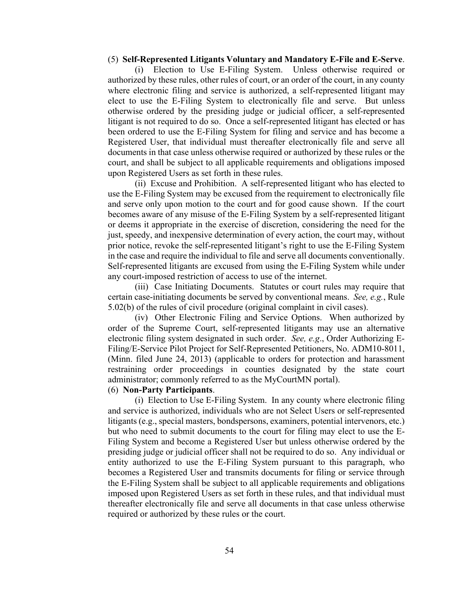### (5) **Self-Represented Litigants Voluntary and Mandatory E-File and E-Serve**.

(i) Election to Use E-Filing System. Unless otherwise required or authorized by these rules, other rules of court, or an order of the court, in any county where electronic filing and service is authorized, a self-represented litigant may elect to use the E-Filing System to electronically file and serve. But unless otherwise ordered by the presiding judge or judicial officer, a self-represented litigant is not required to do so. Once a self-represented litigant has elected or has been ordered to use the E-Filing System for filing and service and has become a Registered User, that individual must thereafter electronically file and serve all documents in that case unless otherwise required or authorized by these rules or the court, and shall be subject to all applicable requirements and obligations imposed upon Registered Users as set forth in these rules.

(ii) Excuse and Prohibition. A self-represented litigant who has elected to use the E-Filing System may be excused from the requirement to electronically file and serve only upon motion to the court and for good cause shown. If the court becomes aware of any misuse of the E-Filing System by a self-represented litigant or deems it appropriate in the exercise of discretion, considering the need for the just, speedy, and inexpensive determination of every action, the court may, without prior notice, revoke the self-represented litigant's right to use the E-Filing System in the case and require the individual to file and serve all documents conventionally. Self-represented litigants are excused from using the E-Filing System while under any court-imposed restriction of access to use of the internet.

(iii) Case Initiating Documents. Statutes or court rules may require that certain case-initiating documents be served by conventional means. *See, e.g.*, Rule 5.02(b) of the rules of civil procedure (original complaint in civil cases).

(iv) Other Electronic Filing and Service Options. When authorized by order of the Supreme Court, self-represented litigants may use an alternative electronic filing system designated in such order. *See, e.g*., Order Authorizing E-Filing/E-Service Pilot Project for Self-Represented Petitioners, No. ADM10-8011, (Minn. filed June 24, 2013) (applicable to orders for protection and harassment restraining order proceedings in counties designated by the state court administrator; commonly referred to as the MyCourtMN portal).

## (6) **Non-Party Participants**.

(i) Election to Use E-Filing System. In any county where electronic filing and service is authorized, individuals who are not Select Users or self-represented litigants (e.g., special masters, bondspersons, examiners, potential intervenors, etc.) but who need to submit documents to the court for filing may elect to use the E-Filing System and become a Registered User but unless otherwise ordered by the presiding judge or judicial officer shall not be required to do so. Any individual or entity authorized to use the E-Filing System pursuant to this paragraph, who becomes a Registered User and transmits documents for filing or service through the E-Filing System shall be subject to all applicable requirements and obligations imposed upon Registered Users as set forth in these rules, and that individual must thereafter electronically file and serve all documents in that case unless otherwise required or authorized by these rules or the court.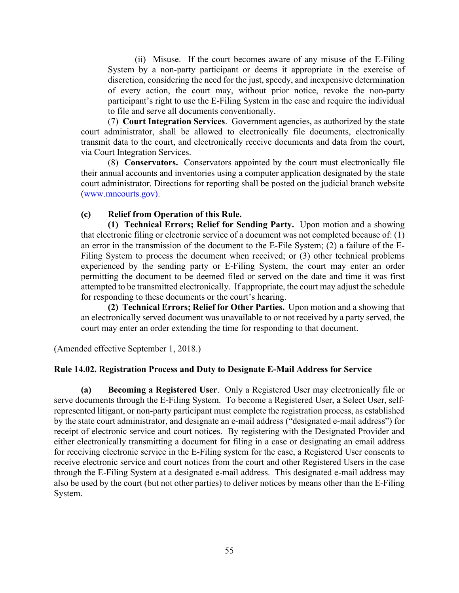(ii) Misuse. If the court becomes aware of any misuse of the E-Filing System by a non-party participant or deems it appropriate in the exercise of discretion, considering the need for the just, speedy, and inexpensive determination of every action, the court may, without prior notice, revoke the non-party participant's right to use the E-Filing System in the case and require the individual to file and serve all documents conventionally.

(7) **Court Integration Services**. Government agencies, as authorized by the state court administrator, shall be allowed to electronically file documents, electronically transmit data to the court, and electronically receive documents and data from the court, via Court Integration Services.

(8) **Conservators.** Conservators appointed by the court must electronically file their annual accounts and inventories using a computer application designated by the state court administrator. Directions for reporting shall be posted on the judicial branch website (www.mncourts.gov).

## **(c) Relief from Operation of this Rule.**

**(1) Technical Errors; Relief for Sending Party.** Upon motion and a showing that electronic filing or electronic service of a document was not completed because of: (1) an error in the transmission of the document to the E-File System; (2) a failure of the E-Filing System to process the document when received; or (3) other technical problems experienced by the sending party or E-Filing System, the court may enter an order permitting the document to be deemed filed or served on the date and time it was first attempted to be transmitted electronically. If appropriate, the court may adjust the schedule for responding to these documents or the court's hearing.

**(2) Technical Errors; Relief for Other Parties.** Upon motion and a showing that an electronically served document was unavailable to or not received by a party served, the court may enter an order extending the time for responding to that document.

(Amended effective September 1, 2018.)

## **Rule 14.02. Registration Process and Duty to Designate E-Mail Address for Service**

**(a) Becoming a Registered User**. Only a Registered User may electronically file or serve documents through the E-Filing System. To become a Registered User, a Select User, selfrepresented litigant, or non-party participant must complete the registration process, as established by the state court administrator, and designate an e-mail address ("designated e-mail address") for receipt of electronic service and court notices. By registering with the Designated Provider and either electronically transmitting a document for filing in a case or designating an email address for receiving electronic service in the E-Filing system for the case, a Registered User consents to receive electronic service and court notices from the court and other Registered Users in the case through the E-Filing System at a designated e-mail address. This designated e-mail address may also be used by the court (but not other parties) to deliver notices by means other than the E-Filing System.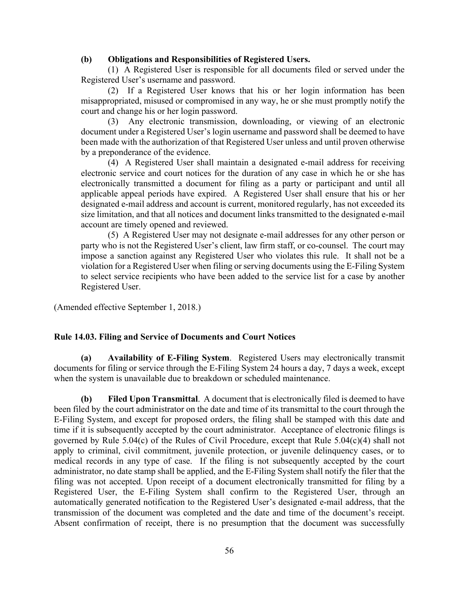## **(b) Obligations and Responsibilities of Registered Users.**

(1) A Registered User is responsible for all documents filed or served under the Registered User's username and password.

(2) If a Registered User knows that his or her login information has been misappropriated, misused or compromised in any way, he or she must promptly notify the court and change his or her login password.

(3) Any electronic transmission, downloading, or viewing of an electronic document under a Registered User's login username and password shall be deemed to have been made with the authorization of that Registered User unless and until proven otherwise by a preponderance of the evidence.

(4) A Registered User shall maintain a designated e-mail address for receiving electronic service and court notices for the duration of any case in which he or she has electronically transmitted a document for filing as a party or participant and until all applicable appeal periods have expired. A Registered User shall ensure that his or her designated e-mail address and account is current, monitored regularly, has not exceeded its size limitation, and that all notices and document links transmitted to the designated e-mail account are timely opened and reviewed.

(5) A Registered User may not designate e-mail addresses for any other person or party who is not the Registered User's client, law firm staff, or co-counsel. The court may impose a sanction against any Registered User who violates this rule. It shall not be a violation for a Registered User when filing or serving documents using the E-Filing System to select service recipients who have been added to the service list for a case by another Registered User.

(Amended effective September 1, 2018.)

## **Rule 14.03. Filing and Service of Documents and Court Notices**

**(a) Availability of E-Filing System**. Registered Users may electronically transmit documents for filing or service through the E-Filing System 24 hours a day, 7 days a week, except when the system is unavailable due to breakdown or scheduled maintenance.

**(b) Filed Upon Transmittal**. A document that is electronically filed is deemed to have been filed by the court administrator on the date and time of its transmittal to the court through the E-Filing System, and except for proposed orders, the filing shall be stamped with this date and time if it is subsequently accepted by the court administrator. Acceptance of electronic filings is governed by Rule 5.04(c) of the Rules of Civil Procedure, except that Rule 5.04(c)(4) shall not apply to criminal, civil commitment, juvenile protection, or juvenile delinquency cases, or to medical records in any type of case. If the filing is not subsequently accepted by the court administrator, no date stamp shall be applied, and the E-Filing System shall notify the filer that the filing was not accepted. Upon receipt of a document electronically transmitted for filing by a Registered User, the E-Filing System shall confirm to the Registered User, through an automatically generated notification to the Registered User's designated e-mail address, that the transmission of the document was completed and the date and time of the document's receipt. Absent confirmation of receipt, there is no presumption that the document was successfully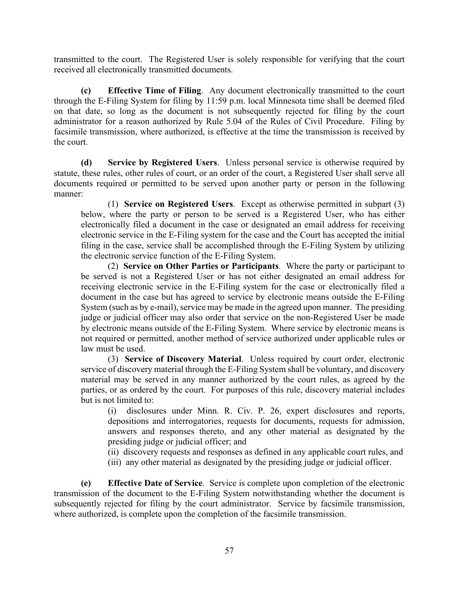transmitted to the court. The Registered User is solely responsible for verifying that the court received all electronically transmitted documents.

**(c) Effective Time of Filing**. Any document electronically transmitted to the court through the E-Filing System for filing by 11:59 p.m. local Minnesota time shall be deemed filed on that date, so long as the document is not subsequently rejected for filing by the court administrator for a reason authorized by Rule 5.04 of the Rules of Civil Procedure. Filing by facsimile transmission, where authorized, is effective at the time the transmission is received by the court.

**(d) Service by Registered Users**. Unless personal service is otherwise required by statute, these rules, other rules of court, or an order of the court, a Registered User shall serve all documents required or permitted to be served upon another party or person in the following manner:

(1) **Service on Registered Users**. Except as otherwise permitted in subpart (3) below, where the party or person to be served is a Registered User, who has either electronically filed a document in the case or designated an email address for receiving electronic service in the E-Filing system for the case and the Court has accepted the initial filing in the case, service shall be accomplished through the E-Filing System by utilizing the electronic service function of the E-Filing System.

(2) **Service on Other Parties or Participants**. Where the party or participant to be served is not a Registered User or has not either designated an email address for receiving electronic service in the E-Filing system for the case or electronically filed a document in the case but has agreed to service by electronic means outside the E-Filing System (such as by e-mail), service may be made in the agreed upon manner. The presiding judge or judicial officer may also order that service on the non-Registered User be made by electronic means outside of the E-Filing System. Where service by electronic means is not required or permitted, another method of service authorized under applicable rules or law must be used.

(3) **Service of Discovery Material**. Unless required by court order, electronic service of discovery material through the E-Filing System shall be voluntary, and discovery material may be served in any manner authorized by the court rules, as agreed by the parties, or as ordered by the court. For purposes of this rule, discovery material includes but is not limited to:

(i) disclosures under Minn. R. Civ. P. 26, expert disclosures and reports, depositions and interrogatories, requests for documents, requests for admission, answers and responses thereto, and any other material as designated by the presiding judge or judicial officer; and

(ii) discovery requests and responses as defined in any applicable court rules, and

(iii) any other material as designated by the presiding judge or judicial officer.

**(e) Effective Date of Service**. Service is complete upon completion of the electronic transmission of the document to the E-Filing System notwithstanding whether the document is subsequently rejected for filing by the court administrator. Service by facsimile transmission, where authorized, is complete upon the completion of the facsimile transmission.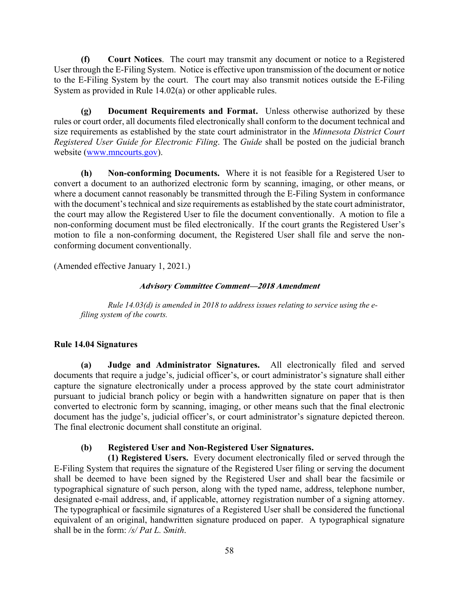**(f) Court Notices**. The court may transmit any document or notice to a Registered User through the E-Filing System. Notice is effective upon transmission of the document or notice to the E-Filing System by the court. The court may also transmit notices outside the E-Filing System as provided in Rule 14.02(a) or other applicable rules.

**(g) Document Requirements and Format.** Unless otherwise authorized by these rules or court order, all documents filed electronically shall conform to the document technical and size requirements as established by the state court administrator in the *Minnesota District Court Registered User Guide for Electronic Filing*. The *Guide* shall be posted on the judicial branch website (www.mncourts.gov).

**(h) Non-conforming Documents.** Where it is not feasible for a Registered User to convert a document to an authorized electronic form by scanning, imaging, or other means, or where a document cannot reasonably be transmitted through the E-Filing System in conformance with the document's technical and size requirements as established by the state court administrator, the court may allow the Registered User to file the document conventionally. A motion to file a non-conforming document must be filed electronically. If the court grants the Registered User's motion to file a non-conforming document, the Registered User shall file and serve the nonconforming document conventionally.

(Amended effective January 1, 2021.)

## **Advisory Committee Comment—2018 Amendment**

*Rule 14.03(d) is amended in 2018 to address issues relating to service using the efiling system of the courts.* 

## **Rule 14.04 Signatures**

**(a) Judge and Administrator Signatures.** All electronically filed and served documents that require a judge's, judicial officer's, or court administrator's signature shall either capture the signature electronically under a process approved by the state court administrator pursuant to judicial branch policy or begin with a handwritten signature on paper that is then converted to electronic form by scanning, imaging, or other means such that the final electronic document has the judge's, judicial officer's, or court administrator's signature depicted thereon. The final electronic document shall constitute an original.

## **(b) Registered User and Non-Registered User Signatures.**

 **(1) Registered Users.** Every document electronically filed or served through the E-Filing System that requires the signature of the Registered User filing or serving the document shall be deemed to have been signed by the Registered User and shall bear the facsimile or typographical signature of such person, along with the typed name, address, telephone number, designated e-mail address, and, if applicable, attorney registration number of a signing attorney. The typographical or facsimile signatures of a Registered User shall be considered the functional equivalent of an original, handwritten signature produced on paper. A typographical signature shall be in the form: */s/ Pat L. Smith*.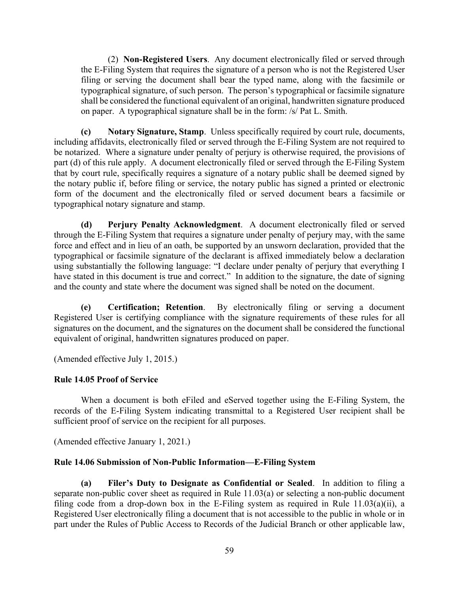(2) **Non-Registered Users**. Any document electronically filed or served through the E-Filing System that requires the signature of a person who is not the Registered User filing or serving the document shall bear the typed name, along with the facsimile or typographical signature, of such person. The person's typographical or facsimile signature shall be considered the functional equivalent of an original, handwritten signature produced on paper. A typographical signature shall be in the form: /s/ Pat L. Smith.

**(c) Notary Signature, Stamp**. Unless specifically required by court rule, documents, including affidavits, electronically filed or served through the E-Filing System are not required to be notarized. Where a signature under penalty of perjury is otherwise required, the provisions of part (d) of this rule apply. A document electronically filed or served through the E-Filing System that by court rule, specifically requires a signature of a notary public shall be deemed signed by the notary public if, before filing or service, the notary public has signed a printed or electronic form of the document and the electronically filed or served document bears a facsimile or typographical notary signature and stamp.

**(d) Perjury Penalty Acknowledgment**. A document electronically filed or served through the E-Filing System that requires a signature under penalty of perjury may, with the same force and effect and in lieu of an oath, be supported by an unsworn declaration, provided that the typographical or facsimile signature of the declarant is affixed immediately below a declaration using substantially the following language: "I declare under penalty of perjury that everything I have stated in this document is true and correct." In addition to the signature, the date of signing and the county and state where the document was signed shall be noted on the document.

**(e) Certification; Retention**. By electronically filing or serving a document Registered User is certifying compliance with the signature requirements of these rules for all signatures on the document, and the signatures on the document shall be considered the functional equivalent of original, handwritten signatures produced on paper.

(Amended effective July 1, 2015.)

## **Rule 14.05 Proof of Service**

When a document is both eFiled and eServed together using the E-Filing System, the records of the E-Filing System indicating transmittal to a Registered User recipient shall be sufficient proof of service on the recipient for all purposes.

(Amended effective January 1, 2021.)

## **Rule 14.06 Submission of Non-Public Information—E-Filing System**

**(a) Filer's Duty to Designate as Confidential or Sealed**. In addition to filing a separate non-public cover sheet as required in Rule 11.03(a) or selecting a non-public document filing code from a drop-down box in the E-Filing system as required in Rule  $11.03(a)(ii)$ , a Registered User electronically filing a document that is not accessible to the public in whole or in part under the Rules of Public Access to Records of the Judicial Branch or other applicable law,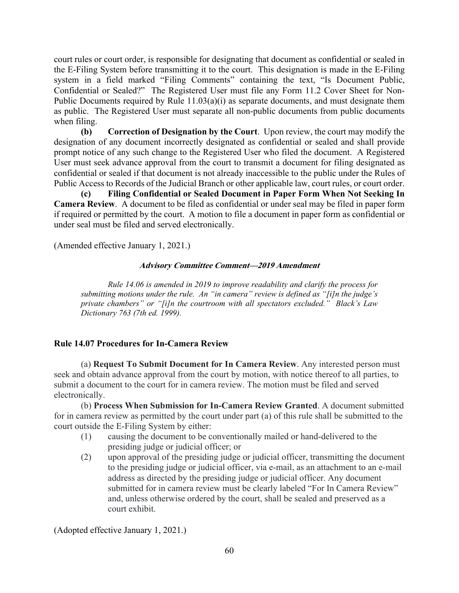court rules or court order, is responsible for designating that document as confidential or sealed in the E-Filing System before transmitting it to the court. This designation is made in the E-Filing system in a field marked "Filing Comments" containing the text, "Is Document Public, Confidential or Sealed?" The Registered User must file any Form 11.2 Cover Sheet for Non-Public Documents required by Rule 11.03(a)(i) as separate documents, and must designate them as public. The Registered User must separate all non-public documents from public documents when filing.

**(b) Correction of Designation by the Court**. Upon review, the court may modify the designation of any document incorrectly designated as confidential or sealed and shall provide prompt notice of any such change to the Registered User who filed the document. A Registered User must seek advance approval from the court to transmit a document for filing designated as confidential or sealed if that document is not already inaccessible to the public under the Rules of Public Access to Records of the Judicial Branch or other applicable law, court rules, or court order.

**(c) Filing Confidential or Sealed Document in Paper Form When Not Seeking In Camera Review**. A document to be filed as confidential or under seal may be filed in paper form if required or permitted by the court. A motion to file a document in paper form as confidential or under seal must be filed and served electronically.

(Amended effective January 1, 2021.)

## **Advisory Committee Comment—2019 Amendment**

*Rule 14.06 is amended in 2019 to improve readability and clarify the process for submitting motions under the rule. An "in camera" review is defined as "[i]n the judge's private chambers" or "[i]n the courtroom with all spectators excluded." Black's Law Dictionary 763 (7th ed. 1999).* 

## **Rule 14.07 Procedures for In-Camera Review**

(a) **Request To Submit Document for In Camera Review**. Any interested person must seek and obtain advance approval from the court by motion, with notice thereof to all parties, to submit a document to the court for in camera review. The motion must be filed and served electronically.

(b) **Process When Submission for In-Camera Review Granted**. A document submitted for in camera review as permitted by the court under part (a) of this rule shall be submitted to the court outside the E-Filing System by either:

- (1) causing the document to be conventionally mailed or hand-delivered to the presiding judge or judicial officer; or
- (2) upon approval of the presiding judge or judicial officer, transmitting the document to the presiding judge or judicial officer, via e-mail, as an attachment to an e-mail address as directed by the presiding judge or judicial officer. Any document submitted for in camera review must be clearly labeled "For In Camera Review" and, unless otherwise ordered by the court, shall be sealed and preserved as a court exhibit.

(Adopted effective January 1, 2021.)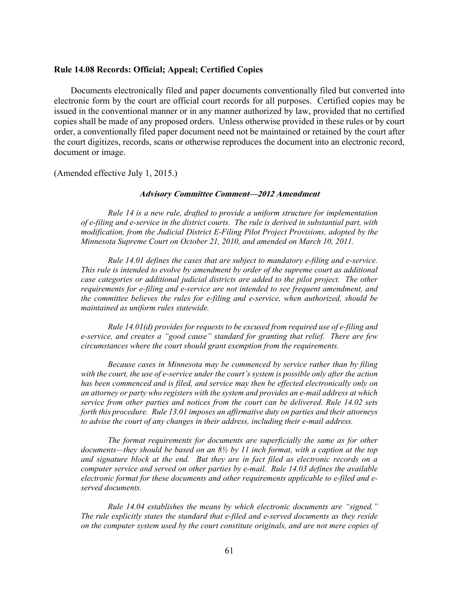## **Rule 14.08 Records: Official; Appeal; Certified Copies**

Documents electronically filed and paper documents conventionally filed but converted into electronic form by the court are official court records for all purposes. Certified copies may be issued in the conventional manner or in any manner authorized by law, provided that no certified copies shall be made of any proposed orders. Unless otherwise provided in these rules or by court order, a conventionally filed paper document need not be maintained or retained by the court after the court digitizes, records, scans or otherwise reproduces the document into an electronic record, document or image.

(Amended effective July 1, 2015.)

#### **Advisory Committee Comment—2012 Amendment**

*Rule 14 is a new rule, drafted to provide a uniform structure for implementation of e-filing and e-service in the district courts. The rule is derived in substantial part, with modification, from the Judicial District E-Filing Pilot Project Provisions, adopted by the Minnesota Supreme Court on October 21, 2010, and amended on March 10, 2011.* 

*Rule 14.01 defines the cases that are subject to mandatory e-filing and e-service. This rule is intended to evolve by amendment by order of the supreme court as additional case categories or additional judicial districts are added to the pilot project. The other requirements for e-filing and e-service are not intended to see frequent amendment, and the committee believes the rules for e-filing and e-service, when authorized, should be maintained as uniform rules statewide.* 

*Rule 14.01(d) provides for requests to be excused from required use of e-filing and e-service, and creates a "good cause" standard for granting that relief. There are few circumstances where the court should grant exemption from the requirements.* 

*Because cases in Minnesota may be commenced by service rather than by filing with the court, the use of e-service under the court's system is possible only after the action has been commenced and is filed, and service may then be effected electronically only on an attorney or party who registers with the system and provides an e-mail address at which service from other parties and notices from the court can be delivered. Rule 14.02 sets forth this procedure. Rule 13.01 imposes an affirmative duty on parties and their attorneys to advise the court of any changes in their address, including their e-mail address.* 

*The format requirements for documents are superficially the same as for other documents—they should be based on an 8½ by 11 inch format, with a caption at the top and signature block at the end. But they are in fact filed as electronic records on a computer service and served on other parties by e-mail. Rule 14.03 defines the available electronic format for these documents and other requirements applicable to e-filed and eserved documents.* 

*Rule 14.04 establishes the means by which electronic documents are "signed." The rule explicitly states the standard that e-filed and e-served documents as they reside on the computer system used by the court constitute originals, and are not mere copies of*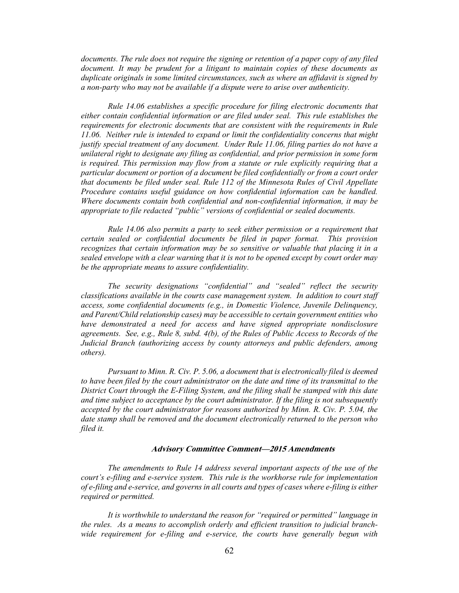*documents. The rule does not require the signing or retention of a paper copy of any filed document. It may be prudent for a litigant to maintain copies of these documents as duplicate originals in some limited circumstances, such as where an affidavit is signed by a non-party who may not be available if a dispute were to arise over authenticity.* 

*Rule 14.06 establishes a specific procedure for filing electronic documents that either contain confidential information or are filed under seal. This rule establishes the requirements for electronic documents that are consistent with the requirements in Rule 11.06. Neither rule is intended to expand or limit the confidentiality concerns that might justify special treatment of any document. Under Rule 11.06, filing parties do not have a unilateral right to designate any filing as confidential, and prior permission in some form is required. This permission may flow from a statute or rule explicitly requiring that a particular document or portion of a document be filed confidentially or from a court order that documents be filed under seal. Rule 112 of the Minnesota Rules of Civil Appellate Procedure contains useful guidance on how confidential information can be handled. Where documents contain both confidential and non-confidential information, it may be appropriate to file redacted "public" versions of confidential or sealed documents.* 

*Rule 14.06 also permits a party to seek either permission or a requirement that certain sealed or confidential documents be filed in paper format. This provision recognizes that certain information may be so sensitive or valuable that placing it in a sealed envelope with a clear warning that it is not to be opened except by court order may be the appropriate means to assure confidentiality.* 

*The security designations "confidential" and "sealed" reflect the security classifications available in the courts case management system. In addition to court staff access, some confidential documents (e.g., in Domestic Violence, Juvenile Delinquency, and Parent/Child relationship cases) may be accessible to certain government entities who*  have demonstrated a need for access and have signed appropriate nondisclosure *agreements. See, e.g., Rule 8, subd. 4(b), of the Rules of Public Access to Records of the Judicial Branch (authorizing access by county attorneys and public defenders, among others).* 

*Pursuant to Minn. R. Civ. P. 5.06, a document that is electronically filed is deemed to have been filed by the court administrator on the date and time of its transmittal to the District Court through the E-Filing System, and the filing shall be stamped with this date and time subject to acceptance by the court administrator. If the filing is not subsequently accepted by the court administrator for reasons authorized by Minn. R. Civ. P. 5.04, the date stamp shall be removed and the document electronically returned to the person who filed it.* 

### **Advisory Committee Comment—2015 Amendments**

*The amendments to Rule 14 address several important aspects of the use of the court's e-filing and e-service system. This rule is the workhorse rule for implementation of e-filing and e-service, and governs in all courts and types of cases where e-filing is either required or permitted.* 

*It is worthwhile to understand the reason for "required or permitted" language in the rules. As a means to accomplish orderly and efficient transition to judicial branchwide requirement for e-filing and e-service, the courts have generally begun with*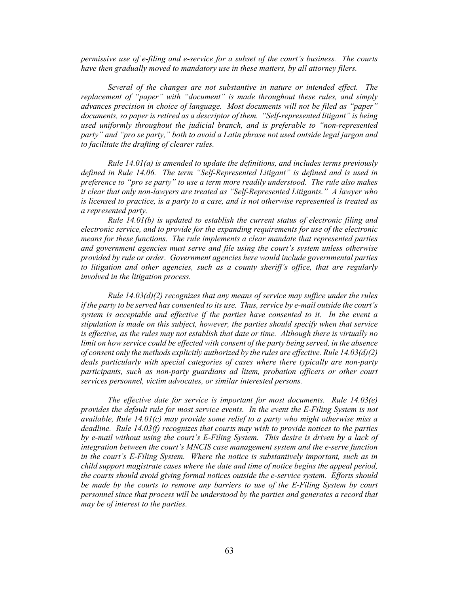*permissive use of e-filing and e-service for a subset of the court's business. The courts have then gradually moved to mandatory use in these matters, by all attorney filers.* 

*Several of the changes are not substantive in nature or intended effect. The replacement of "paper" with "document" is made throughout these rules, and simply advances precision in choice of language. Most documents will not be filed as "paper" documents, so paper is retired as a descriptor of them. "Self-represented litigant" is being used uniformly throughout the judicial branch, and is preferable to "non-represented party" and "pro se party," both to avoid a Latin phrase not used outside legal jargon and to facilitate the drafting of clearer rules.* 

*Rule 14.01(a) is amended to update the definitions, and includes terms previously defined in Rule 14.06. The term "Self-Represented Litigant" is defined and is used in preference to "pro se party" to use a term more readily understood. The rule also makes it clear that only non-lawyers are treated as "Self-Represented Litigants." A lawyer who is licensed to practice, is a party to a case, and is not otherwise represented is treated as a represented party.* 

*Rule 14.01(b) is updated to establish the current status of electronic filing and electronic service, and to provide for the expanding requirements for use of the electronic means for these functions. The rule implements a clear mandate that represented parties and government agencies must serve and file using the court's system unless otherwise provided by rule or order. Government agencies here would include governmental parties to litigation and other agencies, such as a county sheriff's office, that are regularly involved in the litigation process.* 

*Rule 14.03(d)(2) recognizes that any means of service may suffice under the rules if the party to be served has consented to its use. Thus, service by e-mail outside the court's system is acceptable and effective if the parties have consented to it. In the event a stipulation is made on this subject, however, the parties should specify when that service is effective, as the rules may not establish that date or time. Although there is virtually no limit on how service could be effected with consent of the party being served, in the absence of consent only the methods explicitly authorized by the rules are effective. Rule 14.03(d)(2) deals particularly with special categories of cases where there typically are non-party participants, such as non-party guardians ad litem, probation officers or other court services personnel, victim advocates, or similar interested persons.* 

*The effective date for service is important for most documents. Rule 14.03(e) provides the default rule for most service events. In the event the E-Filing System is not available, Rule 14.01(c) may provide some relief to a party who might otherwise miss a deadline. Rule 14.03(f) recognizes that courts may wish to provide notices to the parties by e-mail without using the court's E-Filing System. This desire is driven by a lack of integration between the court's MNCIS case management system and the e-serve function in the court's E-Filing System. Where the notice is substantively important, such as in child support magistrate cases where the date and time of notice begins the appeal period, the courts should avoid giving formal notices outside the e-service system. Efforts should be made by the courts to remove any barriers to use of the E-Filing System by court personnel since that process will be understood by the parties and generates a record that may be of interest to the parties.*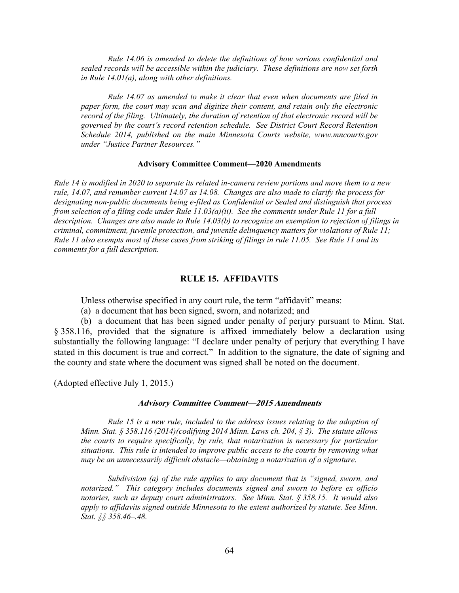*Rule 14.06 is amended to delete the definitions of how various confidential and sealed records will be accessible within the judiciary. These definitions are now set forth in Rule 14.01(a), along with other definitions.* 

*Rule 14.07 as amended to make it clear that even when documents are filed in paper form, the court may scan and digitize their content, and retain only the electronic record of the filing. Ultimately, the duration of retention of that electronic record will be governed by the court's record retention schedule. See District Court Record Retention Schedule 2014, published on the main Minnesota Courts website, www.mncourts.gov under "Justice Partner Resources."* 

#### **Advisory Committee Comment—2020 Amendments**

*Rule 14 is modified in 2020 to separate its related in-camera review portions and move them to a new rule, 14.07, and renumber current 14.07 as 14.08. Changes are also made to clarify the process for designating non-public documents being e-filed as Confidential or Sealed and distinguish that process from selection of a filing code under Rule 11.03(a)(ii). See the comments under Rule 11 for a full description. Changes are also made to Rule 14.03(b) to recognize an exemption to rejection of filings in criminal, commitment, juvenile protection, and juvenile delinquency matters for violations of Rule 11; Rule 11 also exempts most of these cases from striking of filings in rule 11.05. See Rule 11 and its comments for a full description.* 

#### **RULE 15. AFFIDAVITS**

Unless otherwise specified in any court rule, the term "affidavit" means:

(a) a document that has been signed, sworn, and notarized; and

(b) a document that has been signed under penalty of perjury pursuant to Minn. Stat. § 358.116, provided that the signature is affixed immediately below a declaration using substantially the following language: "I declare under penalty of perjury that everything I have stated in this document is true and correct." In addition to the signature, the date of signing and the county and state where the document was signed shall be noted on the document.

(Adopted effective July 1, 2015.)

### **Advisory Committee Comment—2015 Amendments**

*Rule 15 is a new rule, included to the address issues relating to the adoption of Minn. Stat. § 358.116 (2014)(codifying 2014 Minn. Laws ch. 204, § 3). The statute allows the courts to require specifically, by rule, that notarization is necessary for particular situations. This rule is intended to improve public access to the courts by removing what may be an unnecessarily difficult obstacle—obtaining a notarization of a signature.* 

*Subdivision (a) of the rule applies to any document that is "signed, sworn, and notarized." This category includes documents signed and sworn to before ex officio notaries, such as deputy court administrators. See Minn. Stat. § 358.15. It would also apply to affidavits signed outside Minnesota to the extent authorized by statute. See Minn. Stat. §§ 358.46–.48.*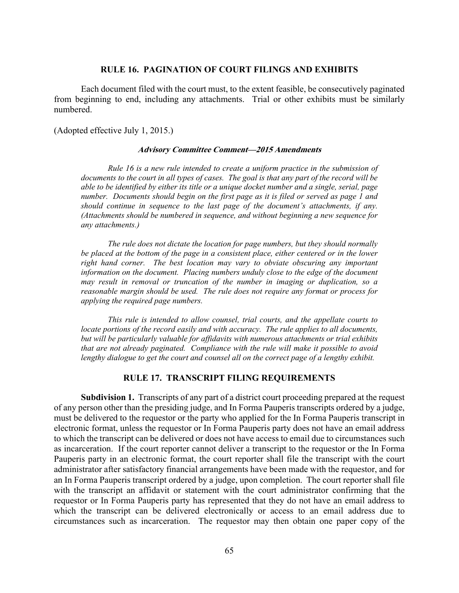## **RULE 16. PAGINATION OF COURT FILINGS AND EXHIBITS**

Each document filed with the court must, to the extent feasible, be consecutively paginated from beginning to end, including any attachments. Trial or other exhibits must be similarly numbered.

(Adopted effective July 1, 2015.)

#### **Advisory Committee Comment—2015 Amendments**

*Rule 16 is a new rule intended to create a uniform practice in the submission of documents to the court in all types of cases. The goal is that any part of the record will be able to be identified by either its title or a unique docket number and a single, serial, page number. Documents should begin on the first page as it is filed or served as page 1 and should continue in sequence to the last page of the document's attachments, if any. (Attachments should be numbered in sequence, and without beginning a new sequence for any attachments.)* 

*The rule does not dictate the location for page numbers, but they should normally be placed at the bottom of the page in a consistent place, either centered or in the lower right hand corner. The best location may vary to obviate obscuring any important information on the document. Placing numbers unduly close to the edge of the document may result in removal or truncation of the number in imaging or duplication, so a reasonable margin should be used. The rule does not require any format or process for applying the required page numbers.* 

*This rule is intended to allow counsel, trial courts, and the appellate courts to locate portions of the record easily and with accuracy. The rule applies to all documents, but will be particularly valuable for affidavits with numerous attachments or trial exhibits that are not already paginated. Compliance with the rule will make it possible to avoid lengthy dialogue to get the court and counsel all on the correct page of a lengthy exhibit.* 

### **RULE 17. TRANSCRIPT FILING REQUIREMENTS**

 **Subdivision 1.** Transcripts of any part of a district court proceeding prepared at the request of any person other than the presiding judge, and In Forma Pauperis transcripts ordered by a judge, must be delivered to the requestor or the party who applied for the In Forma Pauperis transcript in electronic format, unless the requestor or In Forma Pauperis party does not have an email address to which the transcript can be delivered or does not have access to email due to circumstances such as incarceration. If the court reporter cannot deliver a transcript to the requestor or the In Forma Pauperis party in an electronic format, the court reporter shall file the transcript with the court administrator after satisfactory financial arrangements have been made with the requestor, and for an In Forma Pauperis transcript ordered by a judge, upon completion. The court reporter shall file with the transcript an affidavit or statement with the court administrator confirming that the requestor or In Forma Pauperis party has represented that they do not have an email address to which the transcript can be delivered electronically or access to an email address due to circumstances such as incarceration. The requestor may then obtain one paper copy of the